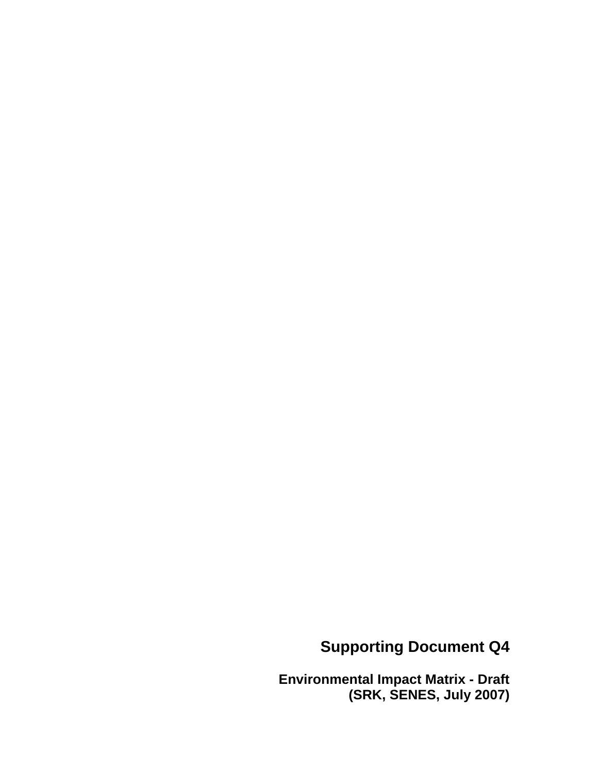### **Supporting Document Q4**

**Environmental Impact Matrix - Draft (SRK, SENES, July 2007)**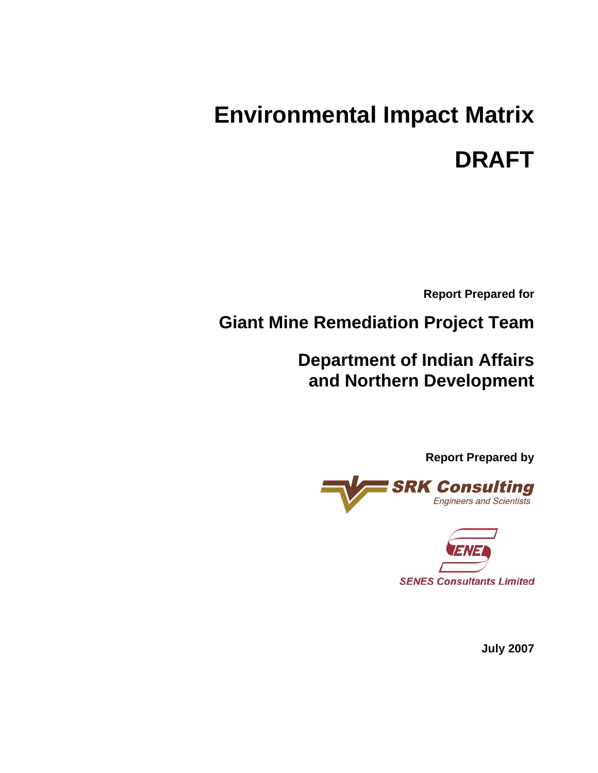# **Environmental Impact Matrix DRAFT**

**Report Prepared for** 

**Giant Mine Remediation Project Team** 

**Department of Indian Affairs and Northern Development** 

**Report Prepared by** 





**July 2007**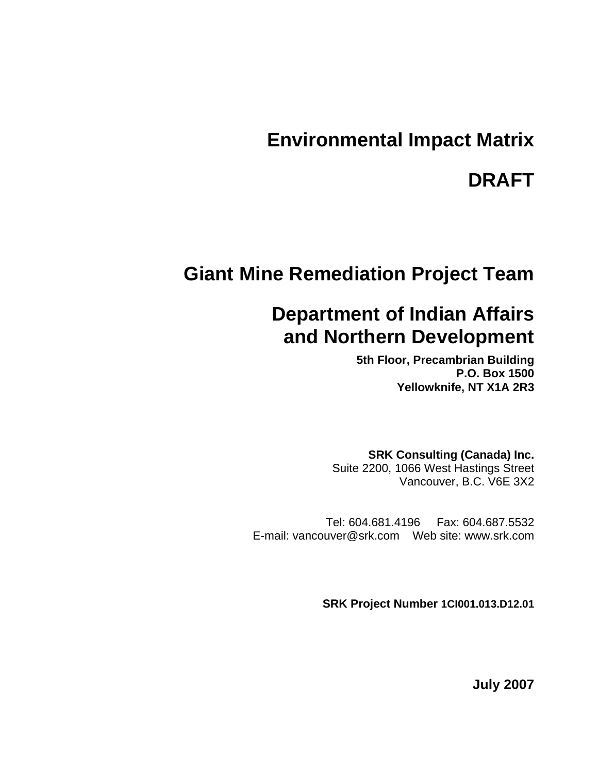### **Environmental Impact Matrix**

### **DRAFT**

### **Giant Mine Remediation Project Team**

### **Department of Indian Affairs and Northern Development**

**5th Floor, Precambrian Building P.O. Box 1500 Yellowknife, NT X1A 2R3** 

**SRK Consulting (Canada) Inc.**  Suite 2200, 1066 West Hastings Street Vancouver, B.C. V6E 3X2

Tel: 604.681.4196 Fax: 604.687.5532 E-mail: vancouver@srk.com Web site: www.srk.com

**SRK Project Number 1CI001.013.D12.01**

**July 2007**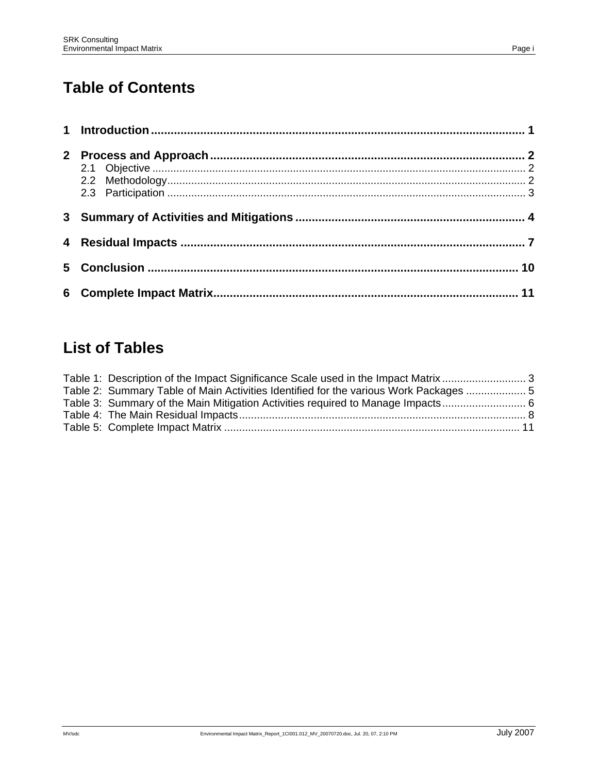### **Table of Contents**

### **List of Tables**

| Table 2: Summary Table of Main Activities Identified for the various Work Packages  5 |  |
|---------------------------------------------------------------------------------------|--|
|                                                                                       |  |
|                                                                                       |  |
|                                                                                       |  |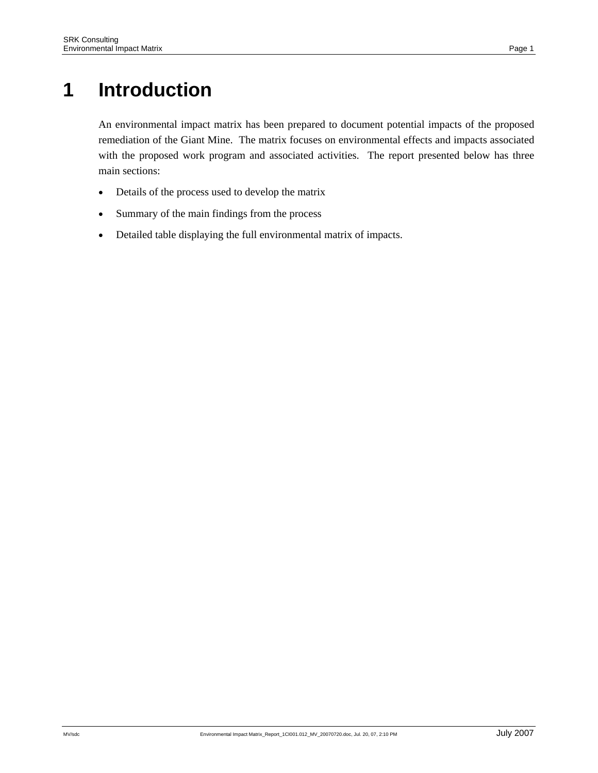# **1 Introduction**

An environmental impact matrix has been prepared to document potential impacts of the proposed remediation of the Giant Mine. The matrix focuses on environmental effects and impacts associated with the proposed work program and associated activities. The report presented below has three main sections:

- Details of the process used to develop the matrix
- Summary of the main findings from the process
- Detailed table displaying the full environmental matrix of impacts.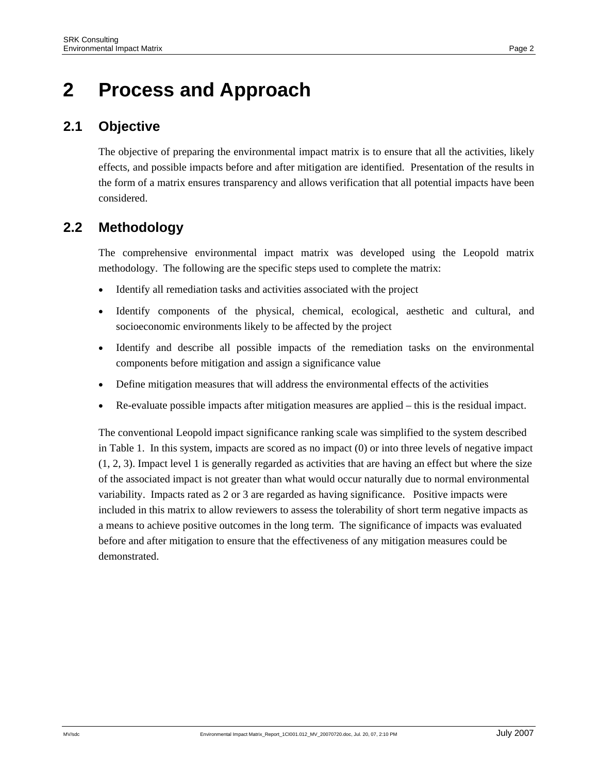### **2 Process and Approach**

#### **2.1 Objective**

The objective of preparing the environmental impact matrix is to ensure that all the activities, likely effects, and possible impacts before and after mitigation are identified. Presentation of the results in the form of a matrix ensures transparency and allows verification that all potential impacts have been considered.

#### **2.2 Methodology**

The comprehensive environmental impact matrix was developed using the Leopold matrix methodology. The following are the specific steps used to complete the matrix:

- Identify all remediation tasks and activities associated with the project
- Identify components of the physical, chemical, ecological, aesthetic and cultural, and socioeconomic environments likely to be affected by the project
- Identify and describe all possible impacts of the remediation tasks on the environmental components before mitigation and assign a significance value
- Define mitigation measures that will address the environmental effects of the activities
- Re-evaluate possible impacts after mitigation measures are applied this is the residual impact.

The conventional Leopold impact significance ranking scale was simplified to the system described in Table 1. In this system, impacts are scored as no impact (0) or into three levels of negative impact (1, 2, 3). Impact level 1 is generally regarded as activities that are having an effect but where the size of the associated impact is not greater than what would occur naturally due to normal environmental variability. Impacts rated as 2 or 3 are regarded as having significance. Positive impacts were included in this matrix to allow reviewers to assess the tolerability of short term negative impacts as a means to achieve positive outcomes in the long term. The significance of impacts was evaluated before and after mitigation to ensure that the effectiveness of any mitigation measures could be demonstrated.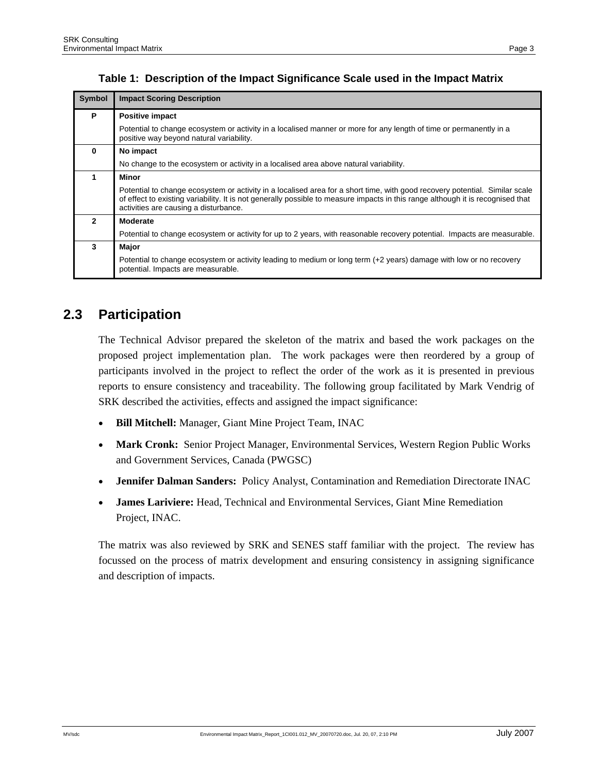| <b>Symbol</b> | <b>Impact Scoring Description</b>                                                                                                                                                                                                                                                                       |
|---------------|---------------------------------------------------------------------------------------------------------------------------------------------------------------------------------------------------------------------------------------------------------------------------------------------------------|
| P             | <b>Positive impact</b>                                                                                                                                                                                                                                                                                  |
|               | Potential to change ecosystem or activity in a localised manner or more for any length of time or permanently in a<br>positive way beyond natural variability.                                                                                                                                          |
| $\mathbf 0$   | No impact                                                                                                                                                                                                                                                                                               |
|               | No change to the ecosystem or activity in a localised area above natural variability.                                                                                                                                                                                                                   |
| 1             | Minor                                                                                                                                                                                                                                                                                                   |
|               | Potential to change ecosystem or activity in a localised area for a short time, with good recovery potential. Similar scale<br>of effect to existing variability. It is not generally possible to measure impacts in this range although it is recognised that<br>activities are causing a disturbance. |
| $\mathbf{2}$  | <b>Moderate</b>                                                                                                                                                                                                                                                                                         |
|               | Potential to change ecosystem or activity for up to 2 years, with reasonable recovery potential. Impacts are measurable.                                                                                                                                                                                |
| 3             | <b>Major</b>                                                                                                                                                                                                                                                                                            |

#### **Table 1: Description of the Impact Significance Scale used in the Impact Matrix**

#### **2.3 Participation**

potential. Impacts are measurable.

The Technical Advisor prepared the skeleton of the matrix and based the work packages on the proposed project implementation plan. The work packages were then reordered by a group of participants involved in the project to reflect the order of the work as it is presented in previous reports to ensure consistency and traceability. The following group facilitated by Mark Vendrig of SRK described the activities, effects and assigned the impact significance:

Potential to change ecosystem or activity leading to medium or long term (+2 years) damage with low or no recovery

- **Bill Mitchell:** Manager, Giant Mine Project Team, INAC
- **Mark Cronk:** Senior Project Manager, Environmental Services, Western Region Public Works and Government Services, Canada (PWGSC)
- **Jennifer Dalman Sanders:** Policy Analyst, Contamination and Remediation Directorate INAC
- **James Lariviere:** Head, Technical and Environmental Services, Giant Mine Remediation Project, INAC.

The matrix was also reviewed by SRK and SENES staff familiar with the project. The review has focussed on the process of matrix development and ensuring consistency in assigning significance and description of impacts.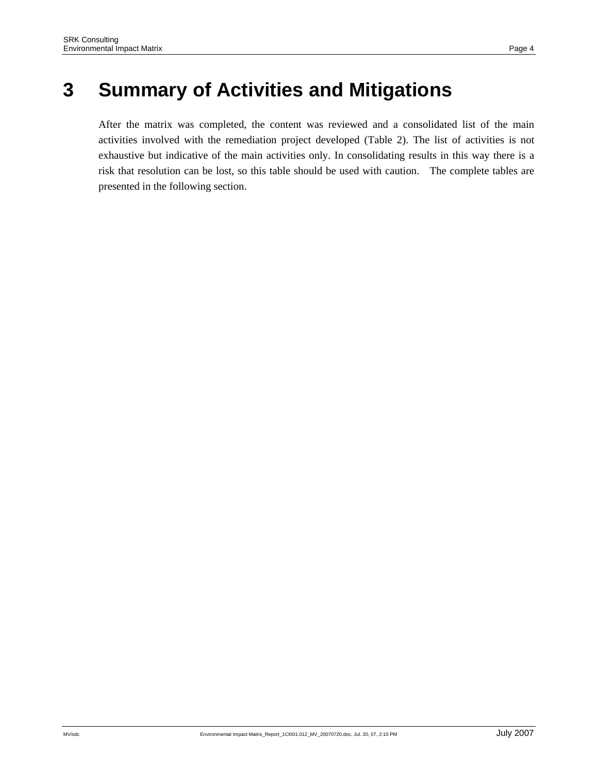# **3 Summary of Activities and Mitigations**

After the matrix was completed, the content was reviewed and a consolidated list of the main activities involved with the remediation project developed (Table 2). The list of activities is not exhaustive but indicative of the main activities only. In consolidating results in this way there is a risk that resolution can be lost, so this table should be used with caution. The complete tables are presented in the following section.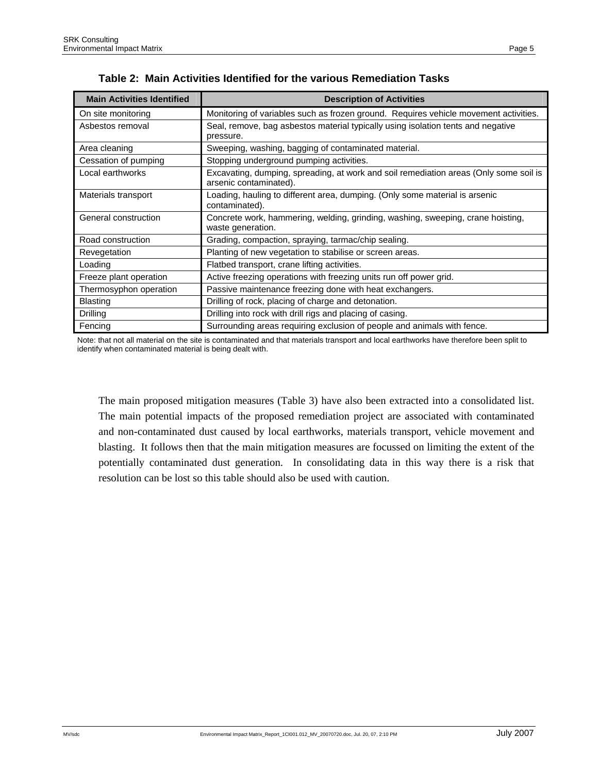| <b>Main Activities Identified</b> | <b>Description of Activities</b>                                                                                |
|-----------------------------------|-----------------------------------------------------------------------------------------------------------------|
| On site monitoring                | Monitoring of variables such as frozen ground. Requires vehicle movement activities.                            |
| Asbestos removal                  | Seal, remove, bag asbestos material typically using isolation tents and negative<br>pressure.                   |
| Area cleaning                     | Sweeping, washing, bagging of contaminated material.                                                            |
| Cessation of pumping              | Stopping underground pumping activities.                                                                        |
| Local earthworks                  | Excavating, dumping, spreading, at work and soil remediation areas (Only some soil is<br>arsenic contaminated). |
| Materials transport               | Loading, hauling to different area, dumping. (Only some material is arsenic<br>contaminated).                   |
| General construction              | Concrete work, hammering, welding, grinding, washing, sweeping, crane hoisting,<br>waste generation.            |
| Road construction                 | Grading, compaction, spraying, tarmac/chip sealing.                                                             |
| Revegetation                      | Planting of new vegetation to stabilise or screen areas.                                                        |
| Loading                           | Flatbed transport, crane lifting activities.                                                                    |
| Freeze plant operation            | Active freezing operations with freezing units run off power grid.                                              |
| Thermosyphon operation            | Passive maintenance freezing done with heat exchangers.                                                         |
| <b>Blasting</b>                   | Drilling of rock, placing of charge and detonation.                                                             |
| Drilling                          | Drilling into rock with drill rigs and placing of casing.                                                       |
| Fencing                           | Surrounding areas requiring exclusion of people and animals with fence.                                         |

|  | Table 2: Main Activities Identified for the various Remediation Tasks |  |  |  |  |  |
|--|-----------------------------------------------------------------------|--|--|--|--|--|
|--|-----------------------------------------------------------------------|--|--|--|--|--|

Note: that not all material on the site is contaminated and that materials transport and local earthworks have therefore been split to identify when contaminated material is being dealt with.

The main proposed mitigation measures (Table 3) have also been extracted into a consolidated list. The main potential impacts of the proposed remediation project are associated with contaminated and non-contaminated dust caused by local earthworks, materials transport, vehicle movement and blasting. It follows then that the main mitigation measures are focussed on limiting the extent of the potentially contaminated dust generation. In consolidating data in this way there is a risk that resolution can be lost so this table should also be used with caution.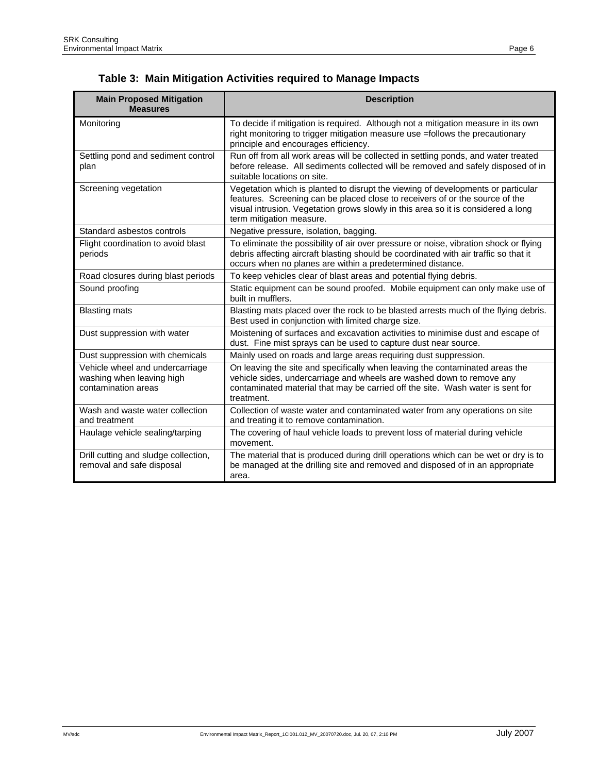|  | Table 3: Main Mitigation Activities required to Manage Impacts |  |  |  |
|--|----------------------------------------------------------------|--|--|--|
|--|----------------------------------------------------------------|--|--|--|

| <b>Main Proposed Mitigation</b><br><b>Measures</b>                                  | <b>Description</b>                                                                                                                                                                                                                                                                |
|-------------------------------------------------------------------------------------|-----------------------------------------------------------------------------------------------------------------------------------------------------------------------------------------------------------------------------------------------------------------------------------|
| Monitoring                                                                          | To decide if mitigation is required. Although not a mitigation measure in its own<br>right monitoring to trigger mitigation measure use =follows the precautionary<br>principle and encourages efficiency.                                                                        |
| Settling pond and sediment control<br>plan                                          | Run off from all work areas will be collected in settling ponds, and water treated<br>before release. All sediments collected will be removed and safely disposed of in<br>suitable locations on site.                                                                            |
| Screening vegetation                                                                | Vegetation which is planted to disrupt the viewing of developments or particular<br>features. Screening can be placed close to receivers of or the source of the<br>visual intrusion. Vegetation grows slowly in this area so it is considered a long<br>term mitigation measure. |
| Standard asbestos controls                                                          | Negative pressure, isolation, bagging.                                                                                                                                                                                                                                            |
| Flight coordination to avoid blast<br>periods                                       | To eliminate the possibility of air over pressure or noise, vibration shock or flying<br>debris affecting aircraft blasting should be coordinated with air traffic so that it<br>occurs when no planes are within a predetermined distance.                                       |
| Road closures during blast periods                                                  | To keep vehicles clear of blast areas and potential flying debris.                                                                                                                                                                                                                |
| Sound proofing                                                                      | Static equipment can be sound proofed. Mobile equipment can only make use of<br>built in mufflers.                                                                                                                                                                                |
| <b>Blasting mats</b>                                                                | Blasting mats placed over the rock to be blasted arrests much of the flying debris.<br>Best used in conjunction with limited charge size.                                                                                                                                         |
| Dust suppression with water                                                         | Moistening of surfaces and excavation activities to minimise dust and escape of<br>dust. Fine mist sprays can be used to capture dust near source.                                                                                                                                |
| Dust suppression with chemicals                                                     | Mainly used on roads and large areas requiring dust suppression.                                                                                                                                                                                                                  |
| Vehicle wheel and undercarriage<br>washing when leaving high<br>contamination areas | On leaving the site and specifically when leaving the contaminated areas the<br>vehicle sides, undercarriage and wheels are washed down to remove any<br>contaminated material that may be carried off the site. Wash water is sent for<br>treatment.                             |
| Wash and waste water collection<br>and treatment                                    | Collection of waste water and contaminated water from any operations on site<br>and treating it to remove contamination.                                                                                                                                                          |
| Haulage vehicle sealing/tarping                                                     | The covering of haul vehicle loads to prevent loss of material during vehicle<br>movement.                                                                                                                                                                                        |
| Drill cutting and sludge collection,<br>removal and safe disposal                   | The material that is produced during drill operations which can be wet or dry is to<br>be managed at the drilling site and removed and disposed of in an appropriate<br>area.                                                                                                     |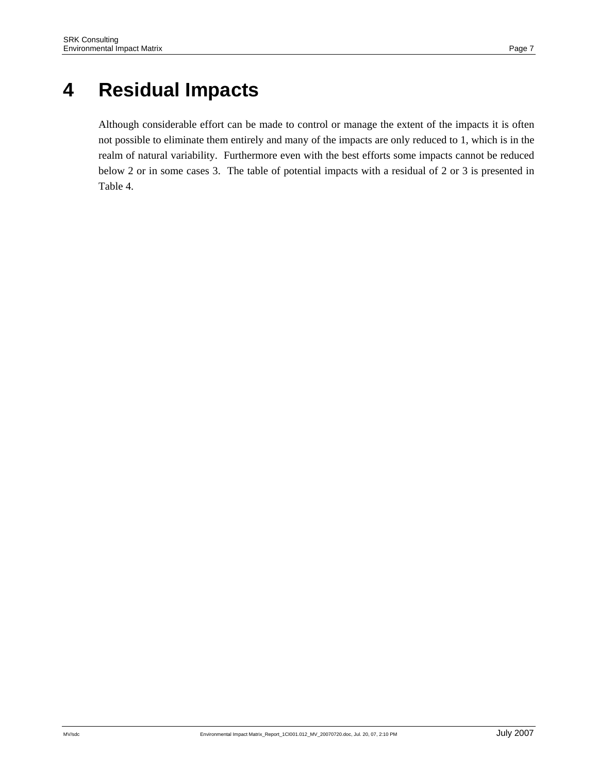## **4 Residual Impacts**

Although considerable effort can be made to control or manage the extent of the impacts it is often not possible to eliminate them entirely and many of the impacts are only reduced to 1, which is in the realm of natural variability. Furthermore even with the best efforts some impacts cannot be reduced below 2 or in some cases 3. The table of potential impacts with a residual of 2 or 3 is presented in Table 4.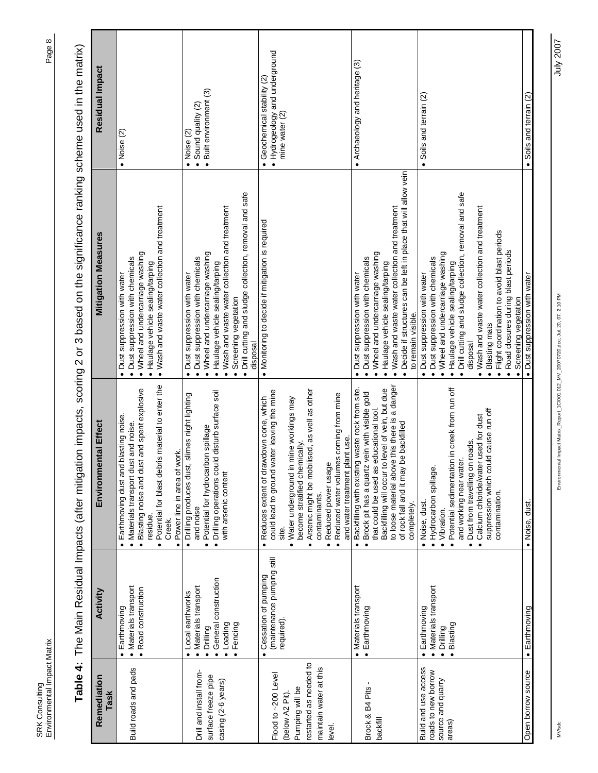| I |  |
|---|--|

Table 4: The Main Residual Impacts (after mitigation impacts, scoring 2 or 3 based on the significance ranking scheme used in the matrix) **Table 4:** The Main Residual Impacts (after mitigation impacts, scoring 2 or 3 based on the significance ranking scheme used in the matrix)

| Remediation<br>Task                                                                                                    | Activity                                                                                                              | Environmental Effect                                                                                                                                                                                                                                                                                                                                             | <b>Mitigation Measures</b>                                                                                                                                                                                                                                                                                                                                                                                                             | Residual Impact                                                                             |
|------------------------------------------------------------------------------------------------------------------------|-----------------------------------------------------------------------------------------------------------------------|------------------------------------------------------------------------------------------------------------------------------------------------------------------------------------------------------------------------------------------------------------------------------------------------------------------------------------------------------------------|----------------------------------------------------------------------------------------------------------------------------------------------------------------------------------------------------------------------------------------------------------------------------------------------------------------------------------------------------------------------------------------------------------------------------------------|---------------------------------------------------------------------------------------------|
| Build roads and pads                                                                                                   | · Materials transport<br>· Road construction<br>· Earthmoving                                                         | . Potential for blast debris material to enter the<br>· Blasting noise and dust and spent explosive<br>blasting noise<br>· Materials transport dust and noise.<br>• Power line in area of work.<br>Earthmoving dust and<br>residue.<br>Creek.                                                                                                                    | . Wash and waste water collection and treatment<br>· Wheel and undercarriage washing<br>· Dust suppression with chemicals<br>· Haulage vehicle sealing/tarping<br>• Dust suppression with water                                                                                                                                                                                                                                        | $\bullet$ Noise (2)                                                                         |
| Drill and install from-<br>surface freeze pipe<br>casing (2-6 years)                                                   | · General construction<br>· Materials transport<br>· Local earthworks<br>$\bullet$ Fencing<br>· Loading<br>· Drilling | Drilling operations could disturb surface soil<br>slimes night lighting<br>Potential for hydrocarbon spillage<br>· Drilling produces dust,<br>with arsenic content<br>and noise<br>$\bullet$<br>$\bullet$                                                                                                                                                        | Drill cutting and sludge collection, removal and safe<br>. Wash and waste water collection and treatment<br>. Wheel and undercarriage washing<br>· Dust suppression with chemicals<br>· Haulage vehicle sealing/tarping<br>· Dust suppression with water<br>Screening vegetation<br>disposal                                                                                                                                           | Built environment (3)<br>Sound quality (2)<br>$\bullet$ Noise (2)<br>$\bullet$<br>$\bullet$ |
| restarted as needed to<br>maintain water at this<br>Flood to ~200 Level<br>Pumping will be<br>(below A2 Pit)<br>level. | (maintenance pumping still<br>Cessation of pumping<br>required).                                                      | Arsenic might be mobilised, as well as other<br>could lead to ground water leaving the mine<br>· Reduced water volumes coming from mine<br>Reduces extent of drawdown cone, which<br>· Water underground in mine workings may<br>and water treatment plant use.<br>become stratified chemically.<br>· Reduced power usage<br>contaminants.<br>site.<br>$\bullet$ | Monitoring to decide if mitigation is required                                                                                                                                                                                                                                                                                                                                                                                         | • Hydrogeology and underground<br>Geochemical stability (2)<br>mine water (2)               |
| Brock & B4 Pits -<br>backfill                                                                                          | · Materials transport<br>• Earthmoving                                                                                | to loose material above this there is a danger<br>Backfilling will occur to level of vein, but due<br>Backfilling with existing waste rock from site.<br>· Brock pit has a quartz vein with visible gold<br>that could be used as educational tool.<br>be backfilled<br>of rock fall and it may I<br>completely.<br>$\bullet$                                    | Decide if structures can be left in place that will allow vein<br>. Wash and waste water collection and treatment<br>. Wheel and undercarriage washing<br>· Dust suppression with chemicals<br>· Haulage vehicle sealing/tarping<br>Dust suppression with water<br>to remain visible.<br>$\bullet$<br>$\bullet$                                                                                                                        | • Archaeology and heritage (3)                                                              |
| Build and use access<br>roads to new borrow<br>source and quarry<br>areas)                                             | · Materials transport<br>· Earthmoving<br>Blasting<br>· Drilling                                                      | Potential sedimentation in creek from run off<br>suppression which could cause run off<br>Calcium chloride/water used for dust<br>roads.<br>and working near water.<br>Dust from travelling on<br>· Hydrocarbon spillage.<br>contamination.<br>· Noise, dust<br>• Vibration.<br>$\bullet$<br>$\bullet$<br>$\bullet$                                              | Drill cutting and sludge collection, removal and safe<br>Wash and waste water collection and treatment<br>Flight coordination to avoid blast periods<br>Road closures during blast periods<br>· Wheel and undercarriage washing<br>· Dust suppression with chemicals<br>· Haulage vehicle sealing/tarping<br>· Dust suppression with water<br>Screening vegetation<br>Blasting mats<br>disposal<br>$\bullet$<br>$\bullet$<br>$\bullet$ | Soils and terrain (2)<br>$\bullet$                                                          |
| Open borrow source                                                                                                     | • Earthmoving                                                                                                         | · Noise, dust.                                                                                                                                                                                                                                                                                                                                                   | Dust suppression with water                                                                                                                                                                                                                                                                                                                                                                                                            | • Soils and terrain (2)                                                                     |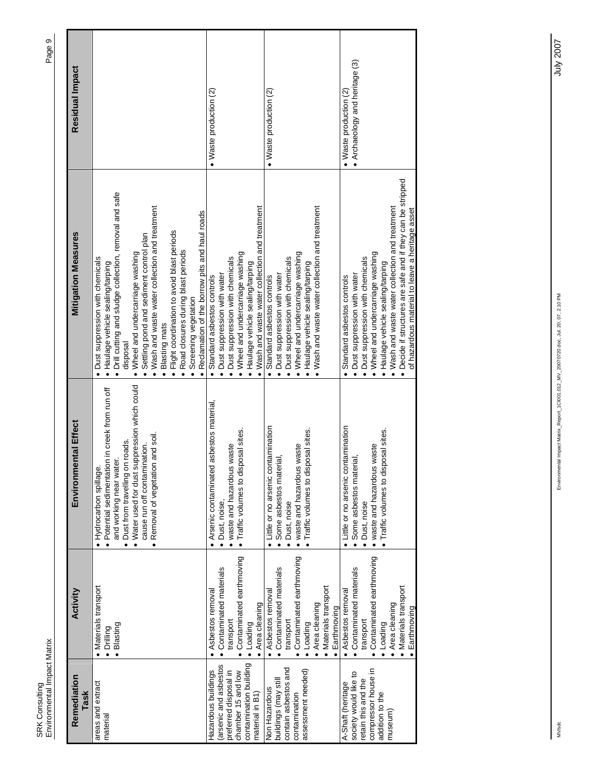| Remediation<br>Task                                                                                                                     | Activity                                                                                                                                                    | Environmental Effect                                                                                                                                                                                                                                        | <b>Mitigation Measures</b>                                                                                                                                                                                                                                                                                                                                                                                                                                          | Residual Impact                                                  |
|-----------------------------------------------------------------------------------------------------------------------------------------|-------------------------------------------------------------------------------------------------------------------------------------------------------------|-------------------------------------------------------------------------------------------------------------------------------------------------------------------------------------------------------------------------------------------------------------|---------------------------------------------------------------------------------------------------------------------------------------------------------------------------------------------------------------------------------------------------------------------------------------------------------------------------------------------------------------------------------------------------------------------------------------------------------------------|------------------------------------------------------------------|
| areas and extract<br>material                                                                                                           | Materials transport<br>Blasting<br>Drilling                                                                                                                 | . Water used for dust suppression which could<br>· Potential sedimentation in creek from run off<br>Removal of vegetation and soil.<br>• Dust from travelling on roads.<br>cause run off contamination.<br>and working near water.<br>Hydrocarbon spillage. | Drill cutting and sludge collection, removal and safe<br>Wash and waste water collection and treatment<br>Reclamation of the borrow pits and haul roads<br>Flight coordination to avoid blast periods<br>Settling pond and sediment control plan<br>Road closures during blast periods<br>Wheel and undercarriage washing<br>Dust suppression with chemicals<br>• Haulage vehicle sealing/tarping<br>Screening vegetation<br>Blasting mats<br>disposal<br>$\bullet$ |                                                                  |
| contamination building<br>arsenic and asbestos<br>Hazardous buildings<br>preferred disposal in<br>chamber 15 and low<br>material in B1) | Contaminated earthmoving<br>Contaminated materials<br>Asbestos removal<br>Area cleaning<br>transport<br>· Loading                                           | asbestos material<br>· Traffic volumes to disposal sites.<br>waste and hazardous waste<br>Arsenic contaminated<br>· Dust, noise,                                                                                                                            | Wash and waste water collection and treatment<br>. Wheel and undercarriage washing<br>· Dust suppression with chemicals<br>• Haulage vehicle sealing/tarping<br>· Dust suppression with water<br>Standard asbestos controls                                                                                                                                                                                                                                         | $\bullet$ Waste production $(2)$                                 |
| contain asbestos and<br>assessment needed)<br>buildings (may stil<br>Non Hazardous<br>contamination                                     | Contaminated earthmoving<br>Contaminated materials<br>Materials transport<br>Asbestos removal<br>Area cleaning<br>Earthmoving<br>transport<br>Loading       | • Little or no arsenic contamination<br>Traffic volumes to disposal sites.<br>. waste and hazardous waste<br>· Some asbestos material,<br>· Dust, noise                                                                                                     | Wash and waste water collection and treatment<br>Wheel and undercarriage washing<br>Dust suppression with chemicals<br>· Haulage vehicle sealing/tarping<br>· Dust suppression with water<br>Standard asbestos controls                                                                                                                                                                                                                                             | $\bullet$ Waste production (2)                                   |
| compressor house in<br>society would like to<br>retain this and the<br>A-Shaft (heritage<br>addition to the<br>museum)                  | Contaminated earthmoving<br>• Contaminated materials<br>· Materials transport<br>· Asbestos removal<br>Area cleaning<br>Earthmoving<br>transport<br>Loading | • Little or no arsenic contamination<br>Traffic volumes to disposal sites.<br>. waste and hazardous waste<br>· Some asbestos material,<br>Dust, noise                                                                                                       | Decide if structures are safe and if they can be stripped<br>Wash and waste water collection and treatment<br>of hazardous material to leave a heritage asset<br>Wheel and undercarriage washing<br>Dust suppression with chemicals<br>· Haulage vehicle sealing/tarping<br>· Dust suppression with water<br>Standard asbestos controls                                                                                                                             | • Archaeology and heritage (3)<br>$\bullet$ Waste production (2) |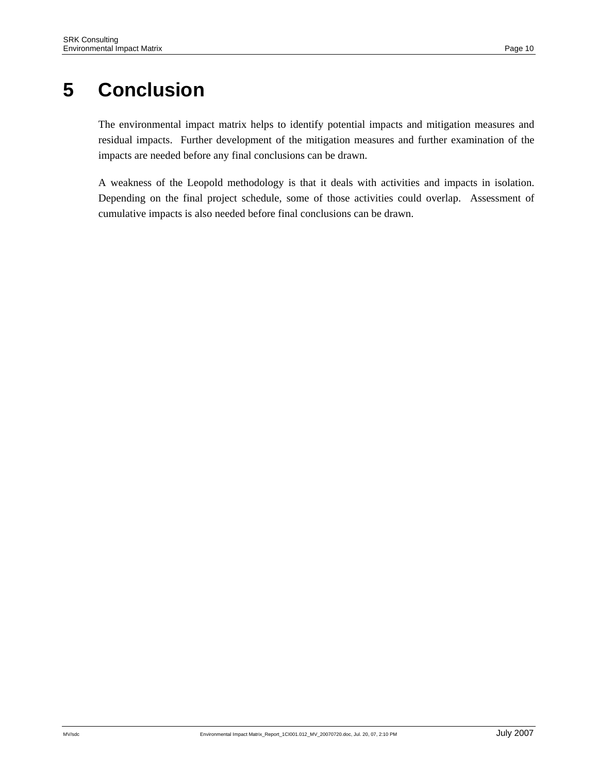# **5 Conclusion**

The environmental impact matrix helps to identify potential impacts and mitigation measures and residual impacts. Further development of the mitigation measures and further examination of the impacts are needed before any final conclusions can be drawn.

A weakness of the Leopold methodology is that it deals with activities and impacts in isolation. Depending on the final project schedule, some of those activities could overlap. Assessment of cumulative impacts is also needed before final conclusions can be drawn.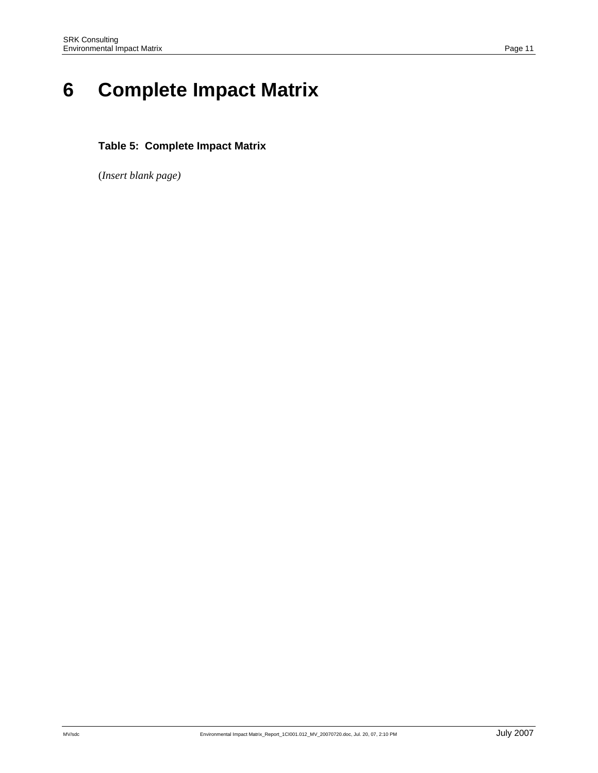# **6 Complete Impact Matrix**

#### **Table 5: Complete Impact Matrix**

(*Insert blank page)*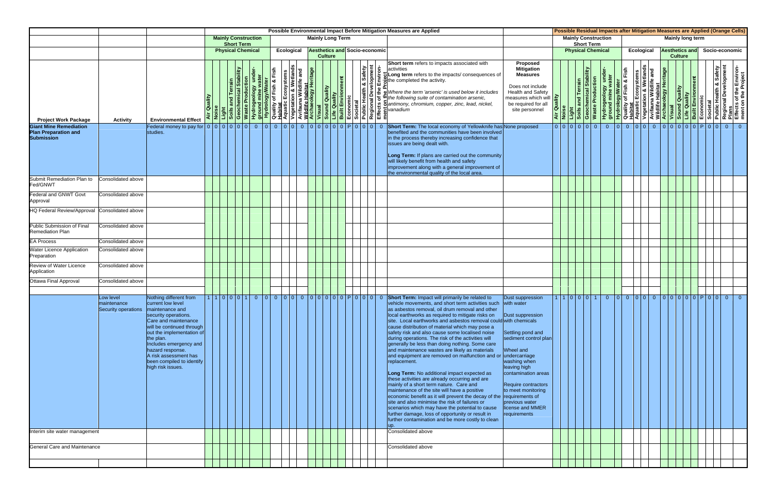|                                                                     |                                                                 |                                                                                                                                                                                                                                                                                             |             | Possible Environmental Impact Before Mitigation Measures are Applied<br><b>Mainly Construction</b><br><b>Mainly Long Term</b> |  |  |  |  |  |  | Possible Residual Impacts after Mitigation Measures are Applied (Orange Cells)<br><b>Mainly Construction</b><br>Mainly long term |                                                                                                                       |  |                                                                                                                                                                                                                                                                                                                                                                                                                                                                                                                                                                                                                                                                                                                                                                                                                                                                                                                                                                                                                                                                                                                                                       |                                                                                                                                                                                                                                                                                   |                                                                                                 |  |  |                                               |  |  |  |  |  |  |                                         |  |                   |                                                                                                                                                                                                                                              |  |                |  |  |  |  |  |  |  |  |
|---------------------------------------------------------------------|-----------------------------------------------------------------|---------------------------------------------------------------------------------------------------------------------------------------------------------------------------------------------------------------------------------------------------------------------------------------------|-------------|-------------------------------------------------------------------------------------------------------------------------------|--|--|--|--|--|--|----------------------------------------------------------------------------------------------------------------------------------|-----------------------------------------------------------------------------------------------------------------------|--|-------------------------------------------------------------------------------------------------------------------------------------------------------------------------------------------------------------------------------------------------------------------------------------------------------------------------------------------------------------------------------------------------------------------------------------------------------------------------------------------------------------------------------------------------------------------------------------------------------------------------------------------------------------------------------------------------------------------------------------------------------------------------------------------------------------------------------------------------------------------------------------------------------------------------------------------------------------------------------------------------------------------------------------------------------------------------------------------------------------------------------------------------------|-----------------------------------------------------------------------------------------------------------------------------------------------------------------------------------------------------------------------------------------------------------------------------------|-------------------------------------------------------------------------------------------------|--|--|-----------------------------------------------|--|--|--|--|--|--|-----------------------------------------|--|-------------------|----------------------------------------------------------------------------------------------------------------------------------------------------------------------------------------------------------------------------------------------|--|----------------|--|--|--|--|--|--|--|--|
|                                                                     |                                                                 |                                                                                                                                                                                                                                                                                             |             |                                                                                                                               |  |  |  |  |  |  |                                                                                                                                  |                                                                                                                       |  |                                                                                                                                                                                                                                                                                                                                                                                                                                                                                                                                                                                                                                                                                                                                                                                                                                                                                                                                                                                                                                                                                                                                                       |                                                                                                                                                                                                                                                                                   |                                                                                                 |  |  |                                               |  |  |  |  |  |  |                                         |  | <b>Short Term</b> |                                                                                                                                                                                                                                              |  |                |  |  |  |  |  |  |  |  |
|                                                                     |                                                                 |                                                                                                                                                                                                                                                                                             |             |                                                                                                                               |  |  |  |  |  |  |                                                                                                                                  | <b>Short Term</b><br><b>Physical Chemical</b><br>Ecological<br><b>Aesthetics and Socio-economic</b><br><b>Culture</b> |  |                                                                                                                                                                                                                                                                                                                                                                                                                                                                                                                                                                                                                                                                                                                                                                                                                                                                                                                                                                                                                                                                                                                                                       |                                                                                                                                                                                                                                                                                   |                                                                                                 |  |  | <b>Physical Chemical</b><br><b>Ecological</b> |  |  |  |  |  |  | <b>Aesthetics and</b><br><b>Culture</b> |  |                   |                                                                                                                                                                                                                                              |  | Socio-economic |  |  |  |  |  |  |  |  |
| <b>Project Work Package</b>                                         | <b>Activity</b>                                                 | <b>Environmental Effect</b>                                                                                                                                                                                                                                                                 | Air Quality |                                                                                                                               |  |  |  |  |  |  |                                                                                                                                  |                                                                                                                       |  | Short term refers to impacts associated with<br><b>Example 18 and Terrain of the School and Terrain School and Terrain School and Terrain School and Terrain School and Terrain and Terrain of the Kind of the Right and Terrain and Terrain of the Right and Terrain and Terrai</b>                                                                                                                                                                                                                                                                                                                                                                                                                                                                                                                                                                                                                                                                                                                                                                                                                                                                  | Proposed<br><b>Mitigation</b><br><b>Measures</b><br>Does not include<br><b>Health and Safety</b><br>measures which will<br>be required for all<br>site personnel                                                                                                                  | Air Quality<br>Noise<br>Light<br>Soils and Terrain<br>Geochemical Stability<br>Waste Production |  |  |                                               |  |  |  |  |  |  |                                         |  |                   | Provideology under-<br>Hydrogeology under-<br>ground mine water<br>ground mine water<br>Depension & Wetlands<br>Depension & Wetlands<br>Depension & Wetlands<br>Depensive of the Environment<br>Depensive of the Environment<br>Depensive of |  |                |  |  |  |  |  |  |  |  |
| <b>Giant Mine Remediation</b><br>Plan Preparation and<br>Submission |                                                                 | studies.                                                                                                                                                                                                                                                                                    |             |                                                                                                                               |  |  |  |  |  |  |                                                                                                                                  |                                                                                                                       |  | Short Term: The local economy of Yellowknife has None proposed<br>benefited and the communities have been involved<br>in the process thereby increasing confidence that<br>issues are being dealt with.<br>Long Term: If plans are carried out the community<br>will likely benefit from health and safety<br>improvement along with a general improvement of<br>the environmental quality of the local area.                                                                                                                                                                                                                                                                                                                                                                                                                                                                                                                                                                                                                                                                                                                                         |                                                                                                                                                                                                                                                                                   |                                                                                                 |  |  |                                               |  |  |  |  |  |  |                                         |  |                   | 00000000000000000000000000000000                                                                                                                                                                                                             |  |                |  |  |  |  |  |  |  |  |
| Submit Remediation Plan to<br>Fed/GNWT                              | Consolidated above                                              |                                                                                                                                                                                                                                                                                             |             |                                                                                                                               |  |  |  |  |  |  |                                                                                                                                  |                                                                                                                       |  |                                                                                                                                                                                                                                                                                                                                                                                                                                                                                                                                                                                                                                                                                                                                                                                                                                                                                                                                                                                                                                                                                                                                                       |                                                                                                                                                                                                                                                                                   |                                                                                                 |  |  |                                               |  |  |  |  |  |  |                                         |  |                   |                                                                                                                                                                                                                                              |  |                |  |  |  |  |  |  |  |  |
| <b>Federal and GNWT Govt</b><br>Approval                            | Consolidated above                                              |                                                                                                                                                                                                                                                                                             |             |                                                                                                                               |  |  |  |  |  |  |                                                                                                                                  |                                                                                                                       |  |                                                                                                                                                                                                                                                                                                                                                                                                                                                                                                                                                                                                                                                                                                                                                                                                                                                                                                                                                                                                                                                                                                                                                       |                                                                                                                                                                                                                                                                                   |                                                                                                 |  |  |                                               |  |  |  |  |  |  |                                         |  |                   |                                                                                                                                                                                                                                              |  |                |  |  |  |  |  |  |  |  |
| HQ Federal Review/Approval Consolidated above                       |                                                                 |                                                                                                                                                                                                                                                                                             |             |                                                                                                                               |  |  |  |  |  |  |                                                                                                                                  |                                                                                                                       |  |                                                                                                                                                                                                                                                                                                                                                                                                                                                                                                                                                                                                                                                                                                                                                                                                                                                                                                                                                                                                                                                                                                                                                       |                                                                                                                                                                                                                                                                                   |                                                                                                 |  |  |                                               |  |  |  |  |  |  |                                         |  |                   |                                                                                                                                                                                                                                              |  |                |  |  |  |  |  |  |  |  |
| Public Submission of Final<br><b>Remediation Plan</b>               | Consolidated above                                              |                                                                                                                                                                                                                                                                                             |             |                                                                                                                               |  |  |  |  |  |  |                                                                                                                                  |                                                                                                                       |  |                                                                                                                                                                                                                                                                                                                                                                                                                                                                                                                                                                                                                                                                                                                                                                                                                                                                                                                                                                                                                                                                                                                                                       |                                                                                                                                                                                                                                                                                   |                                                                                                 |  |  |                                               |  |  |  |  |  |  |                                         |  |                   |                                                                                                                                                                                                                                              |  |                |  |  |  |  |  |  |  |  |
| <b>EA Process</b>                                                   | Consolidated above                                              |                                                                                                                                                                                                                                                                                             |             |                                                                                                                               |  |  |  |  |  |  |                                                                                                                                  |                                                                                                                       |  |                                                                                                                                                                                                                                                                                                                                                                                                                                                                                                                                                                                                                                                                                                                                                                                                                                                                                                                                                                                                                                                                                                                                                       |                                                                                                                                                                                                                                                                                   |                                                                                                 |  |  |                                               |  |  |  |  |  |  |                                         |  |                   |                                                                                                                                                                                                                                              |  |                |  |  |  |  |  |  |  |  |
| <b>Water Licence Application</b><br>Preparation                     | Consolidated above                                              |                                                                                                                                                                                                                                                                                             |             |                                                                                                                               |  |  |  |  |  |  |                                                                                                                                  |                                                                                                                       |  |                                                                                                                                                                                                                                                                                                                                                                                                                                                                                                                                                                                                                                                                                                                                                                                                                                                                                                                                                                                                                                                                                                                                                       |                                                                                                                                                                                                                                                                                   |                                                                                                 |  |  |                                               |  |  |  |  |  |  |                                         |  |                   |                                                                                                                                                                                                                                              |  |                |  |  |  |  |  |  |  |  |
| Review of Water Licence<br>Application                              | Consolidated above                                              |                                                                                                                                                                                                                                                                                             |             |                                                                                                                               |  |  |  |  |  |  |                                                                                                                                  |                                                                                                                       |  |                                                                                                                                                                                                                                                                                                                                                                                                                                                                                                                                                                                                                                                                                                                                                                                                                                                                                                                                                                                                                                                                                                                                                       |                                                                                                                                                                                                                                                                                   |                                                                                                 |  |  |                                               |  |  |  |  |  |  |                                         |  |                   |                                                                                                                                                                                                                                              |  |                |  |  |  |  |  |  |  |  |
| <b>Ottawa Final Approval</b>                                        | Consolidated above                                              |                                                                                                                                                                                                                                                                                             |             |                                                                                                                               |  |  |  |  |  |  |                                                                                                                                  |                                                                                                                       |  |                                                                                                                                                                                                                                                                                                                                                                                                                                                                                                                                                                                                                                                                                                                                                                                                                                                                                                                                                                                                                                                                                                                                                       |                                                                                                                                                                                                                                                                                   |                                                                                                 |  |  |                                               |  |  |  |  |  |  |                                         |  |                   |                                                                                                                                                                                                                                              |  |                |  |  |  |  |  |  |  |  |
|                                                                     | Low level<br>maintenance<br>Security operations maintenance and | Nothing different from<br>current low level<br>security operations.<br>Care and maintenance<br>will be continued through<br>out the implementation of<br>the plan.<br>Includes emergency and<br>hazard response.<br>A risk assessment has<br>been compiled to identify<br>high risk issues. |             |                                                                                                                               |  |  |  |  |  |  |                                                                                                                                  |                                                                                                                       |  | 1100010000000000000000000<br>Short Term: Impact will primarily be related to<br>vehicle movements, and short term activities such with water<br>as asbestos removal, oil drum removal and other<br>local earthworks as required to mitigate risks on<br>site. Local earthworks and asbestos removal could with chemicals<br>cause distribution of material which may pose a<br>safety risk and also cause some localised noise<br>during operations. The risk of the activities will<br>generally be less than doing nothing. Some care<br>and maintenance wastes are likely as materials<br>and equipment are removed on malfunction and or<br>replacement.<br>Long Term: No additional impact expected as<br>these activities are already occurring and are<br>mainly of a short term nature. Care and<br>maintenance of the site will have a positive<br>economic benefit as it will prevent the decay of the requirements of<br>site and also minimise the risk of failures or<br>scenarios which may have the potential to cause<br>further damage, loss of opportunity or result in<br>further contamination and be more costly to clean<br>up. | Dust suppression<br>Dust suppression<br>Settling pond and<br>sediment control plan<br>Wheel and<br>undercarriage<br>washing when<br>leaving high<br>contamination areas<br>Require contractors<br>to meet monitoring<br>previous water<br>license and MMER<br><b>requirements</b> |                                                                                                 |  |  |                                               |  |  |  |  |  |  |                                         |  |                   |                                                                                                                                                                                                                                              |  |                |  |  |  |  |  |  |  |  |
| Interim site water management                                       |                                                                 |                                                                                                                                                                                                                                                                                             |             |                                                                                                                               |  |  |  |  |  |  |                                                                                                                                  |                                                                                                                       |  | Consolidated above                                                                                                                                                                                                                                                                                                                                                                                                                                                                                                                                                                                                                                                                                                                                                                                                                                                                                                                                                                                                                                                                                                                                    |                                                                                                                                                                                                                                                                                   |                                                                                                 |  |  |                                               |  |  |  |  |  |  |                                         |  |                   |                                                                                                                                                                                                                                              |  |                |  |  |  |  |  |  |  |  |
| General Care and Maintenance                                        |                                                                 |                                                                                                                                                                                                                                                                                             |             |                                                                                                                               |  |  |  |  |  |  |                                                                                                                                  |                                                                                                                       |  | Consolidated above                                                                                                                                                                                                                                                                                                                                                                                                                                                                                                                                                                                                                                                                                                                                                                                                                                                                                                                                                                                                                                                                                                                                    |                                                                                                                                                                                                                                                                                   |                                                                                                 |  |  |                                               |  |  |  |  |  |  |                                         |  |                   |                                                                                                                                                                                                                                              |  |                |  |  |  |  |  |  |  |  |
|                                                                     |                                                                 |                                                                                                                                                                                                                                                                                             |             |                                                                                                                               |  |  |  |  |  |  |                                                                                                                                  |                                                                                                                       |  |                                                                                                                                                                                                                                                                                                                                                                                                                                                                                                                                                                                                                                                                                                                                                                                                                                                                                                                                                                                                                                                                                                                                                       |                                                                                                                                                                                                                                                                                   |                                                                                                 |  |  |                                               |  |  |  |  |  |  |                                         |  |                   |                                                                                                                                                                                                                                              |  |                |  |  |  |  |  |  |  |  |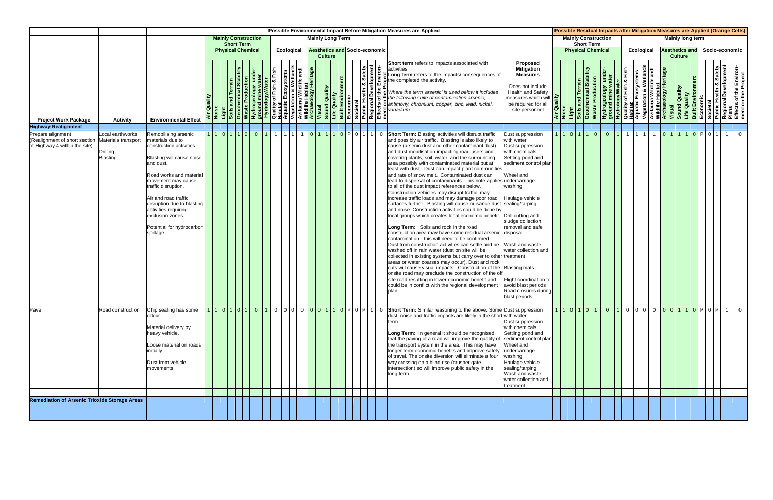|                                                                                     |                                                                        |                                                                                                                                                                                                                                                                                                                                    |         |                |                                                                                                                                                                                            |  |      |                                                                                                                                                       |  |                |                                      |  |                      |   | Possible Environmental Impact Before Mitigation Measures are Applied                                                                                                                                                                                                                                                                                                                                                                                                                                                                                                                                                                                                                                                                                                                                                                                                                                                                                                                                                                                                                                                                                                                                                                                                                                                                                                                                                                                                                                                     |                                                                                                                                                                                                                                                                                                                           |  |                                                 |                         |                | Possible Residual Impacts after Mitigation Measures are Applied (Orange Cells)                                                                                                                                                                                                                  |                   |                       |                |  |                |  |
|-------------------------------------------------------------------------------------|------------------------------------------------------------------------|------------------------------------------------------------------------------------------------------------------------------------------------------------------------------------------------------------------------------------------------------------------------------------------------------------------------------------|---------|----------------|--------------------------------------------------------------------------------------------------------------------------------------------------------------------------------------------|--|------|-------------------------------------------------------------------------------------------------------------------------------------------------------|--|----------------|--------------------------------------|--|----------------------|---|--------------------------------------------------------------------------------------------------------------------------------------------------------------------------------------------------------------------------------------------------------------------------------------------------------------------------------------------------------------------------------------------------------------------------------------------------------------------------------------------------------------------------------------------------------------------------------------------------------------------------------------------------------------------------------------------------------------------------------------------------------------------------------------------------------------------------------------------------------------------------------------------------------------------------------------------------------------------------------------------------------------------------------------------------------------------------------------------------------------------------------------------------------------------------------------------------------------------------------------------------------------------------------------------------------------------------------------------------------------------------------------------------------------------------------------------------------------------------------------------------------------------------|---------------------------------------------------------------------------------------------------------------------------------------------------------------------------------------------------------------------------------------------------------------------------------------------------------------------------|--|-------------------------------------------------|-------------------------|----------------|-------------------------------------------------------------------------------------------------------------------------------------------------------------------------------------------------------------------------------------------------------------------------------------------------|-------------------|-----------------------|----------------|--|----------------|--|
|                                                                                     |                                                                        |                                                                                                                                                                                                                                                                                                                                    |         |                | <b>Mainly Construction</b><br><b>Short Term</b>                                                                                                                                            |  |      |                                                                                                                                                       |  |                | <b>Mainly Long Term</b>              |  |                      |   |                                                                                                                                                                                                                                                                                                                                                                                                                                                                                                                                                                                                                                                                                                                                                                                                                                                                                                                                                                                                                                                                                                                                                                                                                                                                                                                                                                                                                                                                                                                          |                                                                                                                                                                                                                                                                                                                           |  | <b>Mainly Construction</b><br><b>Short Term</b> |                         |                |                                                                                                                                                                                                                                                                                                 |                   | Mainly long term      |                |  |                |  |
|                                                                                     |                                                                        |                                                                                                                                                                                                                                                                                                                                    |         |                | <b>Physical Chemical</b>                                                                                                                                                                   |  |      | Ecological                                                                                                                                            |  | <b>Culture</b> | <b>Aesthetics and Socio-economic</b> |  |                      |   |                                                                                                                                                                                                                                                                                                                                                                                                                                                                                                                                                                                                                                                                                                                                                                                                                                                                                                                                                                                                                                                                                                                                                                                                                                                                                                                                                                                                                                                                                                                          |                                                                                                                                                                                                                                                                                                                           |  | <b>Physical Chemical</b>                        |                         |                |                                                                                                                                                                                                                                                                                                 | <b>Ecological</b> | <b>Aesthetics and</b> | <b>Culture</b> |  | Socio-economic |  |
| <b>Project Work Package</b>                                                         | <b>Activity</b>                                                        | <b>Environmental Effect</b>                                                                                                                                                                                                                                                                                                        | Quality | Noise<br>Light | Soils and Terrain<br>Geochemical Stability<br>Waste Production<br>Hydrogeology under-<br>Hydrology/Water<br>Hydrology/Water<br>Quality of Fish & Fish<br>Quality of Fish & Fish<br>Habitat |  | Fish | $\frac{ \mathsf{and} }{ \mathsf{and} }$<br>Vegetation & Wetla<br>Avifauna Wildlife<br><mark>Wildlife Habitat<br/>Archaeology Heritat</mark><br>Visual |  |                |                                      |  | & Safety<br>elopment | ģ | Short term refers to impacts associated with<br>activities<br>Long term refers to the impacts/consequences of<br><b>Example 12</b><br><b>Example 12</b><br><b>Example 12</b><br><b>Example 12</b><br><b>Example 12</b><br><b>Example 12</b><br><b>Example 12</b><br><b>Example 12</b><br><b>Example 12</b><br><b>Example 12</b><br><b>Example 12</b><br><b>Example 12</b><br><b>Example 12</b><br><b>Example 12</b><br><b>Example 12</b><br><b>Example 12</b>                                                                                                                                                                                                                                                                                                                                                                                                                                                                                                                                                                                                                                                                                                                                                                                                                                                                                                                                                                                                                                                            | Proposed<br><b>Mitigation</b><br><b>Measures</b><br>Does not include<br><b>Health and Safety</b><br>measures which will <b>P</b><br>be required for all<br>site personnel                                                                                                                                                 |  | <b>Stability</b><br>Geoche                      | <b>Waste Production</b> |                | Hydrogeology under-<br><b>Hydrology/Water</b><br><b>Ruality of Fish &amp; Fish<br/> Aquatic Ecosystems<br/> Aquatic Ecosystems<br/> Avifauna Wildlife Habitat<br/> Wisual<br/> Wisual<br/> <b>Contropy Heritage<br/> Sound Quality<br/> Economic<br/> Built Environment<br/> Built Envi</b></b> |                   |                       |                |  |                |  |
| <b>Highway Realignment</b>                                                          |                                                                        |                                                                                                                                                                                                                                                                                                                                    |         |                |                                                                                                                                                                                            |  |      |                                                                                                                                                       |  |                |                                      |  |                      |   |                                                                                                                                                                                                                                                                                                                                                                                                                                                                                                                                                                                                                                                                                                                                                                                                                                                                                                                                                                                                                                                                                                                                                                                                                                                                                                                                                                                                                                                                                                                          |                                                                                                                                                                                                                                                                                                                           |  |                                                 |                         |                |                                                                                                                                                                                                                                                                                                 |                   |                       |                |  |                |  |
| Prepare alignment<br>(Realignment of short section<br>of Highway 4 within the site) | Local earthworks<br>Materials transport<br>Drilling<br><b>Blasting</b> | Remobilising arsenic<br>materials due to<br>construction activities.<br>Blasting will cause noise<br>and dust.<br>Road works and material<br>movement may cause<br>traffic disruption.<br>Air and road traffic<br>disruption due to blasting<br>activities requiring<br>exclusion zones.<br>Potential for hydrocarbon<br>spillage. |         |                | 1 1 1 0 1 1 1 1 0                                                                                                                                                                          |  |      |                                                                                                                                                       |  |                | 0 1 1 1 1 1 0 P 0 1 1 1 1 0          |  |                      |   | Short Term: Blasting activities will disrupt traffic<br>and possibly air traffic. Blasting is also likely to<br>cause (arsenic dust and other contaminant dust)<br>and dust mobilisation impacting road users and<br>covering plants, soil, water, and the surrounding<br>area possibly with contaminated material but at<br>least with dust. Dust can impact plant communities<br>and rate of snow melt. Contaminated dust can<br>lead to dispersal of contaminants. This note applies undercarriage<br>to all of the dust impact references below.<br>Construction vehicles may disrupt traffic, may<br>increase traffic loads and may damage poor road<br>surfaces further. Blasting will cause nuisance dust sealing/tarping<br>and noise. Construction activities could be done by<br>local groups which creates local economic benefit. Drill cutting and<br>Long Term: Soils and rock in the road<br>construction area may have some residual arsenic disposal<br>contamination - this will need to be confirmed.<br>Dust from construction activities can settle and be Wash and waste<br>washed off in rain water (dust on site will be<br>collected in existing systems but carry over to other treatment<br>areas or water coarses may occur). Dust and rock<br>cuts will cause visual impacts. Construction of the Blasting mats<br>onsite road may preclude the construction of the off<br>site road resulting in lower economic benefit and<br>could be in conflict with the regional development<br>plan. | Dust suppression<br>with water<br>Dust suppression<br>with chemicals<br>Settling pond and<br>sediment control plan<br>Wheel and<br>washing<br>Haulage vehicle<br>sludge collection,<br>removal and safe<br>water collection and<br>Flight coordination to<br>avoid blast periods<br>Road closures during<br>blast periods |  | 1   1   0   1   1                               | $\overline{0}$          | $\overline{0}$ |                                                                                                                                                                                                                                                                                                 | 1 1 1 1           | 0 1 1 1 1 0 P 0 1     |                |  | 1 0            |  |
| Pave                                                                                | Road construction                                                      | Chip sealing has some<br>odour.<br>Material delivery by<br>heavy vehicle.<br>Loose material on roads<br>initially.<br>Dust from vehicle<br>movements.                                                                                                                                                                              |         |                |                                                                                                                                                                                            |  |      |                                                                                                                                                       |  |                |                                      |  |                      |   | 1101010101001000000110P0P10Short Term: Similar reasoning to the above. Some Dust suppression<br>dust, noise and traffic impacts are likely in the short with water<br>term.<br>Long Term: In general it should be recognised<br>that the paving of a road will improve the quality of sediment control plan<br>the transport system in the area. This may have<br>longer term economic benefits and improve safety<br>of travel. The onsite diversion will eliminate a four<br>way crossing on a blind rise (crusher gate<br>intersection) so will improve public safety in the<br>long term.                                                                                                                                                                                                                                                                                                                                                                                                                                                                                                                                                                                                                                                                                                                                                                                                                                                                                                                            | Dust suppression<br>with chemicals<br>Settling pond and<br>Wheel and<br>undercarriage<br>washing<br>Haulage vehicle<br>sealing/tarping<br>Wash and waste<br>water collection and<br>treatment                                                                                                                             |  |                                                 |                         |                | 1101010101010000000110P0P10                                                                                                                                                                                                                                                                     |                   |                       |                |  |                |  |
| <b>Remediation of Arsenic Trioxide Storage Areas</b>                                |                                                                        |                                                                                                                                                                                                                                                                                                                                    |         |                |                                                                                                                                                                                            |  |      |                                                                                                                                                       |  |                |                                      |  |                      |   |                                                                                                                                                                                                                                                                                                                                                                                                                                                                                                                                                                                                                                                                                                                                                                                                                                                                                                                                                                                                                                                                                                                                                                                                                                                                                                                                                                                                                                                                                                                          |                                                                                                                                                                                                                                                                                                                           |  |                                                 |                         |                |                                                                                                                                                                                                                                                                                                 |                   |                       |                |  |                |  |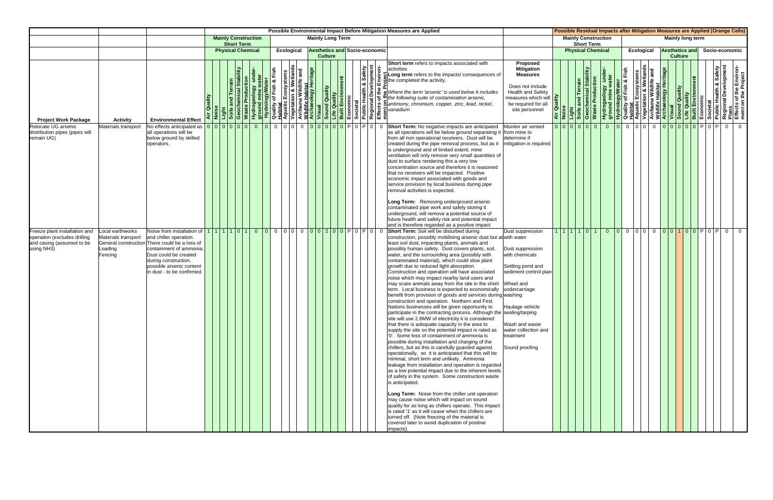|                                                                                                          |                                                             |                                                                                                                                                                                                              |         |                            |                   |  |            |  |                                                        |  |  | Possible Environmental Impact Before Mitigation Measures are Applied                                                                                                                                                                                                                                                                                                                                                                                                                                                                                                                                                                                                                                                                                                                                                                                                                                                                                                                                                                                                                                                                                                                                                                                                                                                                                                                                                                                                                                                                                                                                                                                                                                                                                                             |                                                                                                                                                                                                                                |        |                                                                         |                   |                            |  | Possible Residual Impacts after Mitigation Measures are Applied (Orange Cells)                                                                                                                                                                                                                         |                       |                |                         |  |                |
|----------------------------------------------------------------------------------------------------------|-------------------------------------------------------------|--------------------------------------------------------------------------------------------------------------------------------------------------------------------------------------------------------------|---------|----------------------------|-------------------|--|------------|--|--------------------------------------------------------|--|--|----------------------------------------------------------------------------------------------------------------------------------------------------------------------------------------------------------------------------------------------------------------------------------------------------------------------------------------------------------------------------------------------------------------------------------------------------------------------------------------------------------------------------------------------------------------------------------------------------------------------------------------------------------------------------------------------------------------------------------------------------------------------------------------------------------------------------------------------------------------------------------------------------------------------------------------------------------------------------------------------------------------------------------------------------------------------------------------------------------------------------------------------------------------------------------------------------------------------------------------------------------------------------------------------------------------------------------------------------------------------------------------------------------------------------------------------------------------------------------------------------------------------------------------------------------------------------------------------------------------------------------------------------------------------------------------------------------------------------------------------------------------------------------|--------------------------------------------------------------------------------------------------------------------------------------------------------------------------------------------------------------------------------|--------|-------------------------------------------------------------------------|-------------------|----------------------------|--|--------------------------------------------------------------------------------------------------------------------------------------------------------------------------------------------------------------------------------------------------------------------------------------------------------|-----------------------|----------------|-------------------------|--|----------------|
|                                                                                                          |                                                             |                                                                                                                                                                                                              |         | <b>Mainly Construction</b> | <b>Short Term</b> |  |            |  | <b>Mainly Long Term</b>                                |  |  |                                                                                                                                                                                                                                                                                                                                                                                                                                                                                                                                                                                                                                                                                                                                                                                                                                                                                                                                                                                                                                                                                                                                                                                                                                                                                                                                                                                                                                                                                                                                                                                                                                                                                                                                                                                  |                                                                                                                                                                                                                                |        |                                                                         | <b>Short Term</b> | <b>Mainly Construction</b> |  |                                                                                                                                                                                                                                                                                                        |                       |                | <b>Mainly long term</b> |  |                |
|                                                                                                          |                                                             |                                                                                                                                                                                                              |         | <b>Physical Chemical</b>   |                   |  | Ecological |  | <b>Aesthetics and Socio-economic</b><br><b>Culture</b> |  |  |                                                                                                                                                                                                                                                                                                                                                                                                                                                                                                                                                                                                                                                                                                                                                                                                                                                                                                                                                                                                                                                                                                                                                                                                                                                                                                                                                                                                                                                                                                                                                                                                                                                                                                                                                                                  |                                                                                                                                                                                                                                |        |                                                                         |                   | <b>Physical Chemical</b>   |  | <b>Ecological</b>                                                                                                                                                                                                                                                                                      | <b>Aesthetics and</b> | <b>Culture</b> |                         |  | Socio-economic |
| <b>Project Work Package</b>                                                                              | <b>Activity</b>                                             | <b>Environmental Effect</b>                                                                                                                                                                                  | Quality |                            |                   |  |            |  |                                                        |  |  | Short term refers to impacts associated with                                                                                                                                                                                                                                                                                                                                                                                                                                                                                                                                                                                                                                                                                                                                                                                                                                                                                                                                                                                                                                                                                                                                                                                                                                                                                                                                                                                                                                                                                                                                                                                                                                                                                                                                     | Proposed<br><b>Mitigation</b><br><b>Measures</b><br>Does not include<br><b>Health and Safety</b><br>measures which will <b>P</b><br>be required for all<br>site personnel                                                      | Air Qu | Light<br>Soils and Terrain<br>Geochemical Stability<br>Waste Production |                   |                            |  | Hydrogeology under-<br><b>Hydrology/Water</b><br><b>Ruality of Fish &amp; Fish<br/> Aquatic Ecosystems<br/> Aquatic Ecosystems<br/> Avifauna Wildlife Habitat<br/> Wisual<br/> <b>Archaeology Heritage</b><br/> <b>Righter Condity</b><br/> <b>Regional Development</b><br/> <b>Regional Devel</b></b> |                       |                |                         |  |                |
| Relocate UG arsenic<br>distribution pipes (pipes will<br>remain UG)                                      | Materials transport                                         | all operations will be<br>below ground by skilled<br>operators.                                                                                                                                              |         |                            |                   |  |            |  |                                                        |  |  | Short Term: No negative impacts are anticipated<br>as all operations will be below ground separating it from mine to<br>from all non operational receivers. Dust will be<br>created during the pipe removal process, but as it<br>is underground and of limited extent, mine<br>ventilation will only remove very small quantities of<br>dust to surface rendering this a very low<br>concentration source and therefore it is reasoned<br>that no receivers will be impacted. Positive<br>economic impact associated with goods and<br>service provision by local business during pipe<br>removal activities is expected.<br>Long Term: Removing underground arsenic<br>contaminated pipe work and safely storing it<br>underground, will remove a potential source of<br>future health and safety risk and potential impact<br>and is therefore regarded as a positive impact.                                                                                                                                                                                                                                                                                                                                                                                                                                                                                                                                                                                                                                                                                                                                                                                                                                                                                                 | Monitor air vented<br>determine if<br>mitigation is required                                                                                                                                                                   |        |                                                                         |                   |                            |  | 00000000000000000000000000000000                                                                                                                                                                                                                                                                       |                       |                |                         |  | $\overline{0}$ |
| Freeze plant installation and<br>operation (excludes drilling<br>and casing (assumed to be<br>using NH3) | ocal earthworks<br>Materials transport<br>oading<br>Fencing | and chiller operation.<br>General construction There could be a loss of<br>containment of ammonia.<br>Dust could be created<br>during construction,<br>possible arsenic content<br>n dust - to be confirmed. |         |                            |                   |  |            |  |                                                        |  |  | Short Term: Soil will be disturbed during<br>construction, possibly mobilising arsenic dust but at with water<br>least soil dust, impacting plants, animals and<br>possibly human safety. Dust covers plants, soil,<br>water, and the surrounding area (possibly with<br>contaminated material), which could slow plant<br>growth due to reduced light absorption.<br>Construction and operation will have associated<br>noise which may impact nearby land users and<br>may scare animals away from the site in the short<br>term. Local business is expected to economically<br>benefit from provision of goods and services during washing<br>construction and operation. Northern and First<br>Nations businesses will be given opportunity to<br>participate in the contracting process. Although the sealing/tarping<br>site will use 2.8MW of electricity it is considered<br>that there is adequate capacity in the area to<br>supply the site so the potential impact is rated as<br>'0'. Some loss of containment of ammonia is<br>possible during installation and charging of the<br>chillers, but as this is carefully guarded against<br>operationally, so it is anticipated that this will be<br>minimal, short term and unlikely. Ammonia<br>leakage from installation and operation is regarded<br>as a low potential impact due to the inherent levels<br>of safety in the system. Some construction waste<br>is anticipated.<br>Long Term: Noise from the chiller unit operation<br>may cause noise which will impact on sound<br>quality for as long as chillers operate. This impact<br>is rated '1' as it will cease when the chillers are<br>turned off. (Note freezing of the material is<br>covered later to avoid duplication of positive<br>impacts). | Dust suppression<br>Dust suppression<br>with chemicals<br>Settling pond and<br>sediment control plan<br>Wheel and<br>undercarriage<br>Haulage vehicle<br>Wash and waste<br>water collection and<br>treatment<br>Sound proofing |        | 1   1   1   1   0   1                                                   |                   | $\overline{0}$             |  | $0 0 0 0 0 0 0 1 0 0 1 0 0 0 0 0 0 0$                                                                                                                                                                                                                                                                  |                       |                |                         |  |                |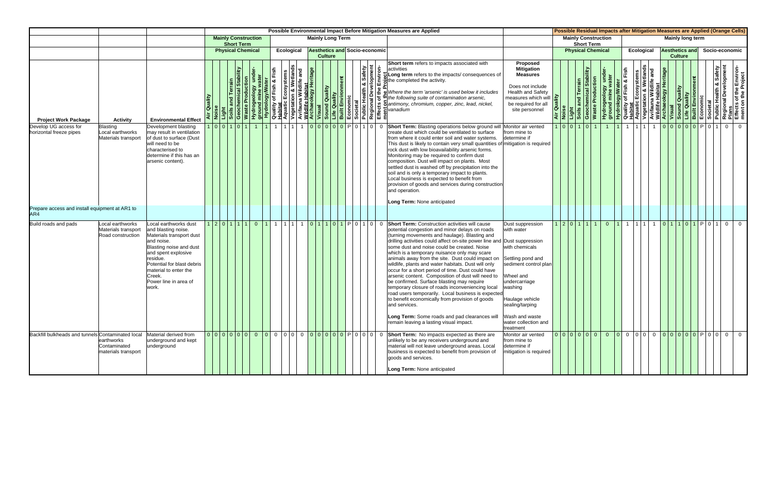|                                                       |                                                              |                                                                                                                                                                                                                                                        |         |                   |                            |      |            |  |                         |  |                                      |                | Possible Environmental Impact Before Mitigation Measures are Applied                                                                                                                                                                                                                                                                                                                                                                                                                                                                                                                                                                                                                                                                                                                                                                                                             |                                                                                                                                                                                                                                      |  |                                                                         |                            |           |            |                       |                |  |                                        | Possible Residual Impacts after Mitigation Measures are Applied (Orange Cells)                                                                                                                                                                       |  |
|-------------------------------------------------------|--------------------------------------------------------------|--------------------------------------------------------------------------------------------------------------------------------------------------------------------------------------------------------------------------------------------------------|---------|-------------------|----------------------------|------|------------|--|-------------------------|--|--------------------------------------|----------------|----------------------------------------------------------------------------------------------------------------------------------------------------------------------------------------------------------------------------------------------------------------------------------------------------------------------------------------------------------------------------------------------------------------------------------------------------------------------------------------------------------------------------------------------------------------------------------------------------------------------------------------------------------------------------------------------------------------------------------------------------------------------------------------------------------------------------------------------------------------------------------|--------------------------------------------------------------------------------------------------------------------------------------------------------------------------------------------------------------------------------------|--|-------------------------------------------------------------------------|----------------------------|-----------|------------|-----------------------|----------------|--|----------------------------------------|------------------------------------------------------------------------------------------------------------------------------------------------------------------------------------------------------------------------------------------------------|--|
|                                                       |                                                              |                                                                                                                                                                                                                                                        |         | <b>Short Term</b> | <b>Mainly Construction</b> |      |            |  | <b>Mainly Long Term</b> |  |                                      |                |                                                                                                                                                                                                                                                                                                                                                                                                                                                                                                                                                                                                                                                                                                                                                                                                                                                                                  |                                                                                                                                                                                                                                      |  | <b>Short Term</b>                                                       | <b>Mainly Construction</b> |           |            | Mainly long term      |                |  |                                        |                                                                                                                                                                                                                                                      |  |
|                                                       |                                                              |                                                                                                                                                                                                                                                        |         |                   | <b>Physical Chemical</b>   |      | Ecological |  | <b>Culture</b>          |  | <b>Aesthetics and Socio-economic</b> |                |                                                                                                                                                                                                                                                                                                                                                                                                                                                                                                                                                                                                                                                                                                                                                                                                                                                                                  |                                                                                                                                                                                                                                      |  | <b>Physical Chemical</b>                                                |                            |           | Ecological | <b>Aesthetics and</b> | <b>Culture</b> |  |                                        | Socio-economic                                                                                                                                                                                                                                       |  |
| <b>Project Work Package</b>                           | <b>Activity</b>                                              | <b>Environmental Effect</b>                                                                                                                                                                                                                            | Quality |                   |                            |      |            |  |                         |  |                                      |                | Short term refers to impacts associated with                                                                                                                                                                                                                                                                                                                                                                                                                                                                                                                                                                                                                                                                                                                                                                                                                                     | Proposed<br><b>Mitigation</b><br><b>Measures</b><br>Does not include<br><b>Health and Safety</b><br>measures which will<br>be required for all<br>site personnel                                                                     |  | Light<br>Soils and Terrain<br>Geochemical Stability<br>Waste Production |                            |           |            |                       |                |  |                                        | Hydrogeology under-<br>ground mine water<br>Quality of Fish & Fish<br>Aquatic Ecosystems<br>Aquatic Ecosystems<br>Avifauna Wildlife Habitat<br>Vegetation & Wetlands<br>Vegetation & Wetlands<br>Visual<br>Diality<br>Built Environment<br>Built Env |  |
| Develop UG access for<br>horizontal freeze pipes      | Blasting<br>Local earthworks<br>Materials transport          | Development blasting<br>may result in ventilation<br>of dust to surface (Dust<br>will need to be<br>characterised to<br>determine if this has an<br>arsenic content).                                                                                  |         | 1 0 0 1 0 1       | $\overline{1}$             |      |            |  |                         |  | 11 1 1 1 1 1 0 0 0 0 0 0 P 0 1 0 0   |                | Short Term: Blasting operations below ground will Monitor air vented<br>create dust which could be ventilated to surface<br>from where it could enter soil and water systems.<br>This dust is likely to contain very small quantities of mitigation is required<br>rock dust with low bioavailability arsenic forms.<br>Monitoring may be required to confirm dust<br>composition. Dust will impact on plants. Most<br>settled dust is washed off by precipitation into the<br>soil and is only a temporary impact to plants.<br>Local business is expected to benefit from<br>provision of goods and services during construction<br>and operation.<br>Long Term: None anticipated                                                                                                                                                                                              | from mine to<br>determine if                                                                                                                                                                                                         |  | 1 0 0 1 0 1                                                             |                            | 1 1 1 1 1 |            |                       |                |  | 1  1 <mark> 0 0 0 0 0 </mark> P 0 1  0 |                                                                                                                                                                                                                                                      |  |
| Prepare access and install equipment at AR1 to<br>AR4 |                                                              |                                                                                                                                                                                                                                                        |         |                   |                            |      |            |  |                         |  |                                      |                |                                                                                                                                                                                                                                                                                                                                                                                                                                                                                                                                                                                                                                                                                                                                                                                                                                                                                  |                                                                                                                                                                                                                                      |  |                                                                         |                            |           |            |                       |                |  |                                        |                                                                                                                                                                                                                                                      |  |
| <b>Build roads and pads</b>                           | Local earthworks<br>Materials transport<br>Road construction | ocal earthworks dust<br>and blasting noise.<br>Materials transport dust<br>and noise.<br>Blasting noise and dust<br>and spent explosive<br>residue.<br>Potential for blast debris<br>material to enter the<br>Creek.<br>Power line in area of<br>work. |         | 1 2 0 1 1 1       | $\overline{0}$             | 1111 |            |  |                         |  | 1111 1 0 1 1 0 1 0 1 0 1 0 1 0 1     | $\overline{0}$ | <b>Short Term:</b> Construction activities will cause<br>potential congestion and minor delays on roads<br>(turning movements and haulage). Blasting and<br>drilling activities could affect on-site power line and Dust suppression<br>some dust and noise could be created. Noise<br>which is a temporary nuisance only may scare<br>animals away from the site. Dust could impact on<br>wildlife, plants and water habitats. Dust will only<br>occur for a short period of time. Dust could have<br>arsenic content. Composition of dust will need to<br>be confirmed. Surface blasting may require<br>temporary closure of roads inconveniencing local<br>road users temporarily. Local business is expected<br>to benefit economically from provision of goods<br>and services.<br>Long Term: Some roads and pad clearances will<br>remain leaving a lasting visual impact. | Dust suppression<br>with water<br>with chemicals<br>Settling pond and<br>sediment control plan<br>Wheel and<br>undercarriage<br>washing<br>Haulage vehicle<br>sealing/tarping<br>Wash and waste<br>water collection and<br>treatment |  | 1 2 0 1 1 1                                                             |                            |           |            |                       |                |  | 0 1 1 1 1 1 1 0 1 0 1 0 1 P 0 1 0 1    | $\overline{0}$                                                                                                                                                                                                                                       |  |
| Backfill bulkheads and tunnels Contaminated local     | earthworks<br>Contaminated<br>materials transport            | Material derived from<br>underground and kept<br>underground                                                                                                                                                                                           |         |                   |                            |      |            |  |                         |  |                                      |                | unlikely to be any receivers underground and<br>material will not leave underground areas. Local<br>business is expected to benefit from provision of<br>goods and services.<br>Long Term: None anticipated                                                                                                                                                                                                                                                                                                                                                                                                                                                                                                                                                                                                                                                                      | Monitor air vented<br>from mine to<br>determine if<br>mitigation is required                                                                                                                                                         |  | 0 0 0 0 0 0                                                             |                            |           |            |                       |                |  |                                        |                                                                                                                                                                                                                                                      |  |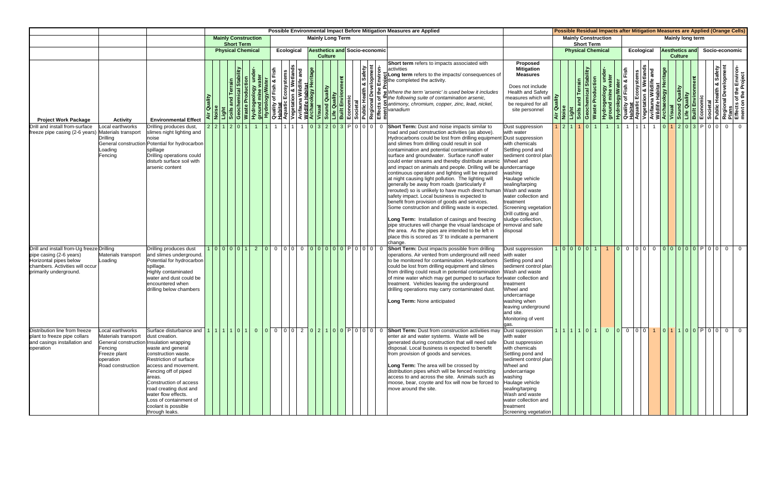|                                                                                                                                                             |                                                                                                                                                  |                                                                                                                                                                                                                                                                                              |         |                          |                                                                  |                            |                                     |                 |            |     |                |                                      |  |                      |                         | Possible Environmental Impact Before Mitigation Measures are Applied                                                                                                                                                                                                                                                                                                                                                                                                                                                                                                                                                                                                                                                                                                                                                                                                                                                                                                                                                                                    |                                                                                                                                                                                                                                                                                                                                            |  |                                                 |                            |  |                   |                |                |                       |  | Possible Residual Impacts after Mitigation Measures are Applied (Orange Cells)                                                                                                                                                                                                                      |
|-------------------------------------------------------------------------------------------------------------------------------------------------------------|--------------------------------------------------------------------------------------------------------------------------------------------------|----------------------------------------------------------------------------------------------------------------------------------------------------------------------------------------------------------------------------------------------------------------------------------------------|---------|--------------------------|------------------------------------------------------------------|----------------------------|-------------------------------------|-----------------|------------|-----|----------------|--------------------------------------|--|----------------------|-------------------------|---------------------------------------------------------------------------------------------------------------------------------------------------------------------------------------------------------------------------------------------------------------------------------------------------------------------------------------------------------------------------------------------------------------------------------------------------------------------------------------------------------------------------------------------------------------------------------------------------------------------------------------------------------------------------------------------------------------------------------------------------------------------------------------------------------------------------------------------------------------------------------------------------------------------------------------------------------------------------------------------------------------------------------------------------------|--------------------------------------------------------------------------------------------------------------------------------------------------------------------------------------------------------------------------------------------------------------------------------------------------------------------------------------------|--|-------------------------------------------------|----------------------------|--|-------------------|----------------|----------------|-----------------------|--|-----------------------------------------------------------------------------------------------------------------------------------------------------------------------------------------------------------------------------------------------------------------------------------------------------|
|                                                                                                                                                             |                                                                                                                                                  |                                                                                                                                                                                                                                                                                              |         |                          | <b>Short Term</b>                                                | <b>Mainly Construction</b> |                                     |                 |            |     |                | <b>Mainly Long Term</b>              |  |                      |                         |                                                                                                                                                                                                                                                                                                                                                                                                                                                                                                                                                                                                                                                                                                                                                                                                                                                                                                                                                                                                                                                         |                                                                                                                                                                                                                                                                                                                                            |  | <b>Short Term</b>                               | <b>Mainly Construction</b> |  |                   |                |                | Mainly long term      |  |                                                                                                                                                                                                                                                                                                     |
|                                                                                                                                                             |                                                                                                                                                  |                                                                                                                                                                                                                                                                                              |         | <b>Physical Chemical</b> |                                                                  |                            |                                     |                 | Ecological |     | <b>Culture</b> | <b>Aesthetics and Socio-economic</b> |  |                      |                         |                                                                                                                                                                                                                                                                                                                                                                                                                                                                                                                                                                                                                                                                                                                                                                                                                                                                                                                                                                                                                                                         |                                                                                                                                                                                                                                                                                                                                            |  |                                                 | <b>Physical Chemical</b>   |  | <b>Ecological</b> |                | <b>Culture</b> | <b>Aesthetics and</b> |  | Socio-economic                                                                                                                                                                                                                                                                                      |
| <b>Project Work Package</b>                                                                                                                                 | <b>Activity</b>                                                                                                                                  | <b>Environmental Effect</b>                                                                                                                                                                                                                                                                  | Quality |                          | <b>Soils and Terrain</b><br>Geochemical Stab<br>Waste Production |                            | Fish                                |                 |            | and |                |                                      |  | & Safety<br>elopment | $\frac{1}{5}$           | Short term refers to impacts associated with<br>lactivities<br>Long term refers to the impacts/consequences of<br><u>A Proposition of the distribution of the straight of the straight of the straight of the straight of the straight of the straight of the straight of the straight of the straight of the straight of the straight of the stra</u><br>Where the term 'arsenic' is used below it includes                                                                                                                                                                                                                                                                                                                                                                                                                                                                                                                                                                                                                                            | Proposed<br><b>Mitigation</b><br><b>Measures</b><br>Does not include<br><b>Health and Safety</b><br>measures which will<br>be required for all<br>site personnel                                                                                                                                                                           |  | nical Stability<br>Light<br>Soils an<br>Geochel | <b>Waste Production</b>    |  |                   |                |                |                       |  | Hydrogeology under-<br><b>Hydrology/Water</b><br><b>Pround mine water</b><br><b>Ruality of Fish &amp; Fish<br/> Aquatic Ecosystems<br/> Aquatic Ecosystems<br/> Arifauna Wildlife Habitat<br/> Wisual<br/> <b>Archaeology Heritage</b><br/> <b>Regional Development<br/> Economic<br/> Buil</b></b> |
| Drill and install from-surface<br>freeze pipe casing (2-6 years) Materials transport                                                                        | Local earthworks<br>Drillina<br>oading<br>Fencing                                                                                                | Drilling produces dust,<br>slimes night lighting and<br>noise<br>General construction Potential for hydrocarbon<br>spillage<br>Drilling operations could<br>disturb surface soil with<br>arsenic content                                                                                     |         | 2 2 1 2 0 1              |                                                                  |                            |                                     | $\overline{11}$ |            |     |                | 11 1 0 3 2 0 3 P 0 0 0 0             |  |                      | $\overline{\mathbf{0}}$ | <b>Short Term:</b> Dust and noise impacts similar to<br>road and pad construction activities (as above).<br>Hydrocarbons could be lost from drilling equipment<br>and slimes from drilling could result in soil<br>contamination and potential contamination of<br>surface and groundwater. Surface runoff water<br>could enter streams and thereby distribute arsenic<br>and impact on animals and people. Drilling will be a undercarriage<br>continuous operation and lighting will be required<br>at night causing light pollution. The lighting will<br>generally be away from roads (particularly if<br>rerouted) so is unlikely to have much direct human<br>safety impact. Local business is expected to<br>benefit from provision of goods and services.<br>Some construction and drilling waste is expected.<br>Long Term: Installation of casings and freezing<br>pipe structures will change the visual landscape of<br>the area. As the pipes are intended to be left in<br>place this is scored as '3' to indicate a permanent<br>change. | Dust suppression<br>with water<br>Dust suppression<br>with chemicals<br>Settling pond and<br>sediment control plan<br>Wheel and<br>washing<br>Haulage vehicle<br>sealing/tarping<br>Wash and waste<br>water collection and<br>treatment<br>Screening vegetation<br>Drill cutting and<br>sludge collection,<br>removal and safe<br>disposal |  | 1 2 1 1 1 0 1                                   |                            |  |                   | $\overline{1}$ |                |                       |  |                                                                                                                                                                                                                                                                                                     |
| Drill and install from-Ug freeze Drilling<br>pipe casing (2-6 years)<br>Horizontal pipes below<br>chambers. Activities will occur<br>primarily underground. | Materials transport<br>Loading                                                                                                                   | Drilling produces dust<br>and slimes underground.<br>Potential for hydrocarbon<br>spillage.<br>lighly contaminated<br>water and dust could be<br>encountered when<br>drilling below chambers                                                                                                 |         | 1 0 0 0 0 1              |                                                                  |                            | 2 0 0 0 0 0 0 0 0 0 0 0 0 0 0 0 0 0 |                 |            |     |                |                                      |  |                      | $\overline{\mathbf{0}}$ | Short Term: Dust impacts possible from drilling<br>operations. Air vented from underground will need<br>to be monitored for contamination. Hydrocarbons<br>could be lost from drilling equipment and slimes<br>from drilling could result in potential contamination<br>of mine water which may get pumped to surface for<br>treatment. Vehicles leaving the underground<br>drilling operations may carry contaminated dust.<br>Long Term: None anticipated                                                                                                                                                                                                                                                                                                                                                                                                                                                                                                                                                                                             | Dust suppression<br>with water<br>Settling pond and<br>sediment control plan<br>Wash and waste<br>rwater collection and<br>treatment<br>Wheel and<br>undercarriage<br>washing when<br>leaving underground<br>and site.<br>Monitoring of vent                                                                                               |  | 1 0 0 0 0 1                                     |                            |  |                   |                |                |                       |  | 000000000000000000                                                                                                                                                                                                                                                                                  |
| Distribution line from freeze<br>plant to freeze pipe collars<br>and casings installation and<br>operation                                                  | ocal earthworks.<br>Materials transport<br>General construction Insulation wrapping<br>Fencing<br>Freeze plant<br>operation<br>Road construction | dust creation.<br>waste and general<br>construction waste.<br>Restriction of surface<br>access and movement.<br>Fencing off of piped<br>areas.<br>Construction of access<br>road creating dust and<br>water flow effects.<br>Loss of containment of<br>coolant is possible<br>through leaks. |         |                          |                                                                  |                            |                                     |                 |            |     |                |                                      |  |                      |                         | enter air and water systems. Waste will be<br>generated during construction that will need safe<br>disposal. Local business is expected to benefit<br>from provision of goods and services.<br>Long Term: The area will be crossed by<br>distribution pipes which will be fenced restricting<br>access to and across the site. Animals such as<br>moose, bear, coyote and fox will now be forced to<br>move around the site.                                                                                                                                                                                                                                                                                                                                                                                                                                                                                                                                                                                                                            | Dust suppression<br>with water<br>Dust suppression<br>with chemicals<br>Settling pond and<br>sediment control plan<br>Wheel and<br>undercarriage<br>washing<br>Haulage vehicle<br>sealing/tarping<br>Wash and waste<br>water collection and<br>treatment<br>Screening vegetation                                                           |  |                                                 |                            |  |                   |                |                |                       |  |                                                                                                                                                                                                                                                                                                     |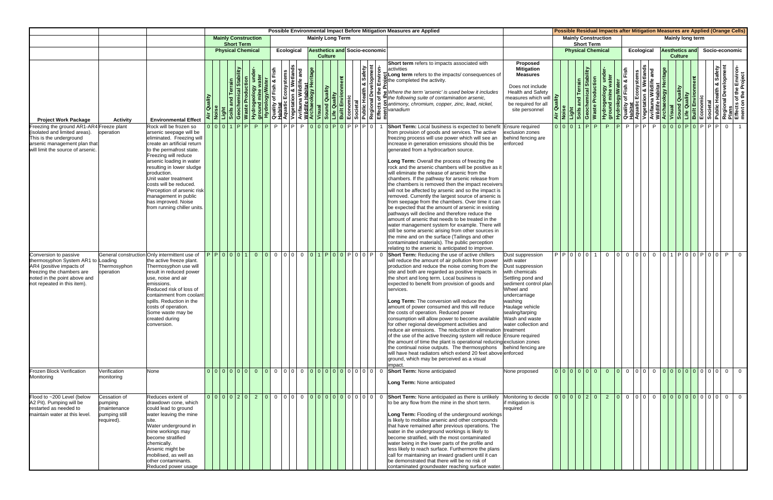|                                                                                                                                                                                     |                                                                        |                                                                                                                                                                                                                                                                                                                                                                                                         |                             |                   |                            |                                 |  |                         |                |                                      |                          |                | Possible Environmental Impact Before Mitigation Measures are Applied                                                                                                                                                                                                                                                                                                                                                                                                                                                                                                                                                                                                                                                                                                                                                                                                                                                                                                                                                                                                                                                                    |                                                                                                                                                                                                                                                                   |                                        |                                          | Possible Residual Impacts after Mitigation Measures are Applied (Orange Cells) |                                     |  |                                                               |  |                                         |  |                |                                                                                                                                                                                                                                                         |
|-------------------------------------------------------------------------------------------------------------------------------------------------------------------------------------|------------------------------------------------------------------------|---------------------------------------------------------------------------------------------------------------------------------------------------------------------------------------------------------------------------------------------------------------------------------------------------------------------------------------------------------------------------------------------------------|-----------------------------|-------------------|----------------------------|---------------------------------|--|-------------------------|----------------|--------------------------------------|--------------------------|----------------|-----------------------------------------------------------------------------------------------------------------------------------------------------------------------------------------------------------------------------------------------------------------------------------------------------------------------------------------------------------------------------------------------------------------------------------------------------------------------------------------------------------------------------------------------------------------------------------------------------------------------------------------------------------------------------------------------------------------------------------------------------------------------------------------------------------------------------------------------------------------------------------------------------------------------------------------------------------------------------------------------------------------------------------------------------------------------------------------------------------------------------------------|-------------------------------------------------------------------------------------------------------------------------------------------------------------------------------------------------------------------------------------------------------------------|----------------------------------------|------------------------------------------|--------------------------------------------------------------------------------|-------------------------------------|--|---------------------------------------------------------------|--|-----------------------------------------|--|----------------|---------------------------------------------------------------------------------------------------------------------------------------------------------------------------------------------------------------------------------------------------------|
|                                                                                                                                                                                     |                                                                        |                                                                                                                                                                                                                                                                                                                                                                                                         |                             | <b>Short Term</b> | <b>Mainly Construction</b> |                                 |  | <b>Mainly Long Term</b> |                |                                      |                          |                |                                                                                                                                                                                                                                                                                                                                                                                                                                                                                                                                                                                                                                                                                                                                                                                                                                                                                                                                                                                                                                                                                                                                         |                                                                                                                                                                                                                                                                   |                                        |                                          | <b>Mainly Construction</b><br><b>Short Term</b>                                |                                     |  |                                                               |  | Mainly long term                        |  |                |                                                                                                                                                                                                                                                         |
|                                                                                                                                                                                     |                                                                        |                                                                                                                                                                                                                                                                                                                                                                                                         |                             |                   | <b>Physical Chemical</b>   | Ecological                      |  |                         | <b>Culture</b> | <b>Aesthetics and Socio-economic</b> |                          |                |                                                                                                                                                                                                                                                                                                                                                                                                                                                                                                                                                                                                                                                                                                                                                                                                                                                                                                                                                                                                                                                                                                                                         |                                                                                                                                                                                                                                                                   |                                        |                                          | <b>Physical Chemical</b>                                                       |                                     |  | <b>Ecological</b>                                             |  | <b>Aesthetics and</b><br><b>Culture</b> |  | Socio-economic |                                                                                                                                                                                                                                                         |
| <b>Project Work Package</b>                                                                                                                                                         | <b>Activity</b>                                                        | <b>Environmental Effect</b>                                                                                                                                                                                                                                                                                                                                                                             | Air Quality                 |                   | Waste Pr                   |                                 |  |                         |                |                                      | th & Safety<br>welopment |                | Short term refers to impacts associated with<br>Newslet Records and the Content of Change of the Content of Change of Change of Change of Change of Change of the Content of Change of Change of Change of Change of Change of Change of Change of Change of Change of Change<br>bigLong term refers to the impacts/consequences of<br>include completed the activity.<br>Where the term 'arsenic' is used below it includes                                                                                                                                                                                                                                                                                                                                                                                                                                                                                                                                                                                                                                                                                                            | Proposed<br><b>Mitigation</b><br><b>Measures</b><br>Does not include<br><b>Health and Safety</b><br>measures which will<br>be required for all<br>site personnel                                                                                                  | ality<br>$\overline{q}$ $\overline{u}$ | and Terr<br>Light<br>Soils an<br>Geochel | mical Stability<br><b>Waste Production</b>                                     | Hydrogeology un<br>ground mine wate |  |                                                               |  |                                         |  |                | <b>Example 18 Access Crisin Android Sylvater</b><br>Quality of Fish & Fish<br>Aquatic Ecosystems<br>Avifauna Wildlife and<br>Avifauna Wildlife and<br>Misual<br>Sound Quality<br>Economic<br>Built Environment<br>Regional Development<br>Regional Deve |
| Freezing the ground AR1-AR4 Freeze plant<br>(isolated and limited areas).<br>This is the underground<br>arsenic management plan that<br>will limit the source of arsenic.           | operation                                                              | Rock will be frozen so<br>arsenic seepage will be<br>eliminated. Freezing will<br>create an artificial return<br>to the permafrost state.<br>Freezing will reduce<br>arsenic loading in water<br>resulting in lower sludge<br>production.<br>Jnit water treatment<br>costs will be reduced.<br>Perception of arsenic risk<br>management in public<br>has improved. Noise<br>from running chiller units. | $0  0 0 1 1 P P $           |                   | P.                         | PPPPPPP000P0PPPP0               |  |                         |                |                                      |                          |                | <b>Short Term:</b> Local business is expected to benefit<br>from provision of goods and services. The active<br>freezing process will use power which will see an<br>increase in generation emissions should this be<br>generated from a hydrocarbon source.<br>Long Term: Overall the process of freezing the<br>rock and the arsenic chambers will be positive as it<br>will eliminate the release of arsenic from the<br>chambers. If the pathway for arsenic release from<br>the chambers is removed then the impact receivers<br>will not be affected by arsenic and so the impact is<br>removed. Currently the largest source of arsenic is<br>from seepage from the chambers. Over time it can<br>be expected that the amount of arsenic in existing<br>pathways will decline and therefore reduce the<br>amount of arsenic that needs to be treated in the<br>water management system for example. There will<br>still be some arsenic arising from other sources in<br>the mine and on the surface (Tailings and other<br>contaminated materials). The public perception<br>relating to the arsenic is anticipated to improve. | Ensure required<br>exclusion zones<br>behind fencing are<br>enforced                                                                                                                                                                                              | 0 0 0 1                                |                                          | P <br>P.                                                                       | P.                                  |  | <u>IPIPIPIPIOIOIOIPIOIPIPIPIOI</u>                            |  |                                         |  |                |                                                                                                                                                                                                                                                         |
| Conversion to passive<br>thermosyphon System AR1 to Loading<br>AR4 (positive impacts of<br>freezing the chambers are<br>noted in the point above and<br>not repeated in this item). | Thermosyphon<br>operation                                              | General construction Only intermittent use of<br>the active freeze plant.<br>Thermosyphon use will<br>result in reduced power<br>use, noise and air<br>emissions.<br>Reduced risk of loss of<br>containment from coolant<br>spills. Reduction in the<br>costs of operation.<br>Some waste may be<br>created during<br>conversion.                                                                       | P P 0 0 0 1                 |                   |                            | 0 0 0 0 0 0 0 0 1 P 0 0 P 0 0 P |  |                         |                |                                      |                          | $\overline{0}$ | Short Term: Reducing the use of active chillers<br>will reduce the amount of air pollution from power<br>production and reduce the noise coming from the<br>site and both are regarded as positive impacts in<br>the short and long term. Local business is<br>expected to benefit from provision of goods and<br>services.<br>Long Term: The conversion will reduce the<br>amount of power consumed and this will reduce<br>the costs of operation. Reduced power<br>consumption will allow power to become available<br>for other regional development activities and<br>reduce air emissions. The reduction or elimination treatment<br>of the use of the active freezing system will reduce Ensure required<br>the amount of time the plant is operational reducing exclusion zones<br>the continual noise outputs. The thermosyphons<br>will have heat radiators which extend 20 feet above enforced<br>ground, which may be perceived as a visual<br>impact.                                                                                                                                                                      | Dust suppression<br>with water<br>Dust suppression<br>with chemicals<br>Settling pond and<br>sediment control plan<br>Wheel and<br>undercarriage<br>washing<br>Haulage vehicle<br>sealing/tarping<br>Wash and waste<br>water collection and<br>behind fencing are |                                        |                                          | PIPI0101011                                                                    |                                     |  | 0   0   0   0   0   0   0   1   P   0   0   P   0   0   P   0 |  |                                         |  |                |                                                                                                                                                                                                                                                         |
| <b>Frozen Block Verification</b><br>Monitoring                                                                                                                                      | Verification<br>monitoring                                             | None                                                                                                                                                                                                                                                                                                                                                                                                    |                             |                   |                            |                                 |  |                         |                |                                      |                          |                | Long Term: None anticipated                                                                                                                                                                                                                                                                                                                                                                                                                                                                                                                                                                                                                                                                                                                                                                                                                                                                                                                                                                                                                                                                                                             | None proposed                                                                                                                                                                                                                                                     |                                        |                                          | 000000000000000000000000000                                                    |                                     |  |                                                               |  |                                         |  |                |                                                                                                                                                                                                                                                         |
| Flood to ~200 Level (below<br>A2 Pit). Pumping will be<br>restarted as needed to<br>maintain water at this level.                                                                   | Cessation of<br>pumping<br>(maintenance<br>pumping still<br>required). | Reduces extent of<br>drawdown cone, which<br>could lead to ground<br>water leaving the mine<br>Water underground in<br>mine workings may<br>become stratified<br>chemically.<br>\rsenic might be<br>mobilised, as well as<br>other contaminants.<br>Reduced power usage                                                                                                                                 | 000020202000000000000000000 |                   |                            |                                 |  |                         |                |                                      |                          |                | Short Term: None anticipated as there is unlikely<br>to be any flow from the mine in the short term.<br>Long Term: Flooding of the underground workings<br>is likely to mobilise arsenic and other compounds<br>that have remained after previous operations. The<br>water in the underground workings is likely to<br>become stratified, with the most contaminated<br>water being in the lower parts of the profile and<br>less likely to reach surface. Furthermore the plans<br>call for maintaining an inward gradient until it can<br>be demonstrated that there will be no risk of<br>contaminated groundwater reaching surface water                                                                                                                                                                                                                                                                                                                                                                                                                                                                                            | if mitigation is<br>required                                                                                                                                                                                                                                      |                                        |                                          |                                                                                |                                     |  |                                                               |  |                                         |  |                |                                                                                                                                                                                                                                                         |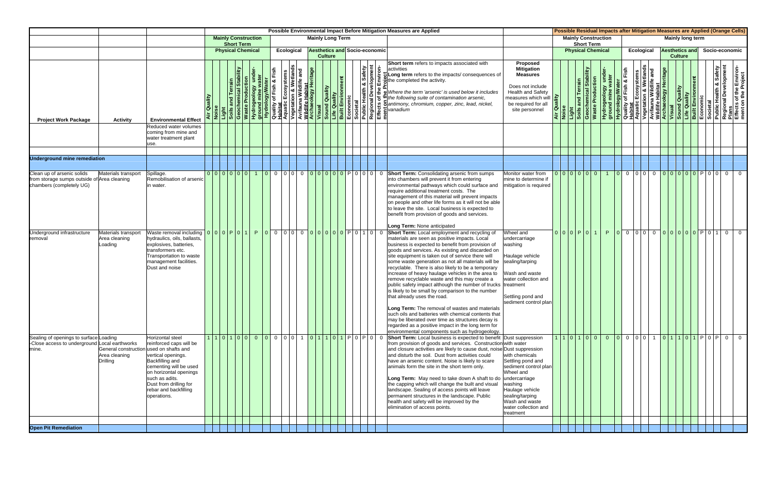|                                                                                                       |                                                                      |                                                                                                                                                                                                                              |         |                   |                            |                           |  |                |                         |                                      | Possible Environmental Impact Before Mitigation Measures are Applied                                                                                                                                                                                                                                                                                                                                                                                                                                                                                                                                                                                                                                                                                                                                                                          |                                                                                                                                                                                   |                       |                   |                            | Possible Residual Impacts after Mitigation Measures are Applied (Orange Cells)                                                                                                                                                                                                                                                                                                                                                                                                                                                                                        |                   |                       |                |                  |  |                |
|-------------------------------------------------------------------------------------------------------|----------------------------------------------------------------------|------------------------------------------------------------------------------------------------------------------------------------------------------------------------------------------------------------------------------|---------|-------------------|----------------------------|---------------------------|--|----------------|-------------------------|--------------------------------------|-----------------------------------------------------------------------------------------------------------------------------------------------------------------------------------------------------------------------------------------------------------------------------------------------------------------------------------------------------------------------------------------------------------------------------------------------------------------------------------------------------------------------------------------------------------------------------------------------------------------------------------------------------------------------------------------------------------------------------------------------------------------------------------------------------------------------------------------------|-----------------------------------------------------------------------------------------------------------------------------------------------------------------------------------|-----------------------|-------------------|----------------------------|-----------------------------------------------------------------------------------------------------------------------------------------------------------------------------------------------------------------------------------------------------------------------------------------------------------------------------------------------------------------------------------------------------------------------------------------------------------------------------------------------------------------------------------------------------------------------|-------------------|-----------------------|----------------|------------------|--|----------------|
|                                                                                                       |                                                                      |                                                                                                                                                                                                                              |         | <b>Short Term</b> | <b>Mainly Construction</b> |                           |  |                | <b>Mainly Long Term</b> |                                      |                                                                                                                                                                                                                                                                                                                                                                                                                                                                                                                                                                                                                                                                                                                                                                                                                                               |                                                                                                                                                                                   |                       | <b>Short Term</b> | <b>Mainly Construction</b> |                                                                                                                                                                                                                                                                                                                                                                                                                                                                                                                                                                       |                   |                       |                | Mainly long term |  |                |
|                                                                                                       |                                                                      |                                                                                                                                                                                                                              |         |                   | <b>Physical Chemical</b>   | Ecological                |  | <b>Culture</b> |                         | <b>Aesthetics and Socio-economic</b> |                                                                                                                                                                                                                                                                                                                                                                                                                                                                                                                                                                                                                                                                                                                                                                                                                                               |                                                                                                                                                                                   |                       |                   | <b>Physical Chemical</b>   |                                                                                                                                                                                                                                                                                                                                                                                                                                                                                                                                                                       | <b>Ecological</b> | <b>Aesthetics and</b> | <b>Culture</b> |                  |  | Socio-economic |
| <b>Project Work Package</b>                                                                           | <b>Activity</b>                                                      | <b>Environmental Effect</b>                                                                                                                                                                                                  | Quality |                   |                            |                           |  |                |                         | a Safety<br>ត់                       | Short term refers to impacts associated with<br>activities                                                                                                                                                                                                                                                                                                                                                                                                                                                                                                                                                                                                                                                                                                                                                                                    | Proposed<br><b>Mitigation</b><br><b>Measures</b><br>Does not include<br><b>Health and Safety</b><br>measures which will<br>be required for all<br>site personnel                  |                       |                   |                            | $\begin{tabular}{r c c} $\mathbf{A} \text{ir } \mathbf{Quair} & $\mathbf{v} \text{ is a} \ \hline \text{Avi } \mathbf{Quair} \\ \hline \text{Noise} & \text{Bolis and Terrain} \\ \hline \text{Soils and Terrain} \\ \hline \text{Solis and Terain} \\ \hline \text{Solis and Terain} \\ \hline \text{Waste Production} & \text{Water} \\ \hline \text{Wotogology under} \\ \hline \text{Quatrix of Fish & Fish} \\ \hline \text{Quatrix of Fish & Fish} \\ \hline \text{Quatrix of Fish & Fish} \\ \hline \text{Multite Habitat} \\ \hline \text{Wistana Wildlife H$ |                   |                       |                |                  |  |                |
|                                                                                                       |                                                                      | Reduced water volumes<br>coming from mine and<br>water treatment plant<br>use.                                                                                                                                               |         |                   |                            |                           |  |                |                         |                                      |                                                                                                                                                                                                                                                                                                                                                                                                                                                                                                                                                                                                                                                                                                                                                                                                                                               |                                                                                                                                                                                   |                       |                   |                            |                                                                                                                                                                                                                                                                                                                                                                                                                                                                                                                                                                       |                   |                       |                |                  |  |                |
|                                                                                                       |                                                                      |                                                                                                                                                                                                                              |         |                   |                            |                           |  |                |                         |                                      |                                                                                                                                                                                                                                                                                                                                                                                                                                                                                                                                                                                                                                                                                                                                                                                                                                               |                                                                                                                                                                                   |                       |                   |                            |                                                                                                                                                                                                                                                                                                                                                                                                                                                                                                                                                                       |                   |                       |                |                  |  |                |
| <b>Underground mine remediation</b>                                                                   |                                                                      |                                                                                                                                                                                                                              |         |                   |                            |                           |  |                |                         |                                      |                                                                                                                                                                                                                                                                                                                                                                                                                                                                                                                                                                                                                                                                                                                                                                                                                                               |                                                                                                                                                                                   |                       |                   |                            |                                                                                                                                                                                                                                                                                                                                                                                                                                                                                                                                                                       |                   |                       |                |                  |  |                |
| Clean up of arsenic solids<br>from storage sumps outside of Area cleaning<br>chambers (completely UG) | Materials transport                                                  | Spillage.<br>Remobilisation of arsenic<br>n water.                                                                                                                                                                           |         |                   |                            |                           |  |                |                         |                                      | into chambers will prevent it from entering<br>environmental pathways which could surface and<br>require additional treatment costs. The<br>management of this material will prevent impacts<br>on people and other life forms as it will not be able<br>to leave the site. Local business is expected to<br>benefit from provision of goods and services.                                                                                                                                                                                                                                                                                                                                                                                                                                                                                    | Monitor water from<br>mine to determine if<br>mitigation is required                                                                                                              | 0 0 0 0 0             |                   |                            | 1 0 0 0 0 0 0 0 0 0 0 0 0 0 0 0 0                                                                                                                                                                                                                                                                                                                                                                                                                                                                                                                                     |                   |                       |                |                  |  |                |
| Underground infrastructure                                                                            | Materials transport                                                  | Waste removal including                                                                                                                                                                                                      |         |                   |                            | 0000P01 P000000000000P010 |  |                |                         | $\overline{0}$                       | Long Term: None anticipated<br>Short Term: Local employment and recycling of                                                                                                                                                                                                                                                                                                                                                                                                                                                                                                                                                                                                                                                                                                                                                                  | Wheel and                                                                                                                                                                         | 0   0   0   P   0   1 |                   |                            | P 0 0 0 0 0 0 0 0 0 0 0 0 P 0 1 0 0                                                                                                                                                                                                                                                                                                                                                                                                                                                                                                                                   |                   |                       |                |                  |  |                |
| removal                                                                                               | Area cleaning<br>Loading                                             | hydraulics, oils, ballasts.<br>explosives, batteries,<br>ransformers etc.<br><b>Transportation to waste</b><br>management facilities.<br>Dust and noise                                                                      |         |                   |                            |                           |  |                |                         |                                      | materials are seen as positive impacts. Local<br>business is expected to benefit from provision of<br>goods and services. As existing and discarded on<br>site equipment is taken out of service there will<br>some waste generation as not all materials will be<br>recyclable. There is also likely to be a temporary<br>increase of heavy haulage vehicles in the area to<br>remove recyclable waste and this may create a<br>public safety impact although the number of trucks<br>is likely to be small by comparison to the number<br>that already uses the road.<br>Long Term: The removal of wastes and materials<br>such oils and batteries with chemical contents that<br>may be liberated over time as structures decay is<br>regarded as a positive impact in the long term for<br>environmental components such as hydrogeology. | undercarriage<br>washing<br>Haulage vehicle<br>sealing/tarping<br>Wash and waste<br>water collection and<br>treatment<br>Settling pond and<br>sediment control plan               |                       |                   |                            |                                                                                                                                                                                                                                                                                                                                                                                                                                                                                                                                                                       |                   |                       |                |                  |  |                |
| Sealing of openings to surface Loading<br>-Close access to underground Local earthworks<br>mine.      | General construction used on shafts and<br>Area cleaning<br>Drilling | Horizontal steel<br>reinforced caps will be<br>vertical openings.<br>Backfilling and<br>cementing will be used<br>on horizontal openings<br>such as adits.<br>Dust from drilling for<br>rebar and backfilling<br>operations. |         |                   |                            |                           |  |                |                         |                                      | from provision of goods and services. Construction with water<br>and closure activities are likely to cause dust, noise Dust suppression<br>land disturb the soil. Dust from activities could<br>have an arsenic content. Noise is likely to scare<br>animals form the site in the short term only.<br>Long Term: May need to take down A shaft to do undercarriage<br>the capping which will change the built and visual<br>landscape. Sealing of access points will leave<br>permanent structures in the landscape. Public<br>health and safety will be improved by the<br>elimination of access points.                                                                                                                                                                                                                                    | with chemicals<br>Settling pond and<br>sediment control plan<br>Wheel and<br>washing<br>Haulage vehicle<br>sealing/tarping<br>Wash and waste<br>water collection and<br>treatment |                       |                   |                            |                                                                                                                                                                                                                                                                                                                                                                                                                                                                                                                                                                       |                   |                       |                |                  |  |                |
|                                                                                                       |                                                                      |                                                                                                                                                                                                                              |         |                   |                            |                           |  |                |                         |                                      |                                                                                                                                                                                                                                                                                                                                                                                                                                                                                                                                                                                                                                                                                                                                                                                                                                               |                                                                                                                                                                                   |                       |                   |                            |                                                                                                                                                                                                                                                                                                                                                                                                                                                                                                                                                                       |                   |                       |                |                  |  |                |
| <b>Open Pit Remediation</b>                                                                           |                                                                      |                                                                                                                                                                                                                              |         |                   |                            |                           |  |                |                         |                                      |                                                                                                                                                                                                                                                                                                                                                                                                                                                                                                                                                                                                                                                                                                                                                                                                                                               |                                                                                                                                                                                   |                       |                   |                            |                                                                                                                                                                                                                                                                                                                                                                                                                                                                                                                                                                       |                   |                       |                |                  |  |                |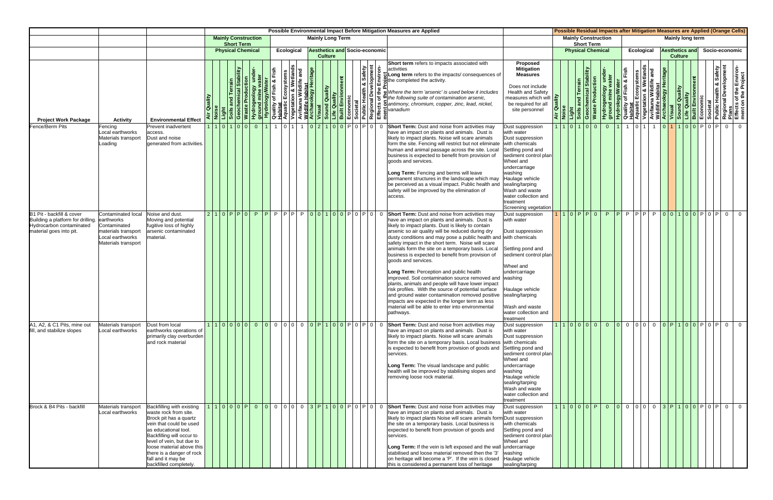|                                                                                                                       |                                                                                                                    |                                                                                                                                                                                                                                                                                                     |             |                                                 |                                              |                                                                                                                                                                                                                     |                                        |            |                         |                |  |                                                                |  | Possible Environmental Impact Before Mitigation Measures are Applied                                                                                                                                                                                                                                                                                                                                                                                                                                                                                                                                                                                                                                                                                                                                                                                          |                                                                                                                                                                                                                                                                                  |                                                    |                            |                                                       |                                       |             |                   |                       |                |  |  | Possible Residual Impacts after Mitigation Measures are Applied (Orange Cells)                                                                                                                                                                            |
|-----------------------------------------------------------------------------------------------------------------------|--------------------------------------------------------------------------------------------------------------------|-----------------------------------------------------------------------------------------------------------------------------------------------------------------------------------------------------------------------------------------------------------------------------------------------------|-------------|-------------------------------------------------|----------------------------------------------|---------------------------------------------------------------------------------------------------------------------------------------------------------------------------------------------------------------------|----------------------------------------|------------|-------------------------|----------------|--|----------------------------------------------------------------|--|---------------------------------------------------------------------------------------------------------------------------------------------------------------------------------------------------------------------------------------------------------------------------------------------------------------------------------------------------------------------------------------------------------------------------------------------------------------------------------------------------------------------------------------------------------------------------------------------------------------------------------------------------------------------------------------------------------------------------------------------------------------------------------------------------------------------------------------------------------------|----------------------------------------------------------------------------------------------------------------------------------------------------------------------------------------------------------------------------------------------------------------------------------|----------------------------------------------------|----------------------------|-------------------------------------------------------|---------------------------------------|-------------|-------------------|-----------------------|----------------|--|--|-----------------------------------------------------------------------------------------------------------------------------------------------------------------------------------------------------------------------------------------------------------|
|                                                                                                                       |                                                                                                                    |                                                                                                                                                                                                                                                                                                     |             | <b>Mainly Construction</b><br><b>Short Term</b> |                                              |                                                                                                                                                                                                                     |                                        |            | <b>Mainly Long Term</b> |                |  |                                                                |  |                                                                                                                                                                                                                                                                                                                                                                                                                                                                                                                                                                                                                                                                                                                                                                                                                                                               |                                                                                                                                                                                                                                                                                  |                                                    |                            | <b>Mainly Construction</b><br><b>Short Term</b>       |                                       |             |                   | Mainly long term      |                |  |  |                                                                                                                                                                                                                                                           |
|                                                                                                                       |                                                                                                                    |                                                                                                                                                                                                                                                                                                     |             | <b>Physical Chemical</b>                        |                                              |                                                                                                                                                                                                                     |                                        | Ecological |                         | <b>Culture</b> |  | <b>Aesthetics and Socio-economic</b>                           |  |                                                                                                                                                                                                                                                                                                                                                                                                                                                                                                                                                                                                                                                                                                                                                                                                                                                               |                                                                                                                                                                                                                                                                                  |                                                    |                            | <b>Physical Chemical</b>                              |                                       |             | <b>Ecological</b> | <b>Aesthetics and</b> | <b>Culture</b> |  |  | Socio-economic                                                                                                                                                                                                                                            |
| <b>Project Work Package</b>                                                                                           | <b>Activity</b>                                                                                                    | <b>Environmental Effect</b>                                                                                                                                                                                                                                                                         | Air Quality |                                                 | duction<br>Geocherr<br><mark>Waste Pr</mark> | Hydrogeology under-<br>ground mine water<br>Hydrology/Water<br>Quality of Fish & Fish<br>Aquatic Ecosystems<br>Aquatic Ecosystems<br>Wisual<br>Archaeology Heritage<br>Archaeology Heritage<br>Archaeology Heritage |                                        |            |                         |                |  | Safety<br>pment                                                |  | Short term refers to impacts associated with<br>activities<br>Long term refers to the impacts/consequences of<br><b>Example 12</b><br><b>Example 12</b><br><b>Example 12</b><br><b>Example 12</b><br><b>Example 12</b><br><b>Example 12</b><br><b>Example 12</b><br><b>Example 12</b><br><b>Example 12</b><br><b>Example 12</b><br><b>Example 12</b><br><b>Example 12</b><br><b>Example 12</b><br><b>Example 12</b><br><b>Example 12</b><br><b>Example 12</b>                                                                                                                                                                                                                                                                                                                                                                                                 | Proposed<br><b>Mitigation</b><br><b>Measures</b><br>Does not include<br><b>Health and Safety</b><br>measures which will<br>be required for all<br>site personnel                                                                                                                 | ality<br>$\overline{G}$ , $\overline{\phantom{a}}$ | and Teri<br>Light<br>Soils | mical Stability<br><b>Waste Production</b><br>Geocher | Hydrogeology und<br>ground mine water |             |                   |                       |                |  |  | <b>Example 18 Access Crisin Android Sylvater</b><br>Quality of Fish & Fish<br>Aquatic Ecosystems<br>Avifauna Wildlife and<br>Avifauna Wildlife and<br>Mighter Habitat<br>Misual<br>Sound Quality<br>Economic<br>Economic<br>Regional Development<br>Regio |
| Fence/Berm Pits                                                                                                       | Fencing<br>Local earthworks<br>Materials transport<br>Loading                                                      | Prevent inadvertent<br>access.<br>Dust and noise<br>generated from activities                                                                                                                                                                                                                       |             | 101100                                          |                                              | $\overline{0}$                                                                                                                                                                                                      | $\begin{array}{c c} 0 & 1 \end{array}$ |            |                         |                |  | 1 0 2 1 0 0 0 P 0 P 0 P 0                                      |  | have an impact on plants and animals. Dust is<br>likely to impact plants. Noise will scare animals<br>form the site. Fencing will restrict but not eliminate<br>human and animal passage across the site. Local<br>business is expected to benefit from provision of<br>goods and services.<br>Long Term: Fencing and berms will leave<br>permanent structures in the landscape which may<br>be perceived as a visual impact. Public health and<br>safety will be improved by the elimination of<br>access.                                                                                                                                                                                                                                                                                                                                                   | Dust suppression<br>with water<br>Dust suppression<br>with chemicals<br>Settling pond and<br>sediment control plan<br>Wheel and<br>undercarriage<br>washing<br>Haulage vehicle<br>sealing/tarping<br>Wash and waste<br>water collection and<br>treatment<br>Screening vegetation |                                                    |                            | 1 1 0 1 0 0                                           | $0$   1                               | $1$ $0$ $1$ |                   |                       |                |  |  | 1 0 1 1 0 0 P 0 P 0 P 0 0                                                                                                                                                                                                                                 |
| B1 Pit - backfill & cover<br>Building a platform for drilling.<br>Hydrocarbon contaminated<br>material goes into pit. | Contaminated local<br>earthworks<br>Contaminated<br>materials transport<br>Local earthworks<br>Materials transport | Noise and dust.<br>Moving and potential<br>fugitive loss of highly<br>arsenic contaminated<br>naterial.                                                                                                                                                                                             |             | 2110 PP0 PP                                     |                                              |                                                                                                                                                                                                                     |                                        |            |                         |                |  | IP IP IP IP <mark>I o I o I 1 I o I o IP I</mark> o I PI o I o |  | <b>Short Term:</b> Dust and noise from activities may<br>have an impact on plants and animals. Dust is<br>likely to impact plants. Dust is likely to contain<br>arsenic so air quality will be reduced during dry<br>dusty conditions and may pose a public health and with chemicals<br>safety impact in the short term. Noise will scare<br>animals form the site on a temporary basis. Local<br>business is expected to benefit from provision of<br>goods and services.<br>Long Term: Perception and public health<br>improved. Soil contamination source removed and<br>plants, animals and people will have lower impact<br>risk profiles. With the source of potential surface<br>and ground water contamination removed positive<br>impacts are expected in the longer term as less<br>material will be able to enter into environmental<br>pathways. | Dust suppression<br>with water<br>Dust suppression<br>Settling pond and<br>sediment control plan<br>Wheel and<br>undercarriage<br>washing<br>Haulage vehicle<br>sealing/tarping<br>Wash and waste<br>water collection and<br>treatment                                           |                                                    |                            | 110 P P 0                                             |                                       |             |                   |                       |                |  |  | P P P P P P P P O O 10 0 P O P O P O C                                                                                                                                                                                                                    |
| A1, A2, & C1 Pits, mine out<br>fill, and stabilize slopes                                                             | Materials transport<br>Local earthworks                                                                            | Dust from local<br>earthworks operations of<br>primarily clay overburden<br>and rock material                                                                                                                                                                                                       |             |                                                 |                                              |                                                                                                                                                                                                                     |                                        |            |                         |                |  |                                                                |  | have an impact on plants and animals. Dust is<br>likely to impact plants. Noise will scare animals<br>form the site on a temporary basis. Local business<br>is expected to benefit from provision of goods and<br>services.<br>Long Term: The visual landscape and public<br>health will be improved by stabilising slopes and<br>removing loose rock material.                                                                                                                                                                                                                                                                                                                                                                                                                                                                                               | Dust suppression<br>with water<br>Dust suppression<br>with chemicals<br>Settling pond and<br>sediment control plan<br>Wheel and<br>undercarriage<br>washing<br>Haulage vehicle<br>sealing/tarping<br>Wash and waste<br>water collection and<br>treatment                         |                                                    |                            |                                                       |                                       |             |                   |                       |                |  |  | 1100000000000000000000000000000                                                                                                                                                                                                                           |
| Brock & B4 Pits - backfill                                                                                            | Materials transport<br>Local earthworks                                                                            | Backfilling with existing<br>waste rock from site.<br>Brock pit has a quartz<br>vein that could be used<br>as educational tool.<br>Backfilling will occur to<br>level of vein, but due to<br>loose material above this<br>there is a danger of rock<br>fall and it may be<br>backfilled completely. |             |                                                 |                                              |                                                                                                                                                                                                                     |                                        |            |                         |                |  |                                                                |  | 10000P00000003P100P0P0P0 Short Term: Dust and noise from activities may<br>have an impact on plants and animals. Dust is<br>likely to impact plants Noise will scare animals form Dust suppression<br>the site on a temporary basis. Local business is<br>expected to benefit from provision of goods and<br>services.<br>Long Term: If the vein is left exposed and the wall<br>stabilised and loose material removed then the '3'<br>on heritage will become a 'P'. If the vein is closed<br>this is considered a permanent loss of heritage                                                                                                                                                                                                                                                                                                                | Dust suppression<br>with water<br>with chemicals<br>Settling pond and<br>sediment control plan<br>Wheel and<br>undercarriage<br>washing<br>Haulage vehicle<br>sealing/tarping                                                                                                    |                                                    |                            |                                                       |                                       |             |                   |                       |                |  |  | 1 1 0 0 0 P  0  0  0  0  0  0  3  P  1  0  0  P  0  P  0  0  0                                                                                                                                                                                            |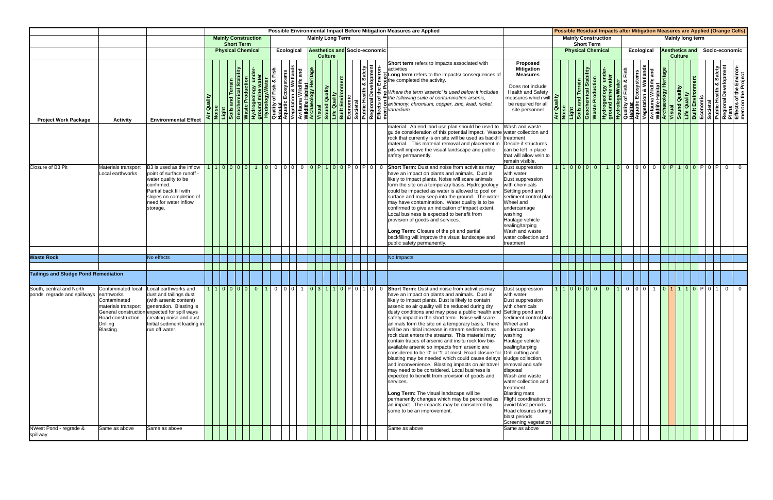|                                                                                   |                                                                                                                                                     |                                                                                                                                                                                                                                                   |                    |                   |                             |                         |            |                                                        |  |                           |                | Possible Environmental Impact Before Mitigation Measures are Applied                                                                                                                                                                                                                                                                                                                                                                                                                                                                                                                                                                                                                                                                                                                                                                                                                                                                                                                                                                                                                                                        |                                                                                                                                                                                                                                                                                                                                                                                                                                |        |                                                                                         |  |                   |                       |                |                  |  | Possible Residual Impacts after Mitigation Measures are Applied (Orange Cells)                                                                                                                                                                                                                         |  |
|-----------------------------------------------------------------------------------|-----------------------------------------------------------------------------------------------------------------------------------------------------|---------------------------------------------------------------------------------------------------------------------------------------------------------------------------------------------------------------------------------------------------|--------------------|-------------------|-----------------------------|-------------------------|------------|--------------------------------------------------------|--|---------------------------|----------------|-----------------------------------------------------------------------------------------------------------------------------------------------------------------------------------------------------------------------------------------------------------------------------------------------------------------------------------------------------------------------------------------------------------------------------------------------------------------------------------------------------------------------------------------------------------------------------------------------------------------------------------------------------------------------------------------------------------------------------------------------------------------------------------------------------------------------------------------------------------------------------------------------------------------------------------------------------------------------------------------------------------------------------------------------------------------------------------------------------------------------------|--------------------------------------------------------------------------------------------------------------------------------------------------------------------------------------------------------------------------------------------------------------------------------------------------------------------------------------------------------------------------------------------------------------------------------|--------|-----------------------------------------------------------------------------------------|--|-------------------|-----------------------|----------------|------------------|--|--------------------------------------------------------------------------------------------------------------------------------------------------------------------------------------------------------------------------------------------------------------------------------------------------------|--|
|                                                                                   |                                                                                                                                                     |                                                                                                                                                                                                                                                   |                    | <b>Short Term</b> | <b>Mainly Construction</b>  |                         |            | <b>Mainly Long Term</b>                                |  |                           |                |                                                                                                                                                                                                                                                                                                                                                                                                                                                                                                                                                                                                                                                                                                                                                                                                                                                                                                                                                                                                                                                                                                                             |                                                                                                                                                                                                                                                                                                                                                                                                                                |        | <b>Mainly Construction</b><br><b>Short Term</b>                                         |  |                   |                       |                | Mainly long term |  |                                                                                                                                                                                                                                                                                                        |  |
|                                                                                   |                                                                                                                                                     |                                                                                                                                                                                                                                                   |                    |                   | <b>Physical Chemical</b>    |                         | Ecological | <b>Aesthetics and Socio-economic</b><br><b>Culture</b> |  |                           |                |                                                                                                                                                                                                                                                                                                                                                                                                                                                                                                                                                                                                                                                                                                                                                                                                                                                                                                                                                                                                                                                                                                                             |                                                                                                                                                                                                                                                                                                                                                                                                                                |        | <b>Physical Chemical</b>                                                                |  | <b>Ecological</b> | <b>Aesthetics and</b> | <b>Culture</b> |                  |  | Socio-economic                                                                                                                                                                                                                                                                                         |  |
| <b>Project Work Package</b>                                                       | Activity                                                                                                                                            | <b>Environmental Effect</b>                                                                                                                                                                                                                       | <b>Air Quality</b> |                   |                             |                         |            |                                                        |  | th & Safety<br>svelopment |                | Short term refers to impacts associated with<br>activities                                                                                                                                                                                                                                                                                                                                                                                                                                                                                                                                                                                                                                                                                                                                                                                                                                                                                                                                                                                                                                                                  | Proposed<br><b>Mitigation</b><br><b>Measures</b><br>Does not include<br><b>Health and Safety</b><br>measures which will $\frac{ \mathbf{P} }{ \mathbf{P} }$<br>be required for all<br>site personnel                                                                                                                                                                                                                           | Air Qu | <b>Stability</b><br>Light<br>Soils and Terrain<br>Geochemical Stabi<br>Waste Production |  |                   |                       |                |                  |  | Hydrogeology under-<br><b>Hydrogeology under-</b><br><b>Ruality of Fish &amp; Fish<br/> Aquatic Ecosystems<br/> Aquatic Ecosystems<br/> Avifauna Wildlife and<br/> Wisual<br/> <b>Archaeology Heritage</b><br/> <b>Ruality Sound Quality</b><br/> <b>Ruality Societal</b><br/> <b>Regional Dev</b></b> |  |
|                                                                                   |                                                                                                                                                     |                                                                                                                                                                                                                                                   |                    |                   |                             |                         |            |                                                        |  |                           |                | material. An end land use plan should be used to<br>guide consideration of this potential impact. Waste water collection and<br>rock that currently is on site will be used as backfill treatment<br>material. This material removal and placement in<br>pits will improve the visual landscape and public<br>safety permanently.                                                                                                                                                                                                                                                                                                                                                                                                                                                                                                                                                                                                                                                                                                                                                                                           | Wash and waste<br>Decide if structures<br>can be left in place<br>that will allow vein to<br>remain visible.                                                                                                                                                                                                                                                                                                                   |        |                                                                                         |  |                   |                       |                |                  |  |                                                                                                                                                                                                                                                                                                        |  |
| Closure of B3 Pit                                                                 | Materials transport<br>Local earthworks                                                                                                             | B <sub>3</sub> is used as the inflow<br>point of surface runoff<br>water quality to be<br>confirmed.<br>Partial back fill with<br>slopes on completion of<br>need for water inflow<br>storage.                                                    |                    |                   | 100000100000000000000000000 |                         |            |                                                        |  |                           |                | Short Term: Dust and noise from activities may<br>have an impact on plants and animals. Dust is<br>likely to impact plants. Noise will scare animals<br>form the site on a temporary basis. Hydrogeology<br>could be impacted as water is allowed to pool on<br>surface and may seep into the ground. The water<br>may have contamination. Water quality is to be<br>confirmed to give an indication of impact extent.<br>Local business is expected to benefit from<br>provision of goods and services.<br>Long Term: Closure of the pit and partial<br>backfilling will improve the visual landscape and<br>public safety permanently.                                                                                                                                                                                                                                                                                                                                                                                                                                                                                    | Dust suppression<br>with water<br>Dust suppression<br>with chemicals<br>Settling pond and<br>sediment control plan<br>Wheel and<br>undercarriage<br>washing<br>Haulage vehicle<br>sealing/tarping<br>Wash and waste<br>water collection and<br>treatment                                                                                                                                                                       |        |                                                                                         |  |                   |                       |                |                  |  | 1000001000000000000000000                                                                                                                                                                                                                                                                              |  |
|                                                                                   |                                                                                                                                                     |                                                                                                                                                                                                                                                   |                    |                   |                             |                         |            |                                                        |  |                           |                |                                                                                                                                                                                                                                                                                                                                                                                                                                                                                                                                                                                                                                                                                                                                                                                                                                                                                                                                                                                                                                                                                                                             |                                                                                                                                                                                                                                                                                                                                                                                                                                |        |                                                                                         |  |                   |                       |                |                  |  |                                                                                                                                                                                                                                                                                                        |  |
| <b>Waste Rock</b>                                                                 |                                                                                                                                                     | No effects                                                                                                                                                                                                                                        |                    |                   |                             |                         |            |                                                        |  |                           |                | No Impacts                                                                                                                                                                                                                                                                                                                                                                                                                                                                                                                                                                                                                                                                                                                                                                                                                                                                                                                                                                                                                                                                                                                  |                                                                                                                                                                                                                                                                                                                                                                                                                                |        |                                                                                         |  |                   |                       |                |                  |  |                                                                                                                                                                                                                                                                                                        |  |
| <b>Tailings and Sludge Pond Remediation</b>                                       |                                                                                                                                                     |                                                                                                                                                                                                                                                   |                    |                   |                             |                         |            |                                                        |  |                           |                |                                                                                                                                                                                                                                                                                                                                                                                                                                                                                                                                                                                                                                                                                                                                                                                                                                                                                                                                                                                                                                                                                                                             |                                                                                                                                                                                                                                                                                                                                                                                                                                |        |                                                                                         |  |                   |                       |                |                  |  |                                                                                                                                                                                                                                                                                                        |  |
| South, central and North<br>ponds regrade and spillways<br>NWest Pond - regrade & | Contaminated local<br>earthworks<br>Contaminated<br>materials transport<br>Road construction<br><b>Drilling</b><br><b>Blasting</b><br>Same as above | Local earthworks and<br>dust and tailings dust<br>(with arsenic content)<br>generation. Blasting is<br>General construction expected for spill ways<br>creating noise and dust.<br>Initial sediment loading in<br>run off water.<br>Same as above |                    |                   | 1 0 0 0 0 0 1               | 0 0 0 1 0 3 1 0 0 0 1 0 |            |                                                        |  |                           | $\overline{0}$ | Short Term: Dust and noise from activities may<br>have an impact on plants and animals. Dust is<br>likely to impact plants. Dust is likely to contain<br>arsenic so air quality will be reduced during dry<br>dusty conditions and may pose a public health and Settling pond and<br>safety impact in the short term. Noise will scare<br>animals form the site on a temporary basis. There<br>will be an initial increase in stream sediments as<br>rock dust enters the streams. This material may<br>contain traces of arsenic and insitu rock low bio-<br>available arsenic so impacts from arsenic are<br>considered to be '0' or '1' at most. Road closure for Drill cutting and<br>blasting may be needed which could cause delays sludge collection,<br>and inconvenience. Blasting impacts on air travel<br>may need to be considered. Local business is<br>expected to benefit from provision of goods and<br>services.<br>Long Term: The visual landscape will be<br>permanently changes which may be perceived as<br>an impact. The impacts may be considered by<br>some to be an improvement.<br>Same as above | Dust suppression<br>with water<br>Dust suppression<br>with chemicals<br>sediment control plan<br>Wheel and<br>undercarriage<br>washing<br>Haulage vehicle<br>sealing/tarping<br>removal and safe<br>disposal<br>Wash and waste<br>water collection and<br>treatment<br><b>Blasting mats</b><br>Flight coordination to<br>avoid blast periods<br>Road closures during<br>blast periods<br>Screening vegetation<br>Same as above |        | 1 1 0 0 0 0 0 0                                                                         |  | 1000101110P010    |                       |                |                  |  | $\overline{0}$                                                                                                                                                                                                                                                                                         |  |
| spillway                                                                          |                                                                                                                                                     |                                                                                                                                                                                                                                                   |                    |                   |                             |                         |            |                                                        |  |                           |                |                                                                                                                                                                                                                                                                                                                                                                                                                                                                                                                                                                                                                                                                                                                                                                                                                                                                                                                                                                                                                                                                                                                             |                                                                                                                                                                                                                                                                                                                                                                                                                                |        |                                                                                         |  |                   |                       |                |                  |  |                                                                                                                                                                                                                                                                                                        |  |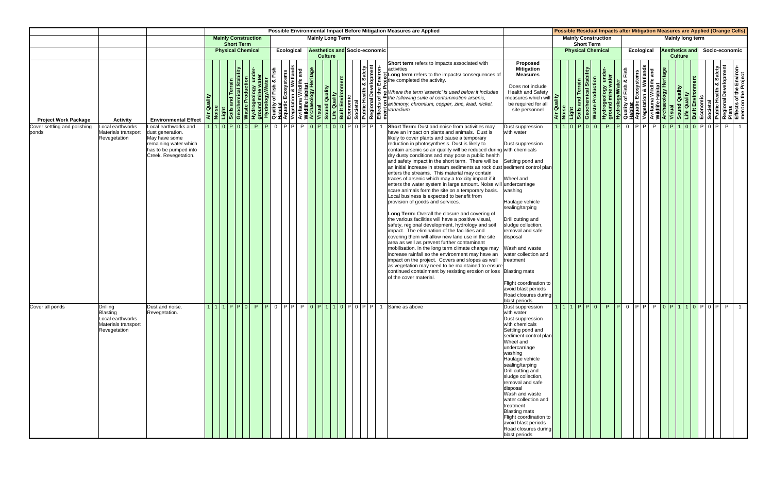|                                       |                                                                                               |                                                                                                                                    |         |                            |                   |  |            |                                      |                |  |  |  | Possible Environmental Impact Before Mitigation Measures are Applied                                                                                                                                                                                                                                                                                                                                                                                                                                                                                                                                                                                                                                                                                                                                                                                                                                                                                                                                                                                                                                                                                                                                                                                                                                                                                                                                                                                  |                                                                                                                                                                                                                                                                                                                                                                                                                                                 |        |                                                                         |                            |                                  |            |                |                         |  | Possible Residual Impacts after Mitigation Measures are Applied (Orange Cells)                                                                                                                                                                          |
|---------------------------------------|-----------------------------------------------------------------------------------------------|------------------------------------------------------------------------------------------------------------------------------------|---------|----------------------------|-------------------|--|------------|--------------------------------------|----------------|--|--|--|-------------------------------------------------------------------------------------------------------------------------------------------------------------------------------------------------------------------------------------------------------------------------------------------------------------------------------------------------------------------------------------------------------------------------------------------------------------------------------------------------------------------------------------------------------------------------------------------------------------------------------------------------------------------------------------------------------------------------------------------------------------------------------------------------------------------------------------------------------------------------------------------------------------------------------------------------------------------------------------------------------------------------------------------------------------------------------------------------------------------------------------------------------------------------------------------------------------------------------------------------------------------------------------------------------------------------------------------------------------------------------------------------------------------------------------------------------|-------------------------------------------------------------------------------------------------------------------------------------------------------------------------------------------------------------------------------------------------------------------------------------------------------------------------------------------------------------------------------------------------------------------------------------------------|--------|-------------------------------------------------------------------------|----------------------------|----------------------------------|------------|----------------|-------------------------|--|---------------------------------------------------------------------------------------------------------------------------------------------------------------------------------------------------------------------------------------------------------|
|                                       |                                                                                               |                                                                                                                                    |         | <b>Mainly Construction</b> | <b>Short Term</b> |  |            | <b>Mainly Long Term</b>              |                |  |  |  |                                                                                                                                                                                                                                                                                                                                                                                                                                                                                                                                                                                                                                                                                                                                                                                                                                                                                                                                                                                                                                                                                                                                                                                                                                                                                                                                                                                                                                                       |                                                                                                                                                                                                                                                                                                                                                                                                                                                 |        | <b>Short Term</b>                                                       | <b>Mainly Construction</b> |                                  |            |                | <b>Mainly long term</b> |  |                                                                                                                                                                                                                                                         |
|                                       |                                                                                               |                                                                                                                                    |         | <b>Physical Chemical</b>   |                   |  | Ecological | <b>Aesthetics and Socio-economic</b> | <b>Culture</b> |  |  |  |                                                                                                                                                                                                                                                                                                                                                                                                                                                                                                                                                                                                                                                                                                                                                                                                                                                                                                                                                                                                                                                                                                                                                                                                                                                                                                                                                                                                                                                       |                                                                                                                                                                                                                                                                                                                                                                                                                                                 |        | <b>Physical Chemical</b>                                                |                            |                                  | Ecological | <b>Culture</b> | <b>Aesthetics and</b>   |  | Socio-economic                                                                                                                                                                                                                                          |
| <b>Project Work Package</b>           | <b>Activity</b>                                                                               | <b>Environmental Effect</b>                                                                                                        | Quality |                            |                   |  |            |                                      |                |  |  |  | Short term refers to impacts associated with                                                                                                                                                                                                                                                                                                                                                                                                                                                                                                                                                                                                                                                                                                                                                                                                                                                                                                                                                                                                                                                                                                                                                                                                                                                                                                                                                                                                          | Proposed<br><b>Mitigation</b><br><b>Measures</b><br>Does not include<br>Health and Safety<br>measures which will <b>P</b><br>be required for all<br>site personnel                                                                                                                                                                                                                                                                              | Air Qu | Light<br>Soils and Terrain<br>Geochemical Stability<br>Waste Production |                            |                                  |            |                |                         |  | Hydrogeology under-<br>ydrogeology under-<br>ground mine water<br>Quality of Fish & Fish<br>Aquatic Ecosystems<br>Avifauna Wildlife and<br>Wisual<br>Wisual<br>Visual<br>Uife Quality<br>Built Environment<br>Economic<br>Built Environment<br>Regional |
| Cover settling and polishing<br>ponds | Local earthworks<br>Materials transport<br>Revegetation                                       | ocal earthworks and<br>dust generation.<br>May have some<br>remaining water which<br>has to be pumped into<br>Creek. Revegetation. |         | 1110P00PPP0PPPP0P10P10P0P  |                   |  |            |                                      |                |  |  |  | <b>Short Term:</b> Dust and noise from activities may<br>have an impact on plants and animals. Dust is<br>likely to cover plants and cause a temporary<br>reduction in photosynthesis. Dust is likely to<br>contain arsenic so air quality will be reduced during with chemicals<br>dry dusty conditions and may pose a public health<br>and safety impact in the short term. There will be<br>an initial increase in stream sediments as rock dust sediment control plan<br>enters the streams. This material may contain<br>traces of arsenic which may a toxicity impact if it<br>enters the water system in large amount. Noise will undercarriage<br>washing<br>scare animals form the site on a temporary basis.<br>Local business is expected to benefit from<br>provision of goods and services.<br>Long Term: Overall the closure and covering of<br>the various facilities will have a positive visual,<br>safety, regional development, hydrology and soil<br>impact. The elimination of the facilities and<br>covering them will allow new land use in the site<br>disposal<br>area as well as prevent further contaminant<br>mobilisation. In the long term climate change may<br>increase rainfall so the environment may have an<br>impact on the project. Covers and slopes as well<br>as vegetation may need to be maintained to ensure<br>continued containment by resisting erosion or loss Blasting mats<br>of the cover material | Dust suppression<br>with water<br>Dust suppression<br>Settling pond and<br>Wheel and<br>Haulage vehicle<br>sealing/tarping<br>Drill cutting and<br>sludge collection,<br>removal and safe<br>Wash and waste<br>water collection and<br>treatment<br>Flight coordination to<br>avoid blast periods<br>Road closures during                                                                                                                       |        | $1 1 0 $ P $ 0 0 $                                                      |                            | P P 0 P P P 0 P 10 0 P 0 P 0 P P |            |                |                         |  |                                                                                                                                                                                                                                                         |
| Cover all ponds                       | <b>Drilling</b><br><b>Blasting</b><br>Local earthworks<br>Materials transport<br>Revegetation | Dust and noise.<br>Revegetation.                                                                                                   |         |                            |                   |  |            |                                      |                |  |  |  | 111PP0P0PP0PP0PP0P110P0P0PP1Same as above<br>washing<br>disposal                                                                                                                                                                                                                                                                                                                                                                                                                                                                                                                                                                                                                                                                                                                                                                                                                                                                                                                                                                                                                                                                                                                                                                                                                                                                                                                                                                                      | blast periods<br>Dust suppression<br>with water<br>Dust suppression<br>with chemicals<br>Settling pond and<br>sediment control plan<br>Wheel and<br>undercarriage<br>Haulage vehicle<br>sealing/tarping<br>Drill cutting and<br>sludge collection,<br>removal and safe<br>Wash and waste<br>water collection and<br>treatment<br><b>Blasting mats</b><br>Flight coordination to<br>avoid blast periods<br>Road closures during<br>blast periods |        |                                                                         |                            |                                  |            |                |                         |  | 1 1 1 1 P P O P P O P P O P 1 1 0 P O P P P                                                                                                                                                                                                             |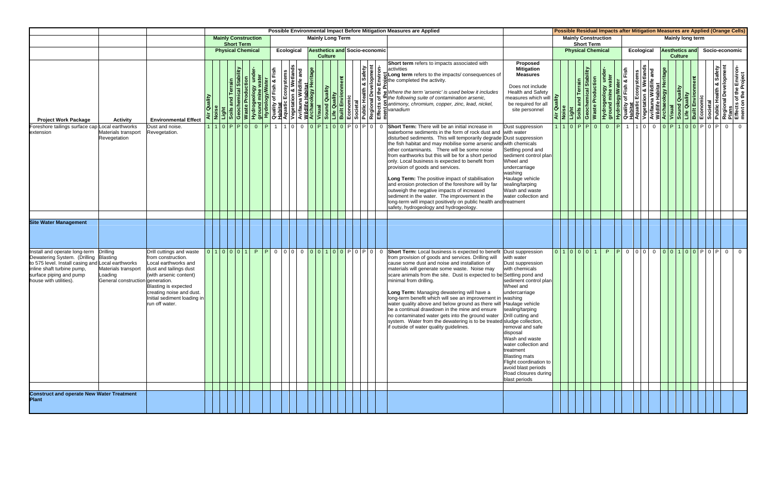|                                                                                                                                                                                                       |                                                                                                          |                                                                                                                                                                                                                                 |         |                                                 |                   |      |            |     |                |                                      |  |                                   |                         | Possible Environmental Impact Before Mitigation Measures are Applied                                                                                                                                                                                                                                                                                                                                                                                                                                                                                                                                                                                                                                                                                                                                                                                                                                                                                                                                                                               |                                                                                                                                                                                                                                                                                                                             |        |  |                                                                         |                 |                   | Possible Residual Impacts after Mitigation Measures are Applied (Orange Cells)                                                                                                                                                                                                                |                |                       |  |                |  |
|-------------------------------------------------------------------------------------------------------------------------------------------------------------------------------------------------------|----------------------------------------------------------------------------------------------------------|---------------------------------------------------------------------------------------------------------------------------------------------------------------------------------------------------------------------------------|---------|-------------------------------------------------|-------------------|------|------------|-----|----------------|--------------------------------------|--|-----------------------------------|-------------------------|----------------------------------------------------------------------------------------------------------------------------------------------------------------------------------------------------------------------------------------------------------------------------------------------------------------------------------------------------------------------------------------------------------------------------------------------------------------------------------------------------------------------------------------------------------------------------------------------------------------------------------------------------------------------------------------------------------------------------------------------------------------------------------------------------------------------------------------------------------------------------------------------------------------------------------------------------------------------------------------------------------------------------------------------------|-----------------------------------------------------------------------------------------------------------------------------------------------------------------------------------------------------------------------------------------------------------------------------------------------------------------------------|--------|--|-------------------------------------------------------------------------|-----------------|-------------------|-----------------------------------------------------------------------------------------------------------------------------------------------------------------------------------------------------------------------------------------------------------------------------------------------|----------------|-----------------------|--|----------------|--|
|                                                                                                                                                                                                       |                                                                                                          |                                                                                                                                                                                                                                 |         | <b>Mainly Construction</b>                      | <b>Short Term</b> |      |            |     |                | <b>Mainly Long Term</b>              |  |                                   |                         |                                                                                                                                                                                                                                                                                                                                                                                                                                                                                                                                                                                                                                                                                                                                                                                                                                                                                                                                                                                                                                                    |                                                                                                                                                                                                                                                                                                                             |        |  | <b>Mainly Construction</b><br><b>Short Term</b>                         |                 |                   |                                                                                                                                                                                                                                                                                               |                | Mainly long term      |  |                |  |
|                                                                                                                                                                                                       |                                                                                                          |                                                                                                                                                                                                                                 |         | <b>Physical Chemical</b>                        |                   |      | Ecological |     | <b>Culture</b> | <b>Aesthetics and Socio-economic</b> |  |                                   |                         |                                                                                                                                                                                                                                                                                                                                                                                                                                                                                                                                                                                                                                                                                                                                                                                                                                                                                                                                                                                                                                                    |                                                                                                                                                                                                                                                                                                                             |        |  | <b>Physical Chemical</b>                                                |                 | <b>Ecological</b> |                                                                                                                                                                                                                                                                                               | <b>Culture</b> | <b>Aesthetics and</b> |  | Socio-economic |  |
| <b>Project Work Package</b>                                                                                                                                                                           | <b>Activity</b>                                                                                          | <b>Environmental Effect</b>                                                                                                                                                                                                     | Quality |                                                 |                   | Fish |            | and |                |                                      |  | <b>A</b> Safety<br><b>Gopment</b> | $\dot{\mathsf{s}}$      | Short term refers to impacts associated with<br>lactivities<br>$\frac{1}{2}$ but $\frac{1}{2}$ but $\frac{1}{2}$ be the impacts/consequences of                                                                                                                                                                                                                                                                                                                                                                                                                                                                                                                                                                                                                                                                                                                                                                                                                                                                                                    | <b>Proposed</b><br><b>Mitigation</b><br><b>Measures</b><br>Does not include<br><b>Health and Safety</b><br>measures which will $\frac{2}{\pi}$<br>be required for all<br>site personnel                                                                                                                                     | Air Qu |  | Light<br>Soils and Terrain<br>Geochemical Stability<br>Waste Production |                 |                   | Hydrogeology under-<br><b>Hydrology/Water</b><br><b>Quality of Fish &amp; Fish<br/> Aquatic Ecosystems<br/> Aquatic Ecosystems<br/> Avifauna Wildlife Habitat<br/> Wildlife Habitat<br/> Vegetation &amp; Wetlands<br/> Visual<br/> Diality<br/> Built Environment<br/> Economic<br/> Pub</b> |                |                       |  |                |  |
| Foreshore tailings surface cap Local earthworks<br>extension                                                                                                                                          | Materials transport<br>Revegetation                                                                      | Dust and noise.<br>Revegetation.                                                                                                                                                                                                |         | 1 1 0 P P 0  0  P  1  1 0  0  0 P 1 0 0 P 0 P 0 |                   |      |            |     |                |                                      |  |                                   | $\overline{\mathbf{0}}$ | Short Term: There will be an initial increase in<br>waterborne sediments in the form of rock dust and<br>disturbed sediments. This will temporarily degrade Dust suppression<br>the fish habitat and may mobilise some arsenic and with chemicals<br>other contaminants. There will be some noise<br>from earthworks but this will be for a short period<br>only. Local business is expected to benefit from<br>provision of goods and services.<br>Long Term: The positive impact of stabilisation<br>and erosion protection of the foreshore will by far<br>outweigh the negative impacts of increased<br>sediment in the water. The improvement in the<br>long-term will impact positively on public health and treatment<br>safety, hydrogeology and hydrogeology.                                                                                                                                                                                                                                                                             | Dust suppression<br>with water<br>Settling pond and<br>sediment control plan<br>Wheel and<br>undercarriage<br>washing<br>Haulage vehicle<br>sealing/tarping<br>Wash and waste<br>water collection and                                                                                                                       |        |  |                                                                         | 1 1 0 P P 0 0 P |                   | 1 1 0 0 0 <mark>0 P 1 0 0 P 0 P 0 P 0 0</mark>                                                                                                                                                                                                                                                |                |                       |  |                |  |
| <b>Site Water Management</b>                                                                                                                                                                          |                                                                                                          |                                                                                                                                                                                                                                 |         |                                                 |                   |      |            |     |                |                                      |  |                                   |                         |                                                                                                                                                                                                                                                                                                                                                                                                                                                                                                                                                                                                                                                                                                                                                                                                                                                                                                                                                                                                                                                    |                                                                                                                                                                                                                                                                                                                             |        |  |                                                                         |                 |                   |                                                                                                                                                                                                                                                                                               |                |                       |  |                |  |
| Install and operate long-term<br>Dewatering System. (Drilling<br>to 575 level. Install casing and Local earthworks<br>inline shaft turbine pump,<br>surface piping and pump<br>house with utilities). | <b>Drilling</b><br><b>Blasting</b><br>Materials transport<br>oading.<br>General construction generation. | Drill cuttings and waste<br>from construction.<br>Local earthworks and<br>dust and tailings dust<br>(with arsenic content)<br>Blasting is expected<br>creating noise and dust.<br>Initial sediment loading in<br>run off water. |         |                                                 |                   |      |            |     |                |                                      |  |                                   |                         | $\boxed{0}$ $\boxed{1}$ $\boxed{0}$ $\boxed{0}$ $\boxed{0}$ $\boxed{1}$ $\boxed{0}$ $\boxed{0}$ $\boxed{0}$ $\boxed{1}$ $\boxed{0}$ $\boxed{0}$ $\boxed{P}$ $\boxed{0}$ $\boxed{0}$ $\boxed{P}$ $\boxed{0}$ $\boxed{0}$ $\boxed{0}$ $\boxed{1}$ $\boxed{0}$ $\boxed{0}$ $\boxed{0}$ $\boxed{1}$ $\boxed{0}$ $\boxed{0}$ $\boxed{1}$ $\boxed{P$<br>from provision of goods and services. Drilling will<br>cause some dust and noise and installation of<br>materials will generate some waste. Noise may<br>scare animals from the site. Dust is expected to be Settling pond and<br>minimal from drilling.<br>Long Term: Managing dewatering will have a<br>long-term benefit which will see an improvement in<br>water quality above and below ground as there will Haulage vehicle<br>be a continual drawdown in the mine and ensure sealing/tarping<br>no contaminated water gets into the ground water   Drill cutting and<br>system. Water from the dewatering is to be treated sludge collection,<br>if outside of water quality guidelines. | with water<br>Dust suppression<br>with chemicals<br>sediment control plan<br>Wheel and<br>undercarriage<br>washing<br>removal and safe<br>disposal<br>Wash and waste<br>water collection and<br>treatment<br><b>Blasting mats</b><br>Flight coordination to<br>avoid blast periods<br>Road closures during<br>blast periods |        |  | 0 1 0 0 0 1                                                             |                 |                   | P P 0 0 0 0 0 0 0 1 0 0 P 0 P 0 0                                                                                                                                                                                                                                                             |                |                       |  |                |  |
| <b>Construct and operate New Water Treatment<br/>Plant</b>                                                                                                                                            |                                                                                                          |                                                                                                                                                                                                                                 |         |                                                 |                   |      |            |     |                |                                      |  |                                   |                         |                                                                                                                                                                                                                                                                                                                                                                                                                                                                                                                                                                                                                                                                                                                                                                                                                                                                                                                                                                                                                                                    |                                                                                                                                                                                                                                                                                                                             |        |  |                                                                         |                 |                   |                                                                                                                                                                                                                                                                                               |                |                       |  |                |  |
|                                                                                                                                                                                                       |                                                                                                          |                                                                                                                                                                                                                                 |         |                                                 |                   |      |            |     |                |                                      |  |                                   |                         |                                                                                                                                                                                                                                                                                                                                                                                                                                                                                                                                                                                                                                                                                                                                                                                                                                                                                                                                                                                                                                                    |                                                                                                                                                                                                                                                                                                                             |        |  |                                                                         |                 |                   |                                                                                                                                                                                                                                                                                               |                |                       |  |                |  |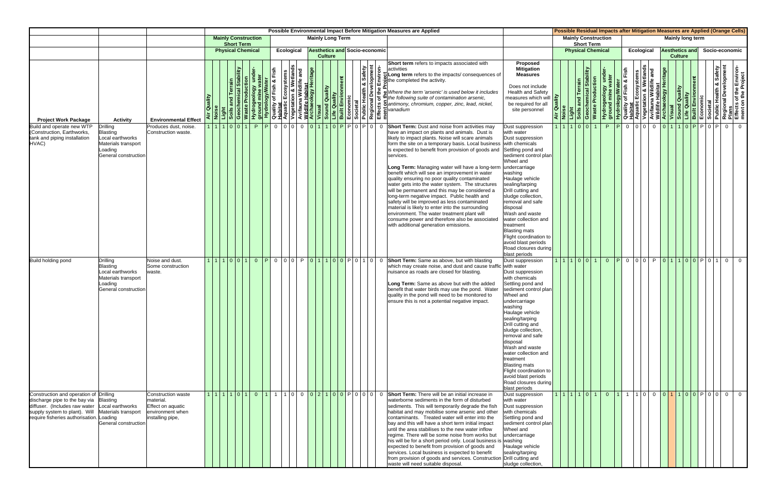|                                                                                                                                                                                       |                                                                                                                                                                                    |                                                       |                                             | Possible Environmental Impact Before Mitigation Measures are Applied                                                                                                                                                                                                                                                                                                                                                                                                                                                                                                                                                                                                                                                                                                                                                                    | Possible Residual Impacts after Mitigation Measures are Applied (Orange Cells)                                                                                                                                                                                                                                                                                                                                                                                  |                                                                                                                                                                                                                                                         |
|---------------------------------------------------------------------------------------------------------------------------------------------------------------------------------------|------------------------------------------------------------------------------------------------------------------------------------------------------------------------------------|-------------------------------------------------------|---------------------------------------------|-----------------------------------------------------------------------------------------------------------------------------------------------------------------------------------------------------------------------------------------------------------------------------------------------------------------------------------------------------------------------------------------------------------------------------------------------------------------------------------------------------------------------------------------------------------------------------------------------------------------------------------------------------------------------------------------------------------------------------------------------------------------------------------------------------------------------------------------|-----------------------------------------------------------------------------------------------------------------------------------------------------------------------------------------------------------------------------------------------------------------------------------------------------------------------------------------------------------------------------------------------------------------------------------------------------------------|---------------------------------------------------------------------------------------------------------------------------------------------------------------------------------------------------------------------------------------------------------|
|                                                                                                                                                                                       |                                                                                                                                                                                    | <b>Mainly Construction</b><br><b>Short Term</b>       |                                             | <b>Mainly Long Term</b>                                                                                                                                                                                                                                                                                                                                                                                                                                                                                                                                                                                                                                                                                                                                                                                                                 | <b>Mainly Construction</b><br><b>Short Term</b>                                                                                                                                                                                                                                                                                                                                                                                                                 | Mainly long term                                                                                                                                                                                                                                        |
|                                                                                                                                                                                       |                                                                                                                                                                                    | <b>Physical Chemical</b>                              | Ecological<br><b>Culture</b>                | <b>Aesthetics and Socio-economic</b>                                                                                                                                                                                                                                                                                                                                                                                                                                                                                                                                                                                                                                                                                                                                                                                                    | <b>Physical Chemical</b><br><b>Ecological</b>                                                                                                                                                                                                                                                                                                                                                                                                                   | <b>Aesthetics and</b><br>Socio-economic<br><b>Culture</b>                                                                                                                                                                                               |
| <b>Project Work Package</b>                                                                                                                                                           | <b>Environmental Effect</b><br><b>Activity</b>                                                                                                                                     | oduction<br><b>Air Quality</b><br>Geochem<br>Waste Pr |                                             | Short term refers to impacts associated with<br>th & Safety<br>welopment<br>Hydrogenology Material Contains and the container of contamination and the set of the container of the container of the container of the container of the container of the container of the container of the container of the<br>Long term refers to the impacts/ consequences of<br>Where the term 'arsenic' is used below it includes                                                                                                                                                                                                                                                                                                                                                                                                                     | Proposed<br><b>Mitigation</b><br>mical Stability<br><b>Measures</b><br><b>Waste Production</b><br>Hydrogeology und<br>ground mine water<br>Does not include<br>and Terr<br><b>Health and Safety</b><br>ality<br>measures which will<br>Light<br>Soils an<br>Geocher<br>be required for all<br>$\vec{a}$ $\vec{s}$<br>site personnel                                                                                                                             | <b>Example 18 Access Crisin Android Sylvater</b><br>Quality of Fish & Fish<br>Aquatic Ecosystems<br>Avifauna Wildlife and<br>Avifauna Wildlife and<br>Misual<br>Sound Quality<br>Economic<br>Built Environment<br>Regional Development<br>Regional Deve |
| Build and operate new WTP<br>(Construction, Earthworks,<br>tank and piping installation<br>HVAC)                                                                                      | Drilling<br>Produces dust, noise.<br>Blasting<br>Construction waste.<br>Local earthworks<br>Materials transport<br>Loading<br>General constructior                                 | 11001                                                 | P P 0 0 0 0 0 0 1 1 0 P P 0 P 0 0           | Short Term: Dust and noise from activities may<br>have an impact on plants and animals. Dust is<br>likely to impact plants. Noise will scare animals<br>form the site on a temporary basis. Local business<br>is expected to benefit from provision of goods and<br>services.<br>Long Term: Managing water will have a long-term<br>benefit which will see an improvement in water<br>quality ensuring no poor quality contaminated<br>water gets into the water system. The structures<br>will be permanent and this may be considered a<br>long-term negative impact. Public health and<br>safety will be improved as less contaminated<br>material is likely to enter into the surrounding<br>environment. The water treatment plant will<br>consume power and therefore also be associated<br>with additional generation emissions. | 101011<br>Dust suppression<br>with water<br>Dust suppression<br>with chemicals<br>Settling pond and<br>sediment control plan<br>Wheel and<br>undercarriage<br>washing<br>Haulage vehicle<br>sealing/tarping<br>Drill cutting and<br>sludge collection.<br>removal and safe<br>disposal<br>Wash and waste<br>water collection and<br>treatment<br><b>Blasting mats</b><br>Flight coordination to<br>avoid blast periods<br>Road closures during<br>blast periods | P P 0 0 0 0 0 0 1 1 0 P P 0 P 0 1<br>$\overline{0}$                                                                                                                                                                                                     |
| <b>Build holding pond</b>                                                                                                                                                             | Noise and dust.<br>Drilling<br>Blasting<br>Some construction<br>Local earthworks<br>vaste.<br>Materials transport<br>Loading<br>General constructior                               |                                                       | 1 1 1 0 0 1  0 PO 0 0  PO 1 1 0 0 PO 1 0  0 | Short Term: Same as above, but with blasting<br>which may create noise, and dust and cause traffic with water<br>nuisance as roads are closed for blasting.<br>Long Term: Same as above but with the added<br>benefit that water birds may use the pond. Water<br>quality in the pond will need to be monitored to<br>ensure this is not a potential negative impact.                                                                                                                                                                                                                                                                                                                                                                                                                                                                   | 1 1 1 0 0 1<br>Dust suppression<br>Dust suppression<br>with chemicals<br>Settling pond and<br>sediment control plan<br>Wheel and<br>undercarriage<br>washing<br>Haulage vehicle<br>sealing/tarping<br>Drill cutting and<br>sludge collection,<br>removal and safe<br>disposal<br>Wash and waste<br>water collection and<br>treatment<br><b>Blasting mats</b><br>Flight coordination to<br>avoid blast periods<br>Road closures during<br>blast periods          | 0 P000 P01100 P0100                                                                                                                                                                                                                                     |
| Construction and operation of Drilling<br>discharge pipe to the bay via<br>diffuser. (Includes raw water<br>supply system to plant). Will<br>require fisheries authorisation. Loading | Construction waste<br>material.<br><b>Blasting</b><br>Effect on aquatic<br>Local earthworks<br>Materials transport<br>environment when<br>installing pipe,<br>General construction |                                                       |                                             | $1 1 1 0 1 0 1$   1   1   1   1   0   0   0   2   1   0   0   P   0   0   0   0   6   Short Term: There will be an initial increase in<br>waterborne sediments in the form of disturbed<br>sediments. This will temporarily degrade the fish<br>habitat and may mobilise some arsenic and other<br>contaminants. Treated water will enter into the<br>bay and this will have a short term initial impact<br>until the area stabilises to the new water inflow<br>regime. There will be some noise from works but<br>his will be for a short period only. Local business is<br>expected to benefit from provision of goods and<br>services. Local business is expected to benefit<br>from provision of goods and services. Construction Drill cutting and<br>waste will need suitable disposal.                                          | 1 1 1 1 0 1<br>Dust suppression<br>with water<br>Dust suppression<br>with chemicals<br>Settling pond and<br>sediment control plan<br>Wheel and<br>undercarriage<br>washing<br>Haulage vehicle<br>sealing/tarping<br>sludge collection                                                                                                                                                                                                                           | 0 1 1 1 0 0 0 1 1 0 0 P 0 0 0 0                                                                                                                                                                                                                         |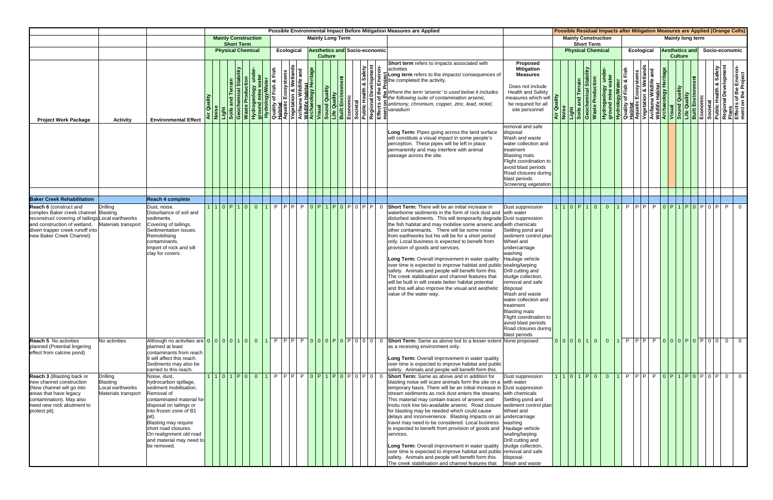|                                                                                                                                                                                                                     |                                                                        |                                                                                                                                                                                                                                                                                               |         |                                                 |            |  |            |  |                |                         |  |                                      | Possible Environmental Impact Before Mitigation Measures are Applied                                                                                                                                                                                                                                                                                                                                                                                                                                                                                                                                                                                                                                                                                                                                                                   |                                                                                                                                                                                                                                                                                                                                                                                             |  |                                                                                                 |                |                |            |                               |                |                         |  | Possible Residual Impacts after Mitigation Measures are Applied (Orange Cells)                                                                                                                                                                         |
|---------------------------------------------------------------------------------------------------------------------------------------------------------------------------------------------------------------------|------------------------------------------------------------------------|-----------------------------------------------------------------------------------------------------------------------------------------------------------------------------------------------------------------------------------------------------------------------------------------------|---------|-------------------------------------------------|------------|--|------------|--|----------------|-------------------------|--|--------------------------------------|----------------------------------------------------------------------------------------------------------------------------------------------------------------------------------------------------------------------------------------------------------------------------------------------------------------------------------------------------------------------------------------------------------------------------------------------------------------------------------------------------------------------------------------------------------------------------------------------------------------------------------------------------------------------------------------------------------------------------------------------------------------------------------------------------------------------------------------|---------------------------------------------------------------------------------------------------------------------------------------------------------------------------------------------------------------------------------------------------------------------------------------------------------------------------------------------------------------------------------------------|--|-------------------------------------------------------------------------------------------------|----------------|----------------|------------|-------------------------------|----------------|-------------------------|--|--------------------------------------------------------------------------------------------------------------------------------------------------------------------------------------------------------------------------------------------------------|
|                                                                                                                                                                                                                     |                                                                        |                                                                                                                                                                                                                                                                                               |         | <b>Mainly Construction</b><br><b>Short Term</b> |            |  |            |  |                | <b>Mainly Long Term</b> |  |                                      |                                                                                                                                                                                                                                                                                                                                                                                                                                                                                                                                                                                                                                                                                                                                                                                                                                        |                                                                                                                                                                                                                                                                                                                                                                                             |  | <b>Mainly Construction</b><br><b>Short Term</b>                                                 |                |                |            |                               |                | <b>Mainly long term</b> |  |                                                                                                                                                                                                                                                        |
|                                                                                                                                                                                                                     |                                                                        |                                                                                                                                                                                                                                                                                               |         | <b>Physical Chemical</b>                        |            |  | Ecological |  | <b>Culture</b> |                         |  | <b>Aesthetics and Socio-economic</b> |                                                                                                                                                                                                                                                                                                                                                                                                                                                                                                                                                                                                                                                                                                                                                                                                                                        |                                                                                                                                                                                                                                                                                                                                                                                             |  | <b>Physical Chemical</b>                                                                        |                |                | Ecological |                               | <b>Culture</b> | <b>Aesthetics and</b>   |  | Socio-economic                                                                                                                                                                                                                                         |
| <b>Project Work Package</b>                                                                                                                                                                                         | <b>Activity</b>                                                        | <b>Environmental Effect</b>                                                                                                                                                                                                                                                                   | Quality |                                                 |            |  |            |  |                |                         |  | <b>&amp; Safety</b><br>elopment      | Short term refers to impacts associated with<br>$\sum_{i=0}^{15}$ U Long term refers to the impacts/ consequences of<br>$\sum_{i=0}^{15}$ othe completed the activity.                                                                                                                                                                                                                                                                                                                                                                                                                                                                                                                                                                                                                                                                 | <b>Proposed</b><br><b>Mitigation</b><br><b>Measures</b><br>Does not include<br><b>Health and Safety</b><br>measures which will<br>be required for all<br>site personnel                                                                                                                                                                                                                     |  | Air Quality<br>Noise<br>Light<br>Soils and Terrain<br>Geochemical Stability<br>Maste Production |                |                |            |                               |                |                         |  | Hydrogeology under-<br>Hydrogeology under-<br>Quality of Fish & Fish<br>Aquatic Ecosystems<br>Aquatic Ecosystems<br>Avifauna Wildlife Habitat<br>Vegetation & Wetlands<br>Vegetation & Wetlands<br>Visual<br>Diality<br>Diality<br>Economic<br>Economi |
|                                                                                                                                                                                                                     |                                                                        |                                                                                                                                                                                                                                                                                               |         |                                                 |            |  |            |  |                |                         |  |                                      | Long Term: Pipes going across the land surface<br>will constitute a visual impact in some people's<br>perception. These pipes will be left in place<br>permanently and may interfere with animal<br>passage across the site.                                                                                                                                                                                                                                                                                                                                                                                                                                                                                                                                                                                                           | removal and safe<br>disposal<br>Wash and waste<br>water collection and<br>treatment<br><b>Blasting mats</b><br>Flight coordination to<br>avoid blast periods<br>Road closures during<br>blast periods<br>Screening vegetation                                                                                                                                                               |  |                                                                                                 |                |                |            |                               |                |                         |  |                                                                                                                                                                                                                                                        |
| <b>Baker Creek Rehabilitation</b>                                                                                                                                                                                   |                                                                        | Reach 4 complete                                                                                                                                                                                                                                                                              |         |                                                 |            |  |            |  |                |                         |  |                                      |                                                                                                                                                                                                                                                                                                                                                                                                                                                                                                                                                                                                                                                                                                                                                                                                                                        |                                                                                                                                                                                                                                                                                                                                                                                             |  |                                                                                                 |                |                |            |                               |                |                         |  |                                                                                                                                                                                                                                                        |
| Reach 6 (construct and<br>complex Baker creek channel Blasting<br>reconstruct covering of tailings Local earthworks<br>and construction of wetland,<br>divert trapper creek runoff into<br>new Baker Creek Channel) | <b>Drilling</b><br>Materials transport                                 | Dust, noise.<br>Disturbance of soil and<br>sediments.<br>Covering of tailings.<br>Sedimentation issues.<br>Remobilising<br>contaminants.<br>Import of rock and silt<br>clay for covers.                                                                                                       | 110P10  |                                                 | $0\vert 1$ |  |            |  |                |                         |  | P P P P P O P 1 P O P O P O P P P    | <b>Short Term:</b> There will be an initial increase in<br>waterborne sediments in the form of rock dust and<br>disturbed sediments. This will temporarily degrade Dust suppression<br>the fish habitat and may mobilise some arsenic and with chemicals<br>other contaminants. There will be some noise<br>from earthworks but his will be for a short period<br>only. Local business is expected to benefit from<br>provision of goods and services.<br>Long Term: Overall improvement in water quality<br>over time is expected to improve habitat and public sealing/tarping<br>safety. Animals and people will benefit form this.<br>The creek stabilisation and channel features that<br>will be built in will create better habitat potential<br>and this will also improve the visual and aesthetic<br>value of the water way. | Dust suppression<br>with water<br>Settling pond and<br>sediment control plan<br>Wheel and<br>undercarriage<br>washing<br>Haulage vehicle<br>Drill cutting and<br>sludge collection<br>removal and safe<br>disposal<br>Wash and waste<br>water collection and<br>treatment<br><b>Blasting mats</b><br>Flight coordination to<br>avoid blast periods<br>Road closures during<br>blast periods |  | 1 1 0 P 1                                                                                       | $\overline{0}$ | $\overline{0}$ |            | P P P P P O P 1 P O P O P O P |                |                         |  | P I<br>$\overline{0}$                                                                                                                                                                                                                                  |
| <b>Reach 5</b> No activities<br>planned (Potential lingering<br>effect from calcine pond)                                                                                                                           | No activities                                                          | planned at least<br>contaminants from reach<br>6 will affect this reach.<br>Sediments may also be<br>carried to this reach.                                                                                                                                                                   |         |                                                 |            |  |            |  |                |                         |  |                                      | as a receiving environment only.<br>Long Term: Overall improvement in water quality<br>over time is expected to improve habitat and public<br>safety. Animals and people will benefit form this.                                                                                                                                                                                                                                                                                                                                                                                                                                                                                                                                                                                                                                       |                                                                                                                                                                                                                                                                                                                                                                                             |  | 0 0 0 0 1 0                                                                                     |                |                |            |                               |                |                         |  | 0 1 P P P P 0 0 0 P 0 P 0 0 0 0 0                                                                                                                                                                                                                      |
| <b>Reach 3 (Blasting back or</b><br>new channel construction<br>(New channel will go into<br>areas that have legacy<br>contamination). May also<br>need new rock abutment to<br>protect pit).                       | <b>Drilling</b><br>Blasting<br>Local earthworks<br>Materials transport | Noise, dust,<br>hydrocarbon spillage,<br>sediment mobilisation.<br>Removal of<br>contaminated material fo<br>disposal on tailings or<br>into frozen zone of B1<br>pit).<br>Blasting may require<br>short road closures.<br>On realignment old road<br>and material may need to<br>be removed. |         | 1011P0001PPPPPP0P1P0P0P0P0                      |            |  |            |  |                |                         |  |                                      | <b>Short Term:</b> Same as above and in addition for<br>blasting noise will scare animals form the site on a with water<br>temporary basis. There will be an initial increase in Dust suppression<br>stream sediments as rock dust enters the streams.<br>This material may contain traces of arsenic and<br>insitu rock low bio-available arsenic. Road closure<br>for blasting may be needed which could cause<br>delays and inconvenience. Blasting impacts on air<br>travel may need to be considered. Local business<br>is expected to benefit from provision of goods and<br>services.<br>Long Term: Overall improvement in water quality<br>over time is expected to improve habitat and public removal and safe<br>safety. Animals and people will benefit form this.<br>The creek stabilisation and channel features that     | Dust suppression<br>with chemicals<br>Settling pond and<br>sediment control plan<br>Wheel and<br>undercarriage<br>washing<br>Haulage vehicle<br>sealing/tarping<br>Drill cutting and<br>sludge collection,<br>disposal<br>Wash and waste                                                                                                                                                    |  | 1 1 0 1 P 0                                                                                     |                |                |            |                               |                |                         |  | 0 1 P P P P <mark>0 P 1 P 0 P 0 P 0 P 0 P 0 P 0 0</mark>                                                                                                                                                                                               |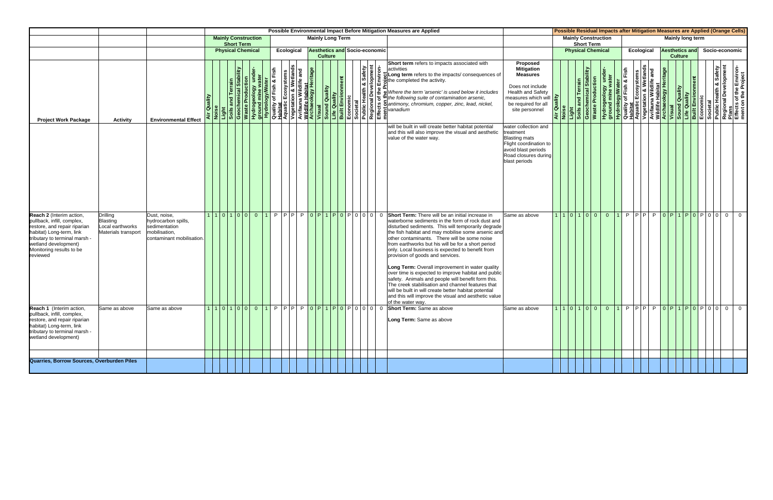|                                                                                                                                                                                                                     |                                                                               |                                                                                                    |         |                                                 |                |           |            |  |                         |  |                                      | Possible Environmental Impact Before Mitigation Measures are Applied                                                                                                                                                                                                                                                                                                                                                                                                                                                                                                                                                                                                                                                                                                                                                                                          |                                                                                                                                                                  |                                               |                                                                         |                            |  |            |                       |                  |  |                                   | <b>Possible Residual Impacts after Mitigation Measures are Applied (Orange Cells)</b>                                                                                                                                                                  |
|---------------------------------------------------------------------------------------------------------------------------------------------------------------------------------------------------------------------|-------------------------------------------------------------------------------|----------------------------------------------------------------------------------------------------|---------|-------------------------------------------------|----------------|-----------|------------|--|-------------------------|--|--------------------------------------|---------------------------------------------------------------------------------------------------------------------------------------------------------------------------------------------------------------------------------------------------------------------------------------------------------------------------------------------------------------------------------------------------------------------------------------------------------------------------------------------------------------------------------------------------------------------------------------------------------------------------------------------------------------------------------------------------------------------------------------------------------------------------------------------------------------------------------------------------------------|------------------------------------------------------------------------------------------------------------------------------------------------------------------|-----------------------------------------------|-------------------------------------------------------------------------|----------------------------|--|------------|-----------------------|------------------|--|-----------------------------------|--------------------------------------------------------------------------------------------------------------------------------------------------------------------------------------------------------------------------------------------------------|
|                                                                                                                                                                                                                     |                                                                               |                                                                                                    |         | <b>Mainly Construction</b><br><b>Short Term</b> |                |           |            |  | <b>Mainly Long Term</b> |  |                                      |                                                                                                                                                                                                                                                                                                                                                                                                                                                                                                                                                                                                                                                                                                                                                                                                                                                               |                                                                                                                                                                  |                                               | <b>Short Term</b>                                                       | <b>Mainly Construction</b> |  |            |                       | Mainly long term |  |                                   |                                                                                                                                                                                                                                                        |
|                                                                                                                                                                                                                     |                                                                               |                                                                                                    |         | <b>Physical Chemical</b>                        |                |           | Ecological |  | <b>Culture</b>          |  | <b>Aesthetics and Socio-economic</b> |                                                                                                                                                                                                                                                                                                                                                                                                                                                                                                                                                                                                                                                                                                                                                                                                                                                               |                                                                                                                                                                  |                                               |                                                                         | <b>Physical Chemical</b>   |  | Ecological | <b>Aesthetics and</b> | <b>Culture</b>   |  |                                   | Socio-economic                                                                                                                                                                                                                                         |
| <b>Project Work Package</b>                                                                                                                                                                                         | <b>Activity</b>                                                               | <b>Environmental Effect</b>                                                                        | Quality |                                                 |                |           |            |  |                         |  | n & Safety<br>relopment              | Short term refers to impacts associated with<br>activities                                                                                                                                                                                                                                                                                                                                                                                                                                                                                                                                                                                                                                                                                                                                                                                                    | Proposed<br><b>Mitigation</b><br><b>Measures</b><br>Does not include<br><b>Health and Safety</b><br>measures which will<br>be required for all<br>site personnel | Quality<br>ise<br>$\frac{1}{4}$ $\frac{1}{2}$ | Light<br>Soils and Terrain<br>Geochemical Stability<br>Waste Production |                            |  |            |                       |                  |  |                                   | Hydrogeology under-<br>ground mine water<br>Quality of Fish & Fish<br>Quality of Fish & Fish<br>Aquatic Ecosystems<br>Aquatic Ecosystems<br>Avifauna Wildlife and<br>Wisual<br>Visual<br>Dilit Environment<br>Dilit Environment<br>Economic<br>Built E |
|                                                                                                                                                                                                                     |                                                                               |                                                                                                    |         |                                                 |                |           |            |  |                         |  |                                      | will be built in will create better habitat potential<br>and this will also improve the visual and aesthetic<br>value of the water way.                                                                                                                                                                                                                                                                                                                                                                                                                                                                                                                                                                                                                                                                                                                       | water collection and<br>treatment<br><b>Blasting mats</b><br>Flight coordination to<br>avoid blast periods<br>Road closures during<br>blast periods              |                                               |                                                                         |                            |  |            |                       |                  |  |                                   |                                                                                                                                                                                                                                                        |
| Reach 2 (Interim action,<br>pullback, infill, complex,<br>restore, and repair riparian<br>habitat) Long-term, link<br>tributary to terminal marsh -<br>wetland development)<br>Monitoring results to be<br>reviewed | <b>Drilling</b><br><b>Blasting</b><br>Local earthworks<br>Materials transport | Dust, noise,<br>hydrocarbon spills,<br>sedimentation<br>mobilisation,<br>contaminant mobilisation. |         | 1 1 0 1 0 0                                     | $\overline{0}$ | $\vert$ 1 |            |  |                         |  |                                      | $\boxed{P \mid P \mid P \mid P \mid 0 \mid P \mid 0 \mid P \mid 0 \mid 0 \mid 0}$ (Short Term: There will be an initial increase in<br>waterborne sediments in the form of rock dust and<br>disturbed sediments. This will temporarily degrade<br>the fish habitat and may mobilise some arsenic and<br>other contaminants. There will be some noise<br>from earthworks but his will be for a short period<br>only. Local business is expected to benefit from<br>provision of goods and services.<br>Long Term: Overall improvement in water quality<br>over time is expected to improve habitat and public<br>safety. Animals and people will benefit form this.<br>The creek stabilisation and channel features that<br>will be built in will create better habitat potential<br>and this will improve the visual and aesthetic value<br>of the water way. | Same as above                                                                                                                                                    |                                               | 1101000                                                                 |                            |  |            |                       |                  |  | 0 1 P P P P O P 1 P 0 P 0 P 0 0 0 | $\overline{0}$                                                                                                                                                                                                                                         |
| Reach 1 (Interim action,<br>pullback, infill, complex,<br>restore, and repair riparian<br>habitat) Long-term, link<br>tributary to terminal marsh -<br>wetland development)                                         | Same as above                                                                 | Same as above                                                                                      |         |                                                 |                |           |            |  |                         |  |                                      | 1101000 1 P P P P 0 P 1 P 0 P 0 0 0 0 6 Short Term: Same as above<br>Long Term: Same as above                                                                                                                                                                                                                                                                                                                                                                                                                                                                                                                                                                                                                                                                                                                                                                 | Same as above                                                                                                                                                    |                                               |                                                                         |                            |  |            |                       |                  |  |                                   | 110100001PPPP0P1P0P0000                                                                                                                                                                                                                                |
| Quarries, Borrow Sources, Overburden Piles                                                                                                                                                                          |                                                                               |                                                                                                    |         |                                                 |                |           |            |  |                         |  |                                      |                                                                                                                                                                                                                                                                                                                                                                                                                                                                                                                                                                                                                                                                                                                                                                                                                                                               |                                                                                                                                                                  |                                               |                                                                         |                            |  |            |                       |                  |  |                                   |                                                                                                                                                                                                                                                        |
|                                                                                                                                                                                                                     |                                                                               |                                                                                                    |         |                                                 |                |           |            |  |                         |  |                                      |                                                                                                                                                                                                                                                                                                                                                                                                                                                                                                                                                                                                                                                                                                                                                                                                                                                               |                                                                                                                                                                  |                                               |                                                                         |                            |  |            |                       |                  |  |                                   |                                                                                                                                                                                                                                                        |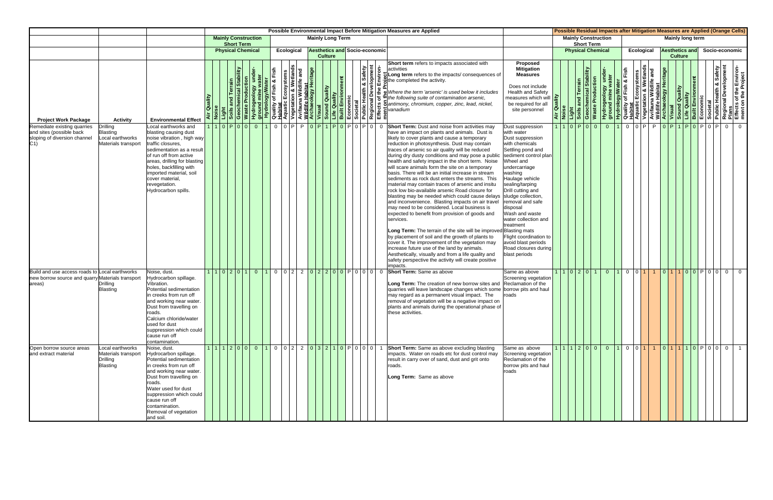|                                                                                                              |                                                                        |                                                                                                                                                                                                                                                                                                        |                                           |                            |                   |                |      |                                 |  |                |                                      |  |                                   |                    |                         | Possible Environmental Impact Before Mitigation Measures are Applied                                                                                                                                                                                                                                                                                                                                                                                                                                                                                                                                                                                                                                                                                                                                                                                                                                                                                                                                                                                                                                                                                                                                                                       |                                                                                                                                                                                                                                                                                                                                                                                                         |                 |                                                                              |                                                 |                |                   |  |                |                       |  | Possible Residual Impacts after Mitigation Measures are Applied (Orange Cells)                                                                                                                                                                                                                |
|--------------------------------------------------------------------------------------------------------------|------------------------------------------------------------------------|--------------------------------------------------------------------------------------------------------------------------------------------------------------------------------------------------------------------------------------------------------------------------------------------------------|-------------------------------------------|----------------------------|-------------------|----------------|------|---------------------------------|--|----------------|--------------------------------------|--|-----------------------------------|--------------------|-------------------------|--------------------------------------------------------------------------------------------------------------------------------------------------------------------------------------------------------------------------------------------------------------------------------------------------------------------------------------------------------------------------------------------------------------------------------------------------------------------------------------------------------------------------------------------------------------------------------------------------------------------------------------------------------------------------------------------------------------------------------------------------------------------------------------------------------------------------------------------------------------------------------------------------------------------------------------------------------------------------------------------------------------------------------------------------------------------------------------------------------------------------------------------------------------------------------------------------------------------------------------------|---------------------------------------------------------------------------------------------------------------------------------------------------------------------------------------------------------------------------------------------------------------------------------------------------------------------------------------------------------------------------------------------------------|-----------------|------------------------------------------------------------------------------|-------------------------------------------------|----------------|-------------------|--|----------------|-----------------------|--|-----------------------------------------------------------------------------------------------------------------------------------------------------------------------------------------------------------------------------------------------------------------------------------------------|
|                                                                                                              |                                                                        |                                                                                                                                                                                                                                                                                                        |                                           | <b>Mainly Construction</b> | <b>Short Term</b> |                |      |                                 |  |                | <b>Mainly Long Term</b>              |  |                                   |                    |                         |                                                                                                                                                                                                                                                                                                                                                                                                                                                                                                                                                                                                                                                                                                                                                                                                                                                                                                                                                                                                                                                                                                                                                                                                                                            |                                                                                                                                                                                                                                                                                                                                                                                                         |                 |                                                                              | <b>Mainly Construction</b><br><b>Short Term</b> |                |                   |  |                | Mainly long term      |  |                                                                                                                                                                                                                                                                                               |
|                                                                                                              |                                                                        |                                                                                                                                                                                                                                                                                                        |                                           | <b>Physical Chemical</b>   |                   |                |      | Ecological                      |  | <b>Culture</b> | <b>Aesthetics and Socio-economic</b> |  |                                   |                    |                         |                                                                                                                                                                                                                                                                                                                                                                                                                                                                                                                                                                                                                                                                                                                                                                                                                                                                                                                                                                                                                                                                                                                                                                                                                                            |                                                                                                                                                                                                                                                                                                                                                                                                         |                 |                                                                              | <b>Physical Chemical</b>                        |                | <b>Ecological</b> |  | <b>Culture</b> | <b>Aesthetics and</b> |  | Socio-economic                                                                                                                                                                                                                                                                                |
| <b>Project Work Package</b>                                                                                  | <b>Activity</b>                                                        | <b>Environmental Effect</b>                                                                                                                                                                                                                                                                            | Quality                                   |                            |                   |                | Fish | and                             |  |                |                                      |  | <b>A</b> Safety<br><b>Gopment</b> | $\dot{\mathsf{s}}$ |                         | <b>Short term</b> refers to impacts associated with<br>lactivities<br>$\begin{array}{c} \begin{array}{c} \bullet \\ \bullet \\ \bullet \end{array}$ be the impacts/consequences of                                                                                                                                                                                                                                                                                                                                                                                                                                                                                                                                                                                                                                                                                                                                                                                                                                                                                                                                                                                                                                                         | <b>Proposed</b><br><b>Mitigation</b><br><b>Measures</b><br>Does not include<br><b>Health and Safety</b><br>measures which will<br>be required for all<br>site personnel                                                                                                                                                                                                                                 | ality<br>Air Qu | <b>Stability</b><br>and Terrain<br>Light<br>Soils and Terra<br>Geochemical S | <b>Waste Production</b>                         |                |                   |  |                |                       |  | Hydrogeology under-<br><b>Hydrology/Water</b><br><b>Quality of Fish &amp; Fish<br/> Aquatic Ecosystems<br/> Aquatic Ecosystems<br/> Avifauna Wildlife Habitat<br/> Wildlife Habitat<br/> Vegetation &amp; Wetlands<br/> Visual<br/> Diality<br/> Built Environment<br/> Economic<br/> Pub</b> |
| Remediate existing quarries<br>and sites (possible back<br>sloping of diversion channel<br>C1)               | Drilling<br>Blasting<br>Local earthworks<br>Materials transport        | ocal earthworks and.<br>blasting causing dust<br>noise vibration, high way<br>traffic closures,<br>sedimentation as a resul<br>of run off from active<br>areas, drilling for blasting<br>holes, backfilling with<br>imported material, soil<br>cover material,<br>revegetation.<br>Hydrocarbon spills. |                                           | 1 0 P 0 0 0                |                   |                |      | 11 0 0 P P 0 P 1 P 0 P 0 P 0 P  |  |                |                                      |  |                                   |                    | $\overline{\mathbf{0}}$ | <b>Short Term:</b> Dust and noise from activities may<br>have an impact on plants and animals. Dust is<br>likely to cover plants and cause a temporary<br>reduction in photosynthesis. Dust may contain<br>traces of arsenic so air quality will be reduced<br>during dry dusty conditions and may pose a public<br>health and safety impact in the short term. Noise<br>will scare animals form the site on a temporary<br>basis. There will be an initial increase in stream<br>sediments as rock dust enters the streams. This<br>material may contain traces of arsenic and insitu<br>rock low bio-available arsenic Road closure for<br>blasting may be needed which could cause delays sludge collection.<br>and inconvenience. Blasting impacts on air travel<br>may need to be considered. Local business is<br>expected to benefit from provision of goods and<br>services.<br>Long Term: The terrain of the site will be improved Blasting mats<br>by placement of soil and the growth of plants to<br>cover it. The improvement of the vegetation may<br>increase future use of the land by animals.<br>Aesthetically, visually and from a life quality and<br>safety perspective the activity will create positive<br>impacts. | Dust suppression<br>with water<br>Dust suppression<br>with chemicals<br>Settling pond and<br>sediment control plan<br>Wheel and<br>undercarriage<br>washing<br>Haulage vehicle<br>sealing/tarping<br>Drill cutting and<br>removal and safe<br>disposal<br>Wash and waste<br>water collection and<br>treatment<br>Flight coordination to<br>avoid blast periods<br>Road closures during<br>blast periods |                 |                                                                              | 1   1   0   P   0   0                           | $\overline{0}$ |                   |  |                |                       |  | 0 O O P POPILEO POPIO PO                                                                                                                                                                                                                                                                      |
| Build and use access roads to Local earthworks<br>new borrow source and quarry Materials transport<br>areas) | Drilling<br><b>Blasting</b>                                            | Noise, dust.<br>Hydrocarbon spillage.<br>Vibration.<br>Potential sedimentation<br>in creeks from run off<br>and working near water.<br>Dust from travelling on<br>roads.<br>Calcium chloride/water<br>used for dust<br>suppression which could<br>cause run off<br>contamination.                      |                                           | 1 1 0 2 0 1                |                   | $\overline{0}$ |      | $0  0 2  2  0 2 2 0 0 P 0 0 0 $ |  |                |                                      |  |                                   |                    | $\overline{\mathbf{0}}$ | Short Term: Same as above<br>Long Term: The creation of new borrow sites and Reclamation of the<br>quarries will leave landscape changes which some<br>may regard as a permanent visual impact. The<br>removal of vegetation will be a negative impact on<br>plants and animals during the operational phase of<br>these activities.                                                                                                                                                                                                                                                                                                                                                                                                                                                                                                                                                                                                                                                                                                                                                                                                                                                                                                       | Same as above<br>Screening vegetation<br>borrow pits and haul<br>roads                                                                                                                                                                                                                                                                                                                                  |                 |                                                                              | 1 1 0 2 0 1                                     | $\overline{0}$ | $0$ $0$ $1$       |  |                |                       |  | 1 0 1 1 0 0 P 0 0 0 0                                                                                                                                                                                                                                                                         |
| Open borrow source areas<br>and extract material                                                             | Local earthworks<br>Materials transport<br>Drilling<br><b>Blasting</b> | Noise, dust.<br>Hydrocarbon spillage.<br>Potential sedimentation<br>in creeks from run off<br>and working near water.<br>Dust from travelling on<br>roads.<br>Water used for dust<br>suppression which could<br>cause run off<br>contamination.<br>Removal of vegetation<br>and soil.                  | 1 1 1 2 0 0 0 1 0 0 2 2 0 3 2 1 0 P 0 0 0 |                            |                   |                |      |                                 |  |                |                                      |  |                                   |                    | $\overline{1}$          | Short Term: Same as above excluding blasting<br>impacts. Water on roads etc for dust control may<br>result in carry over of sand, dust and grit onto<br>roads.<br>Long Term: Same as above                                                                                                                                                                                                                                                                                                                                                                                                                                                                                                                                                                                                                                                                                                                                                                                                                                                                                                                                                                                                                                                 | Same as above<br>Screening vegetation<br>Reclamation of the<br>borrow pits and haul<br>roads                                                                                                                                                                                                                                                                                                            |                 |                                                                              |                                                 |                |                   |  |                |                       |  | 1 1 1 2 0 0  0  1  0  0 1  1  0 1 1 1 0 P 0 0  0   1                                                                                                                                                                                                                                          |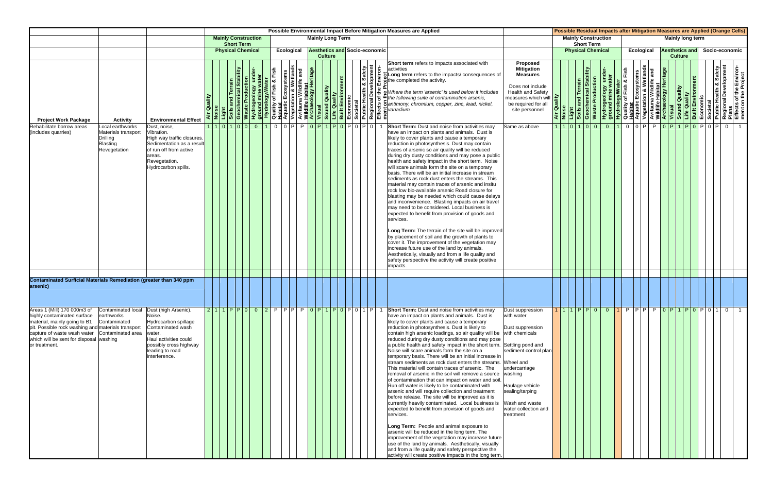|                                                                                                                                                                                                                                                                                     |                                                                                        |                                                                                                                                                                   | Possible Environmental Impact Before Mitigation Measures are Applied<br><b>Mainly Construction</b><br><b>Mainly Long Term</b> |                          |  |                                                                                                                                                                                                                                      |                |                             |                |  |  |                |  |                                      |  |                                                                                                                                                                                                                                                                                                                                                                                                                                                                                                                                                                                                                                                                                                                                                                                                                                                                                                                                                                                                                                                                                                                                                                                                                                                                                                                                                                                                                                                                                                                                                                                              |                              |           |                                                            |                         |                            |  | Possible Residual Impacts after Mitigation Measures are Applied (Orange Cells)                                                                                                                                                                                            |                                         |  |  |                |
|-------------------------------------------------------------------------------------------------------------------------------------------------------------------------------------------------------------------------------------------------------------------------------------|----------------------------------------------------------------------------------------|-------------------------------------------------------------------------------------------------------------------------------------------------------------------|-------------------------------------------------------------------------------------------------------------------------------|--------------------------|--|--------------------------------------------------------------------------------------------------------------------------------------------------------------------------------------------------------------------------------------|----------------|-----------------------------|----------------|--|--|----------------|--|--------------------------------------|--|----------------------------------------------------------------------------------------------------------------------------------------------------------------------------------------------------------------------------------------------------------------------------------------------------------------------------------------------------------------------------------------------------------------------------------------------------------------------------------------------------------------------------------------------------------------------------------------------------------------------------------------------------------------------------------------------------------------------------------------------------------------------------------------------------------------------------------------------------------------------------------------------------------------------------------------------------------------------------------------------------------------------------------------------------------------------------------------------------------------------------------------------------------------------------------------------------------------------------------------------------------------------------------------------------------------------------------------------------------------------------------------------------------------------------------------------------------------------------------------------------------------------------------------------------------------------------------------------|------------------------------|-----------|------------------------------------------------------------|-------------------------|----------------------------|--|---------------------------------------------------------------------------------------------------------------------------------------------------------------------------------------------------------------------------------------------------------------------------|-----------------------------------------|--|--|----------------|
|                                                                                                                                                                                                                                                                                     |                                                                                        |                                                                                                                                                                   |                                                                                                                               | <b>Short Term</b>        |  |                                                                                                                                                                                                                                      |                |                             |                |  |  |                |  |                                      |  |                                                                                                                                                                                                                                                                                                                                                                                                                                                                                                                                                                                                                                                                                                                                                                                                                                                                                                                                                                                                                                                                                                                                                                                                                                                                                                                                                                                                                                                                                                                                                                                              |                              |           | <b>Short Term</b>                                          |                         | <b>Mainly Construction</b> |  |                                                                                                                                                                                                                                                                           | <b>Mainly long term</b>                 |  |  |                |
|                                                                                                                                                                                                                                                                                     |                                                                                        |                                                                                                                                                                   |                                                                                                                               | <b>Physical Chemical</b> |  |                                                                                                                                                                                                                                      |                | Ecological                  |                |  |  | <b>Culture</b> |  | <b>Aesthetics and Socio-economic</b> |  |                                                                                                                                                                                                                                                                                                                                                                                                                                                                                                                                                                                                                                                                                                                                                                                                                                                                                                                                                                                                                                                                                                                                                                                                                                                                                                                                                                                                                                                                                                                                                                                              |                              |           | <b>Physical Chemical</b>                                   |                         |                            |  | Ecological                                                                                                                                                                                                                                                                | <b>Aesthetics and</b><br><b>Culture</b> |  |  | Socio-economic |
| <b>Project Work Package</b>                                                                                                                                                                                                                                                         | <b>Activity</b>                                                                        | <b>Environmental Effect</b>                                                                                                                                       | Noise<br>Light                                                                                                                |                          |  | <b>Charmy Control Control Control Control Control Control Control Control Control Control Control Control Control Control Control Control Control Control Control Control Control Control Control Control Control Control Contro</b> | ع<br>آقا       |                             | $\overline{a}$ |  |  |                |  |                                      |  | Short term refers to impacts associated with<br>Proposed<br><b>Mitigation</b><br>activities<br>Long term refers to the impacts/ consequences of<br><b>Measures</b><br>$\frac{1}{2}$<br>$\frac{1}{2}$<br>$\frac{1}{2}$<br>$\frac{1}{2}$<br>$\frac{1}{2}$<br>$\frac{1}{2}$<br>$\frac{1}{2}$<br>$\frac{1}{2}$<br>$\frac{1}{2}$<br>$\frac{1}{2}$<br>$\frac{1}{2}$<br>$\frac{1}{2}$<br>$\frac{1}{2}$<br>$\frac{1}{2}$<br>$\frac{1}{2}$<br>$\frac{1}{2}$<br>$\frac{1}{2}$<br>$\frac{1}{2}$<br>$\frac{1}{2}$<br>$\frac{1}{2}$<br><br>Does not include<br><b>Health and Safety</b><br>be required for all<br>site personnel                                                                                                                                                                                                                                                                                                                                                                                                                                                                                                                                                                                                                                                                                                                                                                                                                                                                                                                                                                          | measures which will <u>P</u> |           | <b>Stability</b><br>Light<br>Soils and Terr<br>Geochemical | <b>Waste Production</b> |                            |  | Hydrogeology under-<br><b>Hydrogeology under-</b><br><b>Aquatic Ecosystems</b><br>Aquatic Ecosystems<br>Aquatic Ecosystems<br>Avifauna Wildlife and<br>Avifauna Wildlife and<br><b>Archaeology Heritage</b><br><b>Sound Quality</b><br><b>Explorent Built Environment</b> |                                         |  |  |                |
| Rehabilitate borrow areas<br>(includes quarries)                                                                                                                                                                                                                                    | Local earthworks<br>Materials transport<br>Drilling<br><b>Blasting</b><br>Revegetation | Dust, noise,<br>Vibration.<br>High way traffic closures.<br>Sedimentation as a result<br>of run off from active<br>areas.<br>Revegetation.<br>Hydrocarbon spills. |                                                                                                                               | 1   1   0   1   0   0    |  | $\overline{0}$<br>$\vert$ 1                                                                                                                                                                                                          | $\overline{0}$ | Totel Ptotel 1 Ptotel oleto |                |  |  |                |  |                                      |  | <b>Short Term:</b> Dust and noise from activities may<br>Same as above<br>have an impact on plants and animals. Dust is<br>likely to cover plants and cause a temporary<br>reduction in photosynthesis. Dust may contain<br>traces of arsenic so air quality will be reduced<br>during dry dusty conditions and may pose a public<br>health and safety impact in the short term. Noise<br>will scare animals form the site on a temporary<br>basis. There will be an initial increase in stream<br>sediments as rock dust enters the streams. This<br>material may contain traces of arsenic and insitu<br>rock low bio-available arsenic Road closure for<br>blasting may be needed which could cause delays<br>and inconvenience. Blasting impacts on air travel<br>may need to be considered. Local business is<br>expected to benefit from provision of goods and<br>services.<br>Long Term: The terrain of the site will be improved<br>by placement of soil and the growth of plants to<br>cover it. The improvement of the vegetation may<br>increase future use of the land by animals.<br>Aesthetically, visually and from a life quality and<br>safety perspective the activity will create positive<br>impacts.                                                                                                                                                                                                                                                                                                                                                                   |                              | 111011010 |                                                            |                         | $\overline{0}$             |  | $100$ PPP                                                                                                                                                                                                                                                                 |                                         |  |  |                |
|                                                                                                                                                                                                                                                                                     |                                                                                        |                                                                                                                                                                   |                                                                                                                               |                          |  |                                                                                                                                                                                                                                      |                |                             |                |  |  |                |  |                                      |  |                                                                                                                                                                                                                                                                                                                                                                                                                                                                                                                                                                                                                                                                                                                                                                                                                                                                                                                                                                                                                                                                                                                                                                                                                                                                                                                                                                                                                                                                                                                                                                                              |                              |           |                                                            |                         |                            |  |                                                                                                                                                                                                                                                                           |                                         |  |  |                |
| Contaminated Surficial Materials Remediation (greater than 340 ppm<br>arsenic)                                                                                                                                                                                                      |                                                                                        |                                                                                                                                                                   |                                                                                                                               |                          |  |                                                                                                                                                                                                                                      |                |                             |                |  |  |                |  |                                      |  |                                                                                                                                                                                                                                                                                                                                                                                                                                                                                                                                                                                                                                                                                                                                                                                                                                                                                                                                                                                                                                                                                                                                                                                                                                                                                                                                                                                                                                                                                                                                                                                              |                              |           |                                                            |                         |                            |  |                                                                                                                                                                                                                                                                           |                                         |  |  |                |
| Areas 1 (Mill) 170 000m3 of Contaminated local Dust (high Arsenic).<br>highly contaminated surface<br>material, mainly going to B1<br>pit. Possible rock washing and materials transport<br>capture of waste wash water<br>which will be sent for disposal washing<br>or treatment. | earthworks<br>Contaminated<br>Contaminated area                                        | Noise.<br>Hydrocarbon spillage<br>Contaminated wash<br>water.<br>Haul activities could<br>possibly cross highway<br>leading to road<br>interference.              |                                                                                                                               |                          |  |                                                                                                                                                                                                                                      |                |                             |                |  |  |                |  |                                      |  | 211PP002PPPP0P1P0P01P1Short Term: Dust and noise from activities may<br>Dust suppression<br>have an impact on plants and animals. Dust is<br>with water<br>likely to cover plants and cause a temporary<br>reduction in photosynthesis. Dust is likely to<br>Dust suppression<br>contain high arsenic loadings, so air quality will be with chemicals<br>reduced during dry dusty conditions and may pose<br>a public health and safety impact in the short term. Settling pond and<br>Noise will scare animals form the site on a<br>sediment control plan<br>temporary basis. There will be an initial increase in<br>stream sediments as rock dust enters the streams. Wheel and<br>This material will contain traces of arsenic. The<br>undercarriage<br>removal of arsenic in the soil will remove a source<br>washing<br>of contamination that can impact on water and soil.<br>Run off water is likely to be contaminated with<br>Haulage vehicle<br>arsenic and will require collection and treatment<br>sealing/tarping<br>before release. The site will be improved as it is<br>currently heavily contaminated. Local business is<br>Wash and waste<br>expected to benefit from provision of goods and<br>water collection and<br>services.<br>treatment<br>Long Term: People and animal exposure to<br>arsenic will be reduced in the long term. The<br>improvement of the vegetation may increase future<br>use of the land by animals. Aesthetically, visually<br>and from a life quality and safety perspective the<br>activity will create positive impacts in the long term. |                              |           |                                                            |                         |                            |  | 1110PP001PPPPPP0P1P0P0101                                                                                                                                                                                                                                                 |                                         |  |  |                |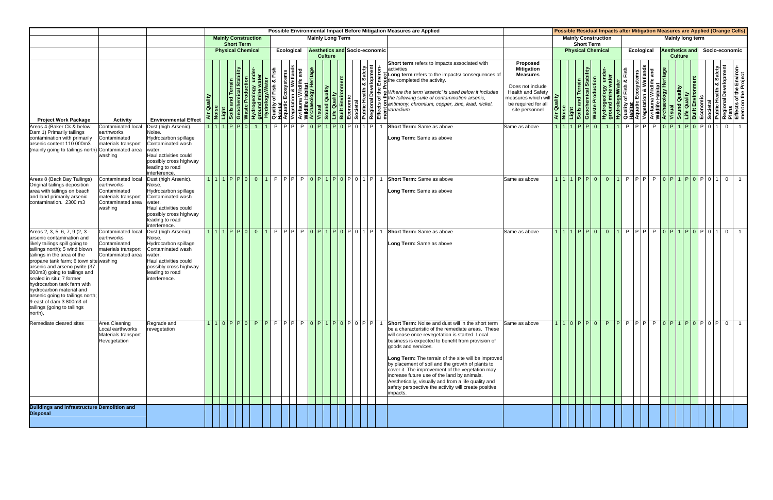|                                                                                                                                                                                                                                                                                                                                                                                                                                                                       |                                                                                                         |                                                                                                                                                                              |                                             |                                                                              |  |  |                                                    |                         |                |  |                                      | Possible Environmental Impact Before Mitigation Measures are Applied |                                                                                                                                                                                                                                                                                                                                                                                                                                                                                                                                                                                     |                                                                                                                                                                  |                       |                                                                         |                                                 |                |            |  |                       |                |                         |  | <b>Possible Residual Impacts after Mitigation Measures are Applied (Orange Cells)</b> |                                                                                                                                                                                                                                                                                              |
|-----------------------------------------------------------------------------------------------------------------------------------------------------------------------------------------------------------------------------------------------------------------------------------------------------------------------------------------------------------------------------------------------------------------------------------------------------------------------|---------------------------------------------------------------------------------------------------------|------------------------------------------------------------------------------------------------------------------------------------------------------------------------------|---------------------------------------------|------------------------------------------------------------------------------|--|--|----------------------------------------------------|-------------------------|----------------|--|--------------------------------------|----------------------------------------------------------------------|-------------------------------------------------------------------------------------------------------------------------------------------------------------------------------------------------------------------------------------------------------------------------------------------------------------------------------------------------------------------------------------------------------------------------------------------------------------------------------------------------------------------------------------------------------------------------------------|------------------------------------------------------------------------------------------------------------------------------------------------------------------|-----------------------|-------------------------------------------------------------------------|-------------------------------------------------|----------------|------------|--|-----------------------|----------------|-------------------------|--|---------------------------------------------------------------------------------------|----------------------------------------------------------------------------------------------------------------------------------------------------------------------------------------------------------------------------------------------------------------------------------------------|
|                                                                                                                                                                                                                                                                                                                                                                                                                                                                       |                                                                                                         |                                                                                                                                                                              |                                             | <b>Mainly Construction</b><br><b>Short Term</b>                              |  |  |                                                    | <b>Mainly Long Term</b> |                |  |                                      |                                                                      |                                                                                                                                                                                                                                                                                                                                                                                                                                                                                                                                                                                     |                                                                                                                                                                  |                       |                                                                         | <b>Mainly Construction</b><br><b>Short Term</b> |                |            |  |                       |                | <b>Mainly long term</b> |  |                                                                                       |                                                                                                                                                                                                                                                                                              |
|                                                                                                                                                                                                                                                                                                                                                                                                                                                                       |                                                                                                         |                                                                                                                                                                              |                                             | <b>Physical Chemical</b>                                                     |  |  | Ecological                                         |                         | <b>Culture</b> |  | <b>Aesthetics and Socio-economic</b> |                                                                      |                                                                                                                                                                                                                                                                                                                                                                                                                                                                                                                                                                                     |                                                                                                                                                                  |                       |                                                                         | <b>Physical Chemical</b>                        |                | Ecological |  | <b>Aesthetics and</b> | <b>Culture</b> |                         |  |                                                                                       | Socio-economic                                                                                                                                                                                                                                                                               |
| <b>Project Work Package</b>                                                                                                                                                                                                                                                                                                                                                                                                                                           | <b>Activity</b>                                                                                         | <b>Environmental Effect</b>                                                                                                                                                  | Air Quality                                 | Noise<br>Light<br>Soils and Terrain<br>Geochemical Stabi<br>Waste Production |  |  |                                                    |                         |                |  | Safety<br>pment                      |                                                                      | Short term refers to impacts associated with<br>Netrogeology Material Contains and the Container of Container of Container Container Container Container Container Container Container Container Container Container Container Container Container Container Container Contain<br>$\sum_{n=0}^{\infty} \frac{1}{n}$ Long term refers to the impacts/ consequences of $\prod_{n=0}^{\infty}$ of the completed the activity.<br>Where the term 'arsenic' is used below it includes                                                                                                    | Proposed<br><b>Mitigation</b><br><b>Measures</b><br>Does not include<br><b>Health and Safety</b><br>measures which will<br>be required for all<br>site personnel | Air Quality<br>Noise  | Light<br>Soils and Terrain<br>Geochemical Stability<br>Waste Production |                                                 |                |            |  |                       |                |                         |  |                                                                                       | <b>Hydrogeology under-</b><br><b>Hydrogeology under-</b><br><b>Ruality of Fish &amp; Fish<br/> Aquatic Ecosystems</b><br>Aquatic Ecosystems<br>Avifauna Wildlife and<br>Avifauna Wildlife and<br><b>Archaeology Heritage</b><br><b>Ruality Sound Quality</b><br><b>Economic</b><br><b>Ec</b> |
| Areas 4 (Baker Ck & below<br>Dam 1) Primarily tailings<br>contamination with primarily<br>arsenic content 110 000m3<br>(mainly going to tailings north)                                                                                                                                                                                                                                                                                                               | Contaminated local<br>earthworks<br>Contaminated<br>materials transport<br>Contaminated area<br>washing | Dust (high Arsenic).<br>Noise.<br>Hydrocarbon spillage<br>Contaminated wash<br>vater.<br>laul activities could<br>possibly cross highway<br>leading to road<br>interference. |                                             | $111$ $P$ $P$ $Q$ $I$                                                        |  |  | P P P P O P 1 P 0 P 0 P 0 1 P                      |                         |                |  |                                      |                                                                      | Short Term: Same as above<br>Long Term: Same as above                                                                                                                                                                                                                                                                                                                                                                                                                                                                                                                               | Same as above                                                                                                                                                    |                       | 1 P P 0                                                                 |                                                 |                |            |  |                       |                |                         |  | <u>I1   PIPI PIOIPI1   PIOIPI0   1   0  </u>                                          |                                                                                                                                                                                                                                                                                              |
| Areas 8 (Back Bay Tailings)<br>Original tailings deposition<br>area with tailings on beach<br>and land primarily arsenic<br>contamination. 2300 m3                                                                                                                                                                                                                                                                                                                    | Contaminated local<br>earthworks<br>Contaminated<br>materials transport<br>Contaminated area<br>washing | Dust (high Arsenic).<br>Noise.<br>Hydrocarbon spillage<br>Contaminated wash<br>water.<br>laul activities could<br>possibly cross highway<br>leading to road<br>interference. |                                             | $11$ $1$ $P$ $P$ $Q$ $Q$ $1$                                                 |  |  | $P  P P   P   Q   P   1   P   Q   P   0   1   P  $ |                         |                |  |                                      |                                                                      | <b>Short Term:</b> Same as above<br>Long Term: Same as above                                                                                                                                                                                                                                                                                                                                                                                                                                                                                                                        | Same as above                                                                                                                                                    | 1   1   1   P   P   0 |                                                                         |                                                 | $\overline{0}$ |            |  |                       |                |                         |  |                                                                                       | <mark> 1  P P P P   P   0   P   1   P   0   P  </mark> 0   1   0   1                                                                                                                                                                                                                         |
| Areas 2, 3, 5, 6, 7, 9 (2, 3<br>arsenic contamination and<br>likely tailings spill going to<br>tailings north); 5 wind blown<br>tailings in the area of the<br>propane tank farm; 6 town site washing<br>arsenic and arseno pyrite (37<br>000m3) going to tailings and<br>sealed in situ; 7 former<br>hydrocarbon tank farm with<br>hydrocarbon material and<br>arsenic going to tailings north<br>9 east of dam 3 800m3 of<br>tailings (going to tailings<br>north), | Contaminated local<br>earthworks<br>Contaminated<br>materials transport<br>Contaminated area            | Dust (high Arsenic).<br>Noise.<br>Hydrocarbon spillage<br>Contaminated wash<br>water.<br>Haul activities could<br>possibly cross highway<br>leading to road<br>interference. |                                             | $11$ PPO $0$                                                                 |  |  | $P[P] P   Q[P] 1   P   Q[P] 0   1   P]$            |                         |                |  |                                      |                                                                      | <b>Short Term:</b> Same as above<br>Long Term: Same as above                                                                                                                                                                                                                                                                                                                                                                                                                                                                                                                        | Same as above                                                                                                                                                    | 1 1 1 P P 0           |                                                                         |                                                 | $\overline{0}$ |            |  |                       |                |                         |  |                                                                                       | 1 P P P P O P 1 P 0 P 0 1 0 1                                                                                                                                                                                                                                                                |
| Remediate cleared sites                                                                                                                                                                                                                                                                                                                                                                                                                                               | Area Cleaning<br>Local earthworks<br>Materials transport<br>Revegetation                                | Regrade and<br>revegetation                                                                                                                                                  | <mark>1110PP0PP0FPPPPPP0P1P0P0P0PP</mark> 1 |                                                                              |  |  |                                                    |                         |                |  |                                      |                                                                      | <b>Short Term:</b> Noise and dust will in the short term<br>be a characteristic of the remediate areas. These<br>will cease once revegetation is started. Local<br>business is expected to benefit from provision of<br>goods and services.<br>Long Term: The terrain of the site will be improved<br>by placement of soil and the growth of plants to<br>cover it. The improvement of the vegetation may<br>increase future use of the land by animals.<br>Aesthetically, visually and from a life quality and<br>safety perspective the activity will create positive<br>impacts. | Same as above                                                                                                                                                    |                       |                                                                         |                                                 |                |            |  |                       |                |                         |  |                                                                                       | 1 1 0 P P 0  P  P  P  P P  P  0 P 1 P 0 P 0 P  0   1                                                                                                                                                                                                                                         |
| <b>Buildings and Infrastructure Demolition and Disposal</b>                                                                                                                                                                                                                                                                                                                                                                                                           |                                                                                                         |                                                                                                                                                                              |                                             |                                                                              |  |  |                                                    |                         |                |  |                                      |                                                                      |                                                                                                                                                                                                                                                                                                                                                                                                                                                                                                                                                                                     |                                                                                                                                                                  |                       |                                                                         |                                                 |                |            |  |                       |                |                         |  |                                                                                       |                                                                                                                                                                                                                                                                                              |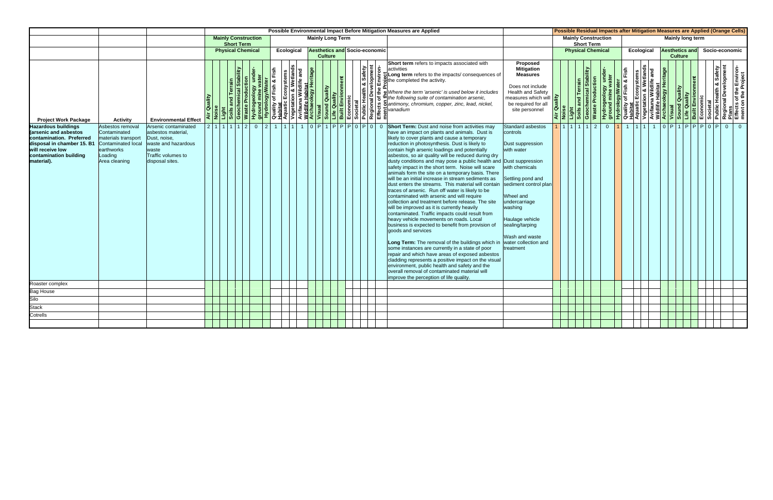|                                                                                                                                                                           |                                                                                                                               |                                                                                                                                     |         |                                             |                            |  |            |                         |  |                                      | Possible Environmental Impact Before Mitigation Measures are Applied                                                                                                                                  |                                                                                                                                                                                                                                                                                                                                                                                                                                                                                                                                                                                                                                                                                                                                                                                                                                                                                                                                                                                                                                                                                                                                                                               |                                                                                                                                                                                                                                                                       |                                        |             |                                                     |                                                 |  |            |  |                |                         |                               | <b>Possible Residual Impacts after Mitigation Measures are Applied (Orange Cells)</b>                                                                                                                                                                                                 |
|---------------------------------------------------------------------------------------------------------------------------------------------------------------------------|-------------------------------------------------------------------------------------------------------------------------------|-------------------------------------------------------------------------------------------------------------------------------------|---------|---------------------------------------------|----------------------------|--|------------|-------------------------|--|--------------------------------------|-------------------------------------------------------------------------------------------------------------------------------------------------------------------------------------------------------|-------------------------------------------------------------------------------------------------------------------------------------------------------------------------------------------------------------------------------------------------------------------------------------------------------------------------------------------------------------------------------------------------------------------------------------------------------------------------------------------------------------------------------------------------------------------------------------------------------------------------------------------------------------------------------------------------------------------------------------------------------------------------------------------------------------------------------------------------------------------------------------------------------------------------------------------------------------------------------------------------------------------------------------------------------------------------------------------------------------------------------------------------------------------------------|-----------------------------------------------------------------------------------------------------------------------------------------------------------------------------------------------------------------------------------------------------------------------|----------------------------------------|-------------|-----------------------------------------------------|-------------------------------------------------|--|------------|--|----------------|-------------------------|-------------------------------|---------------------------------------------------------------------------------------------------------------------------------------------------------------------------------------------------------------------------------------------------------------------------------------|
|                                                                                                                                                                           |                                                                                                                               |                                                                                                                                     |         | <b>Short Term</b>                           | <b>Mainly Construction</b> |  |            | <b>Mainly Long Term</b> |  |                                      |                                                                                                                                                                                                       |                                                                                                                                                                                                                                                                                                                                                                                                                                                                                                                                                                                                                                                                                                                                                                                                                                                                                                                                                                                                                                                                                                                                                                               |                                                                                                                                                                                                                                                                       |                                        |             |                                                     | <b>Mainly Construction</b><br><b>Short Term</b> |  |            |  |                | <b>Mainly long term</b> |                               |                                                                                                                                                                                                                                                                                       |
|                                                                                                                                                                           |                                                                                                                               |                                                                                                                                     |         |                                             | <b>Physical Chemical</b>   |  | Ecological | <b>Culture</b>          |  | <b>Aesthetics and Socio-economic</b> |                                                                                                                                                                                                       |                                                                                                                                                                                                                                                                                                                                                                                                                                                                                                                                                                                                                                                                                                                                                                                                                                                                                                                                                                                                                                                                                                                                                                               |                                                                                                                                                                                                                                                                       |                                        |             |                                                     | <b>Physical Chemical</b>                        |  | Ecological |  | <b>Culture</b> | <b>Aesthetics and</b>   | Socio-economic                |                                                                                                                                                                                                                                                                                       |
| <b>Project Work Package</b>                                                                                                                                               | <b>Activity</b>                                                                                                               | <b>Environmental Effect</b>                                                                                                         | Quality | ability<br>Soils and Terra<br>Geochemical & |                            |  |            |                         |  |                                      |                                                                                                                                                                                                       | Short term refers to impacts associated with<br>and the the term in the term is used point of the content of the content of the content of the content of the content of the content of the content of the content of the content of the content of the content of the content                                                                                                                                                                                                                                                                                                                                                                                                                                                                                                                                                                                                                                                                                                                                                                                                                                                                                                | <b>Proposed</b><br><b>Mitigation</b><br><b>Measures</b><br>Does not include<br><b>Health and Safety</b><br>measures which will<br>be required for all<br>site personnel                                                                                               | Quality<br>ise<br>$\frac{2}{\sqrt{2}}$ |             | Light<br>Soils and Terrain<br>Geochemical Stability | <b>Waste Production</b>                         |  |            |  |                |                         |                               | Hydrogeology under-<br><b>Hydrogeology under-</b><br><b>Ruality of Fish &amp; Fish<br/> Aquatic Ecosystems</b><br>Aquatic Ecosystems<br>Avifauna Wildlife Habitat<br>Wisual<br><b>Archaeology Heritage</b><br><b>Regional Development<br/> Economic<br/> Built Environment<br/> B</b> |
| <b>Hazardous buildings</b><br>(arsenic and asbestos<br>contamination. Preferred<br>disposal in chamber 15. B1<br>will receive low<br>contamination building<br>material). | Asbestos removal<br>Contaminated<br>materials transport<br><b>Contaminated local</b><br>earthworks<br>oading<br>Area cleaning | Arsenic contaminated<br>asbestos material,<br>Dust, noise,<br>waste and hazardous<br>waste<br>Traffic volumes to<br>disposal sites. |         |                                             | $2  1  1  1  1  1  2  0$   |  |            |                         |  |                                      | contaminated with arsenic and will require<br>will be improved as it is currently heavily<br>heavy vehicle movements on roads. Local<br>goods and services<br>improve the perception of life quality. | 12 1 1 1 1 1 0 P 1 P P P 0 P 0 D 6 Short Term: Dust and noise from activities may<br>have an impact on plants and animals. Dust is<br>likely to cover plants and cause a temporary<br>reduction in photosynthesis. Dust is likely to<br>contain high arsenic loadings and potentially<br>asbestos, so air quality will be reduced during dry<br>dusty conditions and may pose a public health and Dust suppression<br>safety impact in the short term. Noise will scare<br>animals form the site on a temporary basis. There<br>will be an initial increase in stream sediments as<br>dust enters the streams. This material will contain<br>traces of arsenic. Run off water is likely to be<br>collection and treatment before release. The site<br>contaminated. Traffic impacts could result from<br>business is expected to benefit from provision of<br>Long Term: The removal of the buildings which in<br>some instances are currently in a state of poor<br>repair and which have areas of exposed asbestos<br>cladding represents a positive impact on the visual<br>environment, public health and safety and the<br>overall removal of contaminated material will | Standard asbestos<br>controls<br>Dust suppression<br>with water<br>with chemicals<br>Settling pond and<br>sediment control plan<br>Wheel and<br>undercarriage<br>washing<br>Haulage vehicle<br>sealing/tarping<br>Wash and waste<br>water collection and<br>treatment |                                        | 1 1 1 1 1 2 |                                                     |                                                 |  |            |  |                |                         | 0 1 1 1 1 1 1 0 P 1 P P 0 P 0 |                                                                                                                                                                                                                                                                                       |
| Roaster complex<br><b>Bag House</b>                                                                                                                                       |                                                                                                                               |                                                                                                                                     |         |                                             |                            |  |            |                         |  |                                      |                                                                                                                                                                                                       |                                                                                                                                                                                                                                                                                                                                                                                                                                                                                                                                                                                                                                                                                                                                                                                                                                                                                                                                                                                                                                                                                                                                                                               |                                                                                                                                                                                                                                                                       |                                        |             |                                                     |                                                 |  |            |  |                |                         |                               |                                                                                                                                                                                                                                                                                       |
| Silo                                                                                                                                                                      |                                                                                                                               |                                                                                                                                     |         |                                             |                            |  |            |                         |  |                                      |                                                                                                                                                                                                       |                                                                                                                                                                                                                                                                                                                                                                                                                                                                                                                                                                                                                                                                                                                                                                                                                                                                                                                                                                                                                                                                                                                                                                               |                                                                                                                                                                                                                                                                       |                                        |             |                                                     |                                                 |  |            |  |                |                         |                               |                                                                                                                                                                                                                                                                                       |
| <b>Stack</b>                                                                                                                                                              |                                                                                                                               |                                                                                                                                     |         |                                             |                            |  |            |                         |  |                                      |                                                                                                                                                                                                       |                                                                                                                                                                                                                                                                                                                                                                                                                                                                                                                                                                                                                                                                                                                                                                                                                                                                                                                                                                                                                                                                                                                                                                               |                                                                                                                                                                                                                                                                       |                                        |             |                                                     |                                                 |  |            |  |                |                         |                               |                                                                                                                                                                                                                                                                                       |
| Cotrells                                                                                                                                                                  |                                                                                                                               |                                                                                                                                     |         |                                             |                            |  |            |                         |  |                                      |                                                                                                                                                                                                       |                                                                                                                                                                                                                                                                                                                                                                                                                                                                                                                                                                                                                                                                                                                                                                                                                                                                                                                                                                                                                                                                                                                                                                               |                                                                                                                                                                                                                                                                       |                                        |             |                                                     |                                                 |  |            |  |                |                         |                               |                                                                                                                                                                                                                                                                                       |
|                                                                                                                                                                           |                                                                                                                               |                                                                                                                                     |         |                                             |                            |  |            |                         |  |                                      |                                                                                                                                                                                                       |                                                                                                                                                                                                                                                                                                                                                                                                                                                                                                                                                                                                                                                                                                                                                                                                                                                                                                                                                                                                                                                                                                                                                                               |                                                                                                                                                                                                                                                                       |                                        |             |                                                     |                                                 |  |            |  |                |                         |                               |                                                                                                                                                                                                                                                                                       |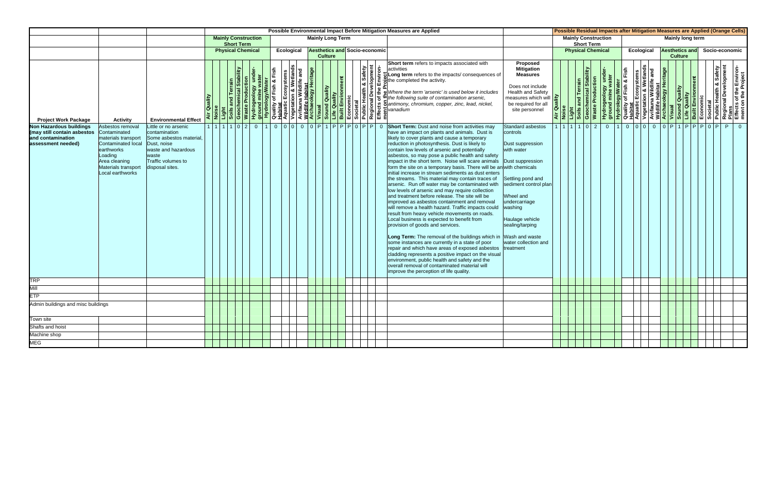|                                                                                                          |                                                                                                                                                                    |                                                                                                                                                         |             |                                                 |                       |            |  |                         |                |                                      |                | Possible Environmental Impact Before Mitigation Measures are Applied                                                                                                                                                                                                                                                                                                                                                                                                                                                                                                                                                                                                                                                                                                                                                                                                                                                                                                                                                                                                                                                                                                                                                                                                                                                   |                                                                                                                                                                                                                                                                                |  |                                                 |                                                                    | Possible Residual Impacts after Mitigation Measures are Applied (Orange Cells)                                                                                                                                                                             |                   |                |                         |  |                |                                                                                                           |
|----------------------------------------------------------------------------------------------------------|--------------------------------------------------------------------------------------------------------------------------------------------------------------------|---------------------------------------------------------------------------------------------------------------------------------------------------------|-------------|-------------------------------------------------|-----------------------|------------|--|-------------------------|----------------|--------------------------------------|----------------|------------------------------------------------------------------------------------------------------------------------------------------------------------------------------------------------------------------------------------------------------------------------------------------------------------------------------------------------------------------------------------------------------------------------------------------------------------------------------------------------------------------------------------------------------------------------------------------------------------------------------------------------------------------------------------------------------------------------------------------------------------------------------------------------------------------------------------------------------------------------------------------------------------------------------------------------------------------------------------------------------------------------------------------------------------------------------------------------------------------------------------------------------------------------------------------------------------------------------------------------------------------------------------------------------------------------|--------------------------------------------------------------------------------------------------------------------------------------------------------------------------------------------------------------------------------------------------------------------------------|--|-------------------------------------------------|--------------------------------------------------------------------|------------------------------------------------------------------------------------------------------------------------------------------------------------------------------------------------------------------------------------------------------------|-------------------|----------------|-------------------------|--|----------------|-----------------------------------------------------------------------------------------------------------|
|                                                                                                          |                                                                                                                                                                    |                                                                                                                                                         |             | <b>Mainly Construction</b><br><b>Short Term</b> |                       |            |  | <b>Mainly Long Term</b> |                |                                      |                |                                                                                                                                                                                                                                                                                                                                                                                                                                                                                                                                                                                                                                                                                                                                                                                                                                                                                                                                                                                                                                                                                                                                                                                                                                                                                                                        |                                                                                                                                                                                                                                                                                |  | <b>Mainly Construction</b><br><b>Short Term</b> |                                                                    |                                                                                                                                                                                                                                                            |                   |                | <b>Mainly long term</b> |  |                |                                                                                                           |
|                                                                                                          |                                                                                                                                                                    |                                                                                                                                                         |             | <b>Physical Chemical</b>                        |                       | Ecological |  |                         |                | <b>Aesthetics and Socio-economic</b> |                |                                                                                                                                                                                                                                                                                                                                                                                                                                                                                                                                                                                                                                                                                                                                                                                                                                                                                                                                                                                                                                                                                                                                                                                                                                                                                                                        |                                                                                                                                                                                                                                                                                |  | <b>Physical Chemical</b>                        |                                                                    |                                                                                                                                                                                                                                                            | <b>Ecological</b> |                | <b>Aesthetics and</b>   |  | Socio-economic |                                                                                                           |
|                                                                                                          |                                                                                                                                                                    |                                                                                                                                                         |             |                                                 |                       |            |  |                         | <b>Culture</b> |                                      |                |                                                                                                                                                                                                                                                                                                                                                                                                                                                                                                                                                                                                                                                                                                                                                                                                                                                                                                                                                                                                                                                                                                                                                                                                                                                                                                                        |                                                                                                                                                                                                                                                                                |  |                                                 |                                                                    |                                                                                                                                                                                                                                                            |                   | <b>Culture</b> |                         |  |                |                                                                                                           |
| <b>Project Work Package</b>                                                                              | <b>Activity</b>                                                                                                                                                    | <b>Environmental Effect</b>                                                                                                                             | Air Quality |                                                 |                       |            |  |                         |                |                                      |                | Short term refers to impacts associated with<br>The state of the train of the completed the completed the completed the completed the consideration and the thought the consideration of the consideration of the consideration of the consideration of the consideration of t                                                                                                                                                                                                                                                                                                                                                                                                                                                                                                                                                                                                                                                                                                                                                                                                                                                                                                                                                                                                                                         | Proposed<br><b>Mitigation</b><br>Mitigation<br>Measures<br>Does not include<br>Health and Safety<br>measures which will<br>be required for all<br>site personnel<br>$\frac{1}{\sqrt{2}}$                                                                                       |  |                                                 | Hydrogeology under<br>ground mine water<br><b>Waste Production</b> | <b>Hydrology/Water</b><br>Quality of Fish & Fish<br>Quality of Fish & Wetlands<br>Aquatic Ecosystems<br>Avifauna Wildlife and<br>Wildlife Habitat<br>Wisual<br>Sound Quality<br>Built Environment<br>Economic<br>Built Environment<br>Societal<br>Societal |                   |                |                         |  |                | Public Health & Safety<br>Regional Development<br>Plans<br>Effects of the Environ-<br>ment on the Project |
| <b>Non Hazardous buildings</b><br>(may still contain asbestos<br>and contamination<br>assessment needed) | Asbestos removal<br>Contaminated<br>materials transport<br>Contaminated local<br>earthworks<br>Loading<br>Area cleaning<br>Materials transport<br>Local earthworks | ittle or no arsenic<br>contamination<br>Some asbestos material.<br>Dust, noise<br>waste and hazardous<br>waste<br>Traffic volumes to<br>disposal sites. |             | 1 1 1 1 0 2 0                                   | $110000000$ P1PPPP0PP |            |  |                         |                |                                      | $\overline{0}$ | <b>Short Term:</b> Dust and noise from activities may<br>have an impact on plants and animals. Dust is<br>likely to cover plants and cause a temporary<br>reduction in photosynthesis. Dust is likely to<br>contain low levels of arsenic and potentially<br>asbestos, so may pose a public health and safety<br>impact in the short term. Noise will scare animals<br>form the site on a temporary basis. There will be an with chemicals<br>linitial increase in stream sediments as dust enters<br>the streams. This material may contain traces of<br>arsenic. Run off water may be contaminated with<br>low levels of arsenic and may require collection<br>and treatment before release. The site will be<br>improved as asbestos containment and removal<br>will remove a health hazard. Traffic impacts could<br>result from heavy vehicle movements on roads.<br>Local business is expected to benefit from<br>provision of goods and services.<br>Long Term: The removal of the buildings which in<br>some instances are currently in a state of poor<br>repair and which have areas of exposed asbestos<br>cladding represents a positive impact on the visual<br>environment, public health and safety and the<br>overall removal of contaminated material will<br>improve the perception of life quality. | <b>Standard asbestos</b><br>controls<br>Dust suppression<br>with water<br>Dust suppression<br>Settling pond and<br>sediment control plan<br>Wheel and<br>undercarriage<br>washing<br>Haulage vehicle<br>sealing/tarping<br>Wash and waste<br>water collection and<br>treatment |  | 11111102                                        | $\overline{0}$                                                     |                                                                                                                                                                                                                                                            |                   |                |                         |  | P              | $\Omega$                                                                                                  |
| TRP                                                                                                      |                                                                                                                                                                    |                                                                                                                                                         |             |                                                 |                       |            |  |                         |                |                                      |                |                                                                                                                                                                                                                                                                                                                                                                                                                                                                                                                                                                                                                                                                                                                                                                                                                                                                                                                                                                                                                                                                                                                                                                                                                                                                                                                        |                                                                                                                                                                                                                                                                                |  |                                                 |                                                                    |                                                                                                                                                                                                                                                            |                   |                |                         |  |                |                                                                                                           |
| Mill                                                                                                     |                                                                                                                                                                    |                                                                                                                                                         |             |                                                 |                       |            |  |                         |                |                                      |                |                                                                                                                                                                                                                                                                                                                                                                                                                                                                                                                                                                                                                                                                                                                                                                                                                                                                                                                                                                                                                                                                                                                                                                                                                                                                                                                        |                                                                                                                                                                                                                                                                                |  |                                                 |                                                                    |                                                                                                                                                                                                                                                            |                   |                |                         |  |                |                                                                                                           |
| ETP                                                                                                      |                                                                                                                                                                    |                                                                                                                                                         |             |                                                 |                       |            |  |                         |                |                                      |                |                                                                                                                                                                                                                                                                                                                                                                                                                                                                                                                                                                                                                                                                                                                                                                                                                                                                                                                                                                                                                                                                                                                                                                                                                                                                                                                        |                                                                                                                                                                                                                                                                                |  |                                                 |                                                                    |                                                                                                                                                                                                                                                            |                   |                |                         |  |                |                                                                                                           |
| Admin buildings and misc buildings                                                                       |                                                                                                                                                                    |                                                                                                                                                         |             |                                                 |                       |            |  |                         |                |                                      |                |                                                                                                                                                                                                                                                                                                                                                                                                                                                                                                                                                                                                                                                                                                                                                                                                                                                                                                                                                                                                                                                                                                                                                                                                                                                                                                                        |                                                                                                                                                                                                                                                                                |  |                                                 |                                                                    |                                                                                                                                                                                                                                                            |                   |                |                         |  |                |                                                                                                           |
| Town site                                                                                                |                                                                                                                                                                    |                                                                                                                                                         |             |                                                 |                       |            |  |                         |                |                                      |                |                                                                                                                                                                                                                                                                                                                                                                                                                                                                                                                                                                                                                                                                                                                                                                                                                                                                                                                                                                                                                                                                                                                                                                                                                                                                                                                        |                                                                                                                                                                                                                                                                                |  |                                                 |                                                                    |                                                                                                                                                                                                                                                            |                   |                |                         |  |                |                                                                                                           |
| Shafts and hoist                                                                                         |                                                                                                                                                                    |                                                                                                                                                         |             |                                                 |                       |            |  |                         |                |                                      |                |                                                                                                                                                                                                                                                                                                                                                                                                                                                                                                                                                                                                                                                                                                                                                                                                                                                                                                                                                                                                                                                                                                                                                                                                                                                                                                                        |                                                                                                                                                                                                                                                                                |  |                                                 |                                                                    |                                                                                                                                                                                                                                                            |                   |                |                         |  |                |                                                                                                           |
| Machine shop                                                                                             |                                                                                                                                                                    |                                                                                                                                                         |             |                                                 |                       |            |  |                         |                |                                      |                |                                                                                                                                                                                                                                                                                                                                                                                                                                                                                                                                                                                                                                                                                                                                                                                                                                                                                                                                                                                                                                                                                                                                                                                                                                                                                                                        |                                                                                                                                                                                                                                                                                |  |                                                 |                                                                    |                                                                                                                                                                                                                                                            |                   |                |                         |  |                |                                                                                                           |
| MEG                                                                                                      |                                                                                                                                                                    |                                                                                                                                                         |             |                                                 |                       |            |  |                         |                |                                      |                |                                                                                                                                                                                                                                                                                                                                                                                                                                                                                                                                                                                                                                                                                                                                                                                                                                                                                                                                                                                                                                                                                                                                                                                                                                                                                                                        |                                                                                                                                                                                                                                                                                |  |                                                 |                                                                    |                                                                                                                                                                                                                                                            |                   |                |                         |  |                |                                                                                                           |